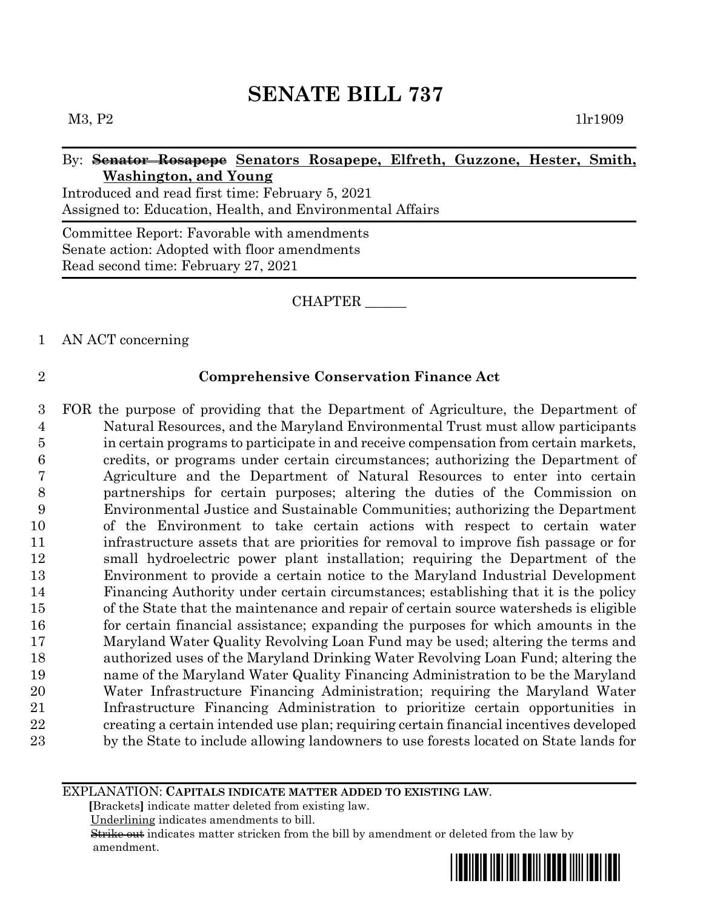### By: **Senator Rosapepe Senators Rosapepe, Elfreth, Guzzone, Hester, Smith, Washington, and Young**

Introduced and read first time: February 5, 2021 Assigned to: Education, Health, and Environmental Affairs

Committee Report: Favorable with amendments Senate action: Adopted with floor amendments Read second time: February 27, 2021

### CHAPTER \_\_\_\_\_\_

### 1 AN ACT concerning

### 2 **Comprehensive Conservation Finance Act**

 FOR the purpose of providing that the Department of Agriculture, the Department of Natural Resources, and the Maryland Environmental Trust must allow participants in certain programs to participate in and receive compensation from certain markets, credits, or programs under certain circumstances; authorizing the Department of Agriculture and the Department of Natural Resources to enter into certain partnerships for certain purposes; altering the duties of the Commission on Environmental Justice and Sustainable Communities; authorizing the Department of the Environment to take certain actions with respect to certain water infrastructure assets that are priorities for removal to improve fish passage or for small hydroelectric power plant installation; requiring the Department of the Environment to provide a certain notice to the Maryland Industrial Development Financing Authority under certain circumstances; establishing that it is the policy of the State that the maintenance and repair of certain source watersheds is eligible for certain financial assistance; expanding the purposes for which amounts in the Maryland Water Quality Revolving Loan Fund may be used; altering the terms and authorized uses of the Maryland Drinking Water Revolving Loan Fund; altering the name of the Maryland Water Quality Financing Administration to be the Maryland Water Infrastructure Financing Administration; requiring the Maryland Water Infrastructure Financing Administration to prioritize certain opportunities in creating a certain intended use plan; requiring certain financial incentives developed by the State to include allowing landowners to use forests located on State lands for

#### EXPLANATION: **CAPITALS INDICATE MATTER ADDED TO EXISTING LAW**.

 **[**Brackets**]** indicate matter deleted from existing law.

Underlining indicates amendments to bill.

 Strike out indicates matter stricken from the bill by amendment or deleted from the law by amendment.

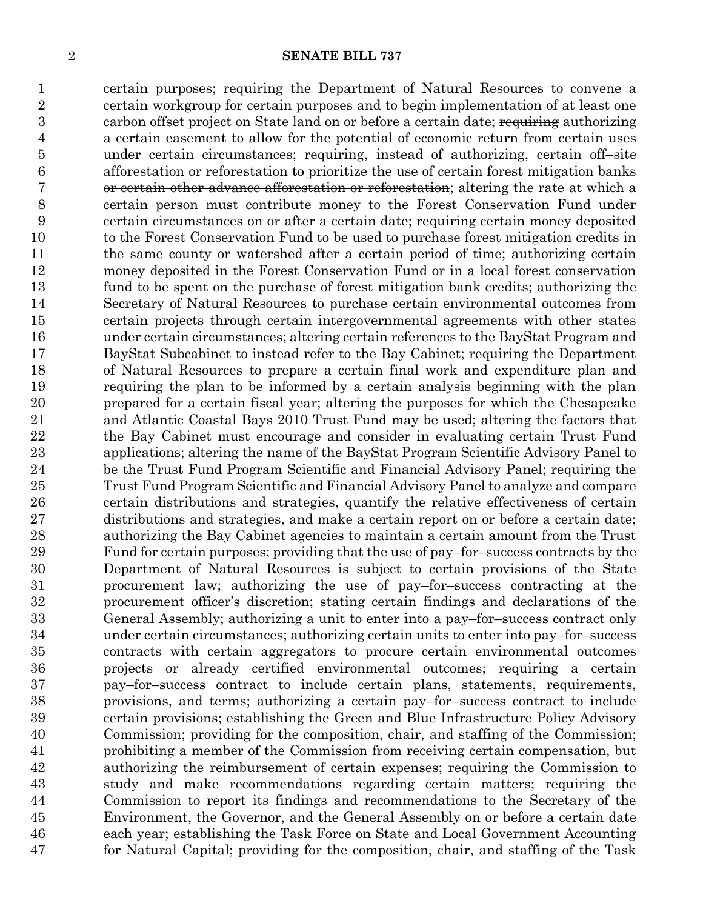certain purposes; requiring the Department of Natural Resources to convene a certain workgroup for certain purposes and to begin implementation of at least one 3 carbon offset project on State land on or before a certain date; requiring authorizing a certain easement to allow for the potential of economic return from certain uses under certain circumstances; requiring, instead of authorizing, certain off–site afforestation or reforestation to prioritize the use of certain forest mitigation banks or certain other advance afforestation or reforestation; altering the rate at which a certain person must contribute money to the Forest Conservation Fund under certain circumstances on or after a certain date; requiring certain money deposited to the Forest Conservation Fund to be used to purchase forest mitigation credits in the same county or watershed after a certain period of time; authorizing certain money deposited in the Forest Conservation Fund or in a local forest conservation fund to be spent on the purchase of forest mitigation bank credits; authorizing the Secretary of Natural Resources to purchase certain environmental outcomes from certain projects through certain intergovernmental agreements with other states under certain circumstances; altering certain references to the BayStat Program and BayStat Subcabinet to instead refer to the Bay Cabinet; requiring the Department of Natural Resources to prepare a certain final work and expenditure plan and requiring the plan to be informed by a certain analysis beginning with the plan prepared for a certain fiscal year; altering the purposes for which the Chesapeake and Atlantic Coastal Bays 2010 Trust Fund may be used; altering the factors that the Bay Cabinet must encourage and consider in evaluating certain Trust Fund applications; altering the name of the BayStat Program Scientific Advisory Panel to be the Trust Fund Program Scientific and Financial Advisory Panel; requiring the Trust Fund Program Scientific and Financial Advisory Panel to analyze and compare certain distributions and strategies, quantify the relative effectiveness of certain distributions and strategies, and make a certain report on or before a certain date; authorizing the Bay Cabinet agencies to maintain a certain amount from the Trust Fund for certain purposes; providing that the use of pay–for–success contracts by the Department of Natural Resources is subject to certain provisions of the State procurement law; authorizing the use of pay–for–success contracting at the procurement officer's discretion; stating certain findings and declarations of the General Assembly; authorizing a unit to enter into a pay–for–success contract only under certain circumstances; authorizing certain units to enter into pay–for–success contracts with certain aggregators to procure certain environmental outcomes projects or already certified environmental outcomes; requiring a certain pay–for–success contract to include certain plans, statements, requirements, provisions, and terms; authorizing a certain pay–for–success contract to include certain provisions; establishing the Green and Blue Infrastructure Policy Advisory Commission; providing for the composition, chair, and staffing of the Commission; prohibiting a member of the Commission from receiving certain compensation, but authorizing the reimbursement of certain expenses; requiring the Commission to study and make recommendations regarding certain matters; requiring the Commission to report its findings and recommendations to the Secretary of the Environment, the Governor, and the General Assembly on or before a certain date each year; establishing the Task Force on State and Local Government Accounting for Natural Capital; providing for the composition, chair, and staffing of the Task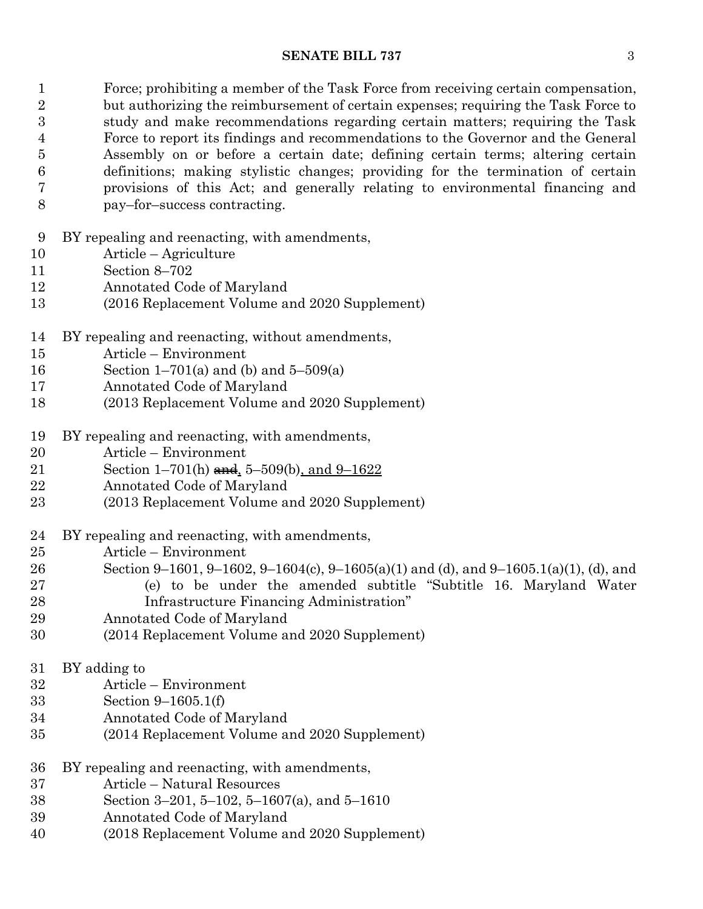Force; prohibiting a member of the Task Force from receiving certain compensation, 2 but authorizing the reimbursement of certain expenses; requiring the Task Force to study and make recommendations regarding certain matters; requiring the Task Force to report its findings and recommendations to the Governor and the General Assembly on or before a certain date; defining certain terms; altering certain definitions; making stylistic changes; providing for the termination of certain provisions of this Act; and generally relating to environmental financing and pay–for–success contracting.

- BY repealing and reenacting, with amendments,
- Article Agriculture
- Section 8–702
- Annotated Code of Maryland
- (2016 Replacement Volume and 2020 Supplement)
- BY repealing and reenacting, without amendments,
- Article Environment
- Section 1–701(a) and (b) and 5–509(a)
- Annotated Code of Maryland
- (2013 Replacement Volume and 2020 Supplement)
- BY repealing and reenacting, with amendments,
- Article Environment
- 21 Section 1–701(h) and, 5–509(b), and 9–1622
- Annotated Code of Maryland
- (2013 Replacement Volume and 2020 Supplement)
- BY repealing and reenacting, with amendments,
- Article Environment
- Section 9–1601, 9–1602, 9–1604(c), 9–1605(a)(1) and (d), and 9–1605.1(a)(1), (d), and
- (e) to be under the amended subtitle "Subtitle 16. Maryland Water Infrastructure Financing Administration"
- Annotated Code of Maryland
- (2014 Replacement Volume and 2020 Supplement)
- BY adding to
- Article Environment
- Section 9–1605.1(f)
- Annotated Code of Maryland
- (2014 Replacement Volume and 2020 Supplement)
- BY repealing and reenacting, with amendments,
- Article Natural Resources
- Section 3–201, 5–102, 5–1607(a), and 5–1610
- Annotated Code of Maryland
- (2018 Replacement Volume and 2020 Supplement)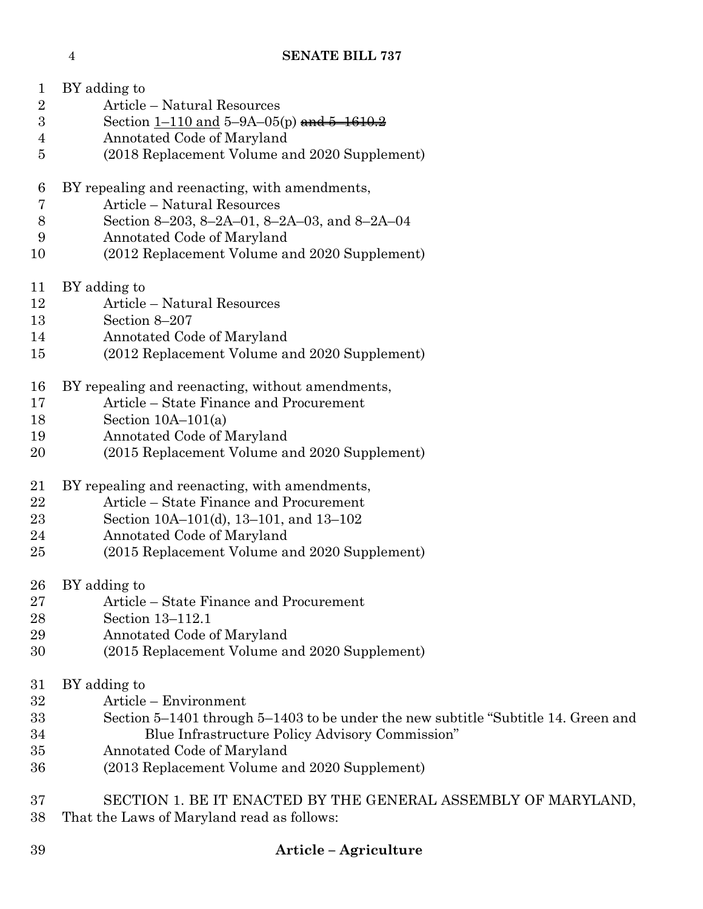| 1                | BY adding to                                                                       |
|------------------|------------------------------------------------------------------------------------|
| $\sqrt{2}$       | Article - Natural Resources                                                        |
| $\boldsymbol{3}$ | Section $1-110$ and $5-9A-05(p)$ and $5-1610.2$                                    |
| 4                | Annotated Code of Maryland                                                         |
| 5                | (2018 Replacement Volume and 2020 Supplement)                                      |
| 6                | BY repealing and reenacting, with amendments,                                      |
| 7                | Article – Natural Resources                                                        |
| $8\,$            | Section 8–203, 8–2A–01, 8–2A–03, and 8–2A–04                                       |
| 9                | Annotated Code of Maryland                                                         |
| 10               | (2012 Replacement Volume and 2020 Supplement)                                      |
| 11               | BY adding to                                                                       |
| 12               | Article - Natural Resources                                                        |
| 13               | Section 8-207                                                                      |
| 14               | Annotated Code of Maryland                                                         |
| 15               | (2012 Replacement Volume and 2020 Supplement)                                      |
| 16               | BY repealing and reenacting, without amendments,                                   |
| 17               | Article – State Finance and Procurement                                            |
| 18               | Section $10A-101(a)$                                                               |
| 19               | Annotated Code of Maryland                                                         |
| 20               | (2015 Replacement Volume and 2020 Supplement)                                      |
| 21               | BY repealing and reenacting, with amendments,                                      |
| 22               | Article – State Finance and Procurement                                            |
| 23               | Section 10A-101(d), 13-101, and 13-102                                             |
| 24               | Annotated Code of Maryland                                                         |
| 25               | (2015 Replacement Volume and 2020 Supplement)                                      |
| 26               | BY adding to                                                                       |
| 27               | Article – State Finance and Procurement                                            |
| 28               | Section 13-112.1                                                                   |
| 29               | Annotated Code of Maryland                                                         |
| 30               | (2015 Replacement Volume and 2020 Supplement)                                      |
| 31               | BY adding to                                                                       |
| 32               | Article – Environment                                                              |
| 33               | Section 5–1401 through 5–1403 to be under the new subtitle "Subtitle 14. Green and |
| 34               | Blue Infrastructure Policy Advisory Commission"                                    |
| 35               | Annotated Code of Maryland                                                         |
| 36               | (2013 Replacement Volume and 2020 Supplement)                                      |
| 37               | SECTION 1. BE IT ENACTED BY THE GENERAL ASSEMBLY OF MARYLAND,                      |
| 38               | That the Laws of Maryland read as follows:                                         |

**Article – Agriculture**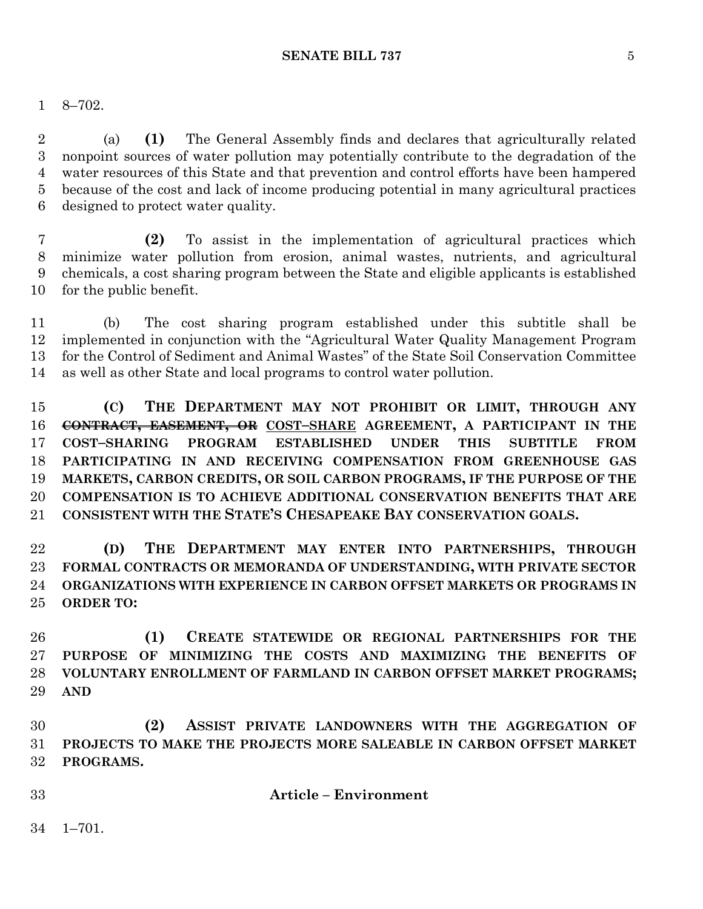8–702.

 (a) **(1)** The General Assembly finds and declares that agriculturally related nonpoint sources of water pollution may potentially contribute to the degradation of the water resources of this State and that prevention and control efforts have been hampered because of the cost and lack of income producing potential in many agricultural practices designed to protect water quality.

 **(2)** To assist in the implementation of agricultural practices which minimize water pollution from erosion, animal wastes, nutrients, and agricultural chemicals, a cost sharing program between the State and eligible applicants is established for the public benefit.

 (b) The cost sharing program established under this subtitle shall be implemented in conjunction with the "Agricultural Water Quality Management Program for the Control of Sediment and Animal Wastes" of the State Soil Conservation Committee as well as other State and local programs to control water pollution.

 **(C) THE DEPARTMENT MAY NOT PROHIBIT OR LIMIT, THROUGH ANY CONTRACT, EASEMENT, OR COST–SHARE AGREEMENT, A PARTICIPANT IN THE COST–SHARING PROGRAM ESTABLISHED UNDER THIS SUBTITLE FROM PARTICIPATING IN AND RECEIVING COMPENSATION FROM GREENHOUSE GAS MARKETS, CARBON CREDITS, OR SOIL CARBON PROGRAMS, IF THE PURPOSE OF THE COMPENSATION IS TO ACHIEVE ADDITIONAL CONSERVATION BENEFITS THAT ARE CONSISTENT WITH THE STATE'S CHESAPEAKE BAY CONSERVATION GOALS.**

 **(D) THE DEPARTMENT MAY ENTER INTO PARTNERSHIPS, THROUGH FORMAL CONTRACTS OR MEMORANDA OF UNDERSTANDING, WITH PRIVATE SECTOR ORGANIZATIONS WITH EXPERIENCE IN CARBON OFFSET MARKETS OR PROGRAMS IN ORDER TO:**

 **(1) CREATE STATEWIDE OR REGIONAL PARTNERSHIPS FOR THE PURPOSE OF MINIMIZING THE COSTS AND MAXIMIZING THE BENEFITS OF VOLUNTARY ENROLLMENT OF FARMLAND IN CARBON OFFSET MARKET PROGRAMS; AND**

 **(2) ASSIST PRIVATE LANDOWNERS WITH THE AGGREGATION OF PROJECTS TO MAKE THE PROJECTS MORE SALEABLE IN CARBON OFFSET MARKET PROGRAMS.**

**Article – Environment**

1–701.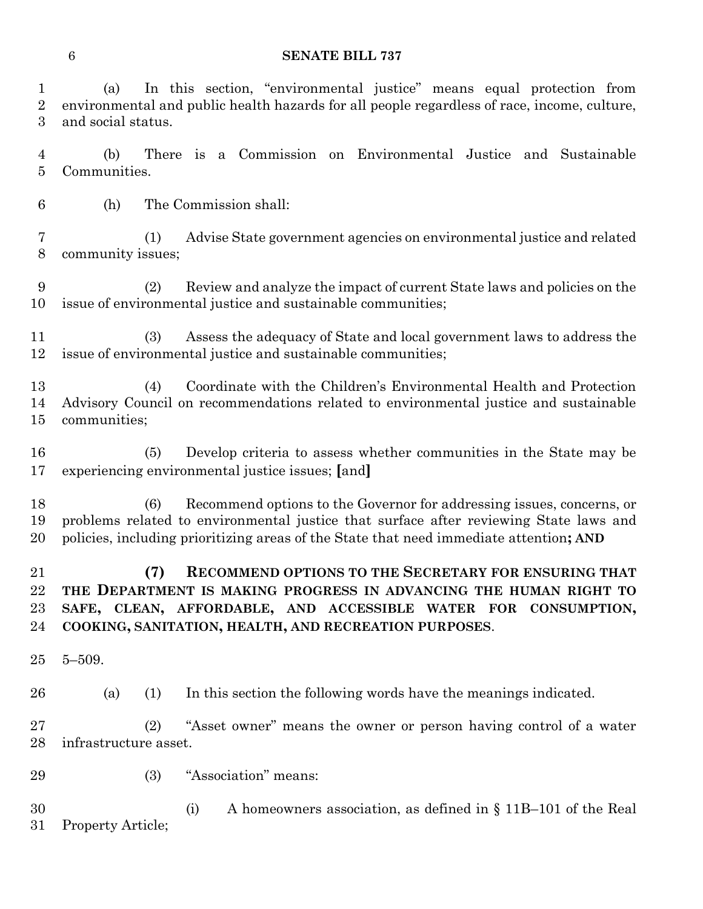(a) In this section, "environmental justice" means equal protection from environmental and public health hazards for all people regardless of race, income, culture, and social status.

 (b) There is a Commission on Environmental Justice and Sustainable Communities.

(h) The Commission shall:

 (1) Advise State government agencies on environmental justice and related community issues;

 (2) Review and analyze the impact of current State laws and policies on the issue of environmental justice and sustainable communities;

 (3) Assess the adequacy of State and local government laws to address the issue of environmental justice and sustainable communities;

 (4) Coordinate with the Children's Environmental Health and Protection Advisory Council on recommendations related to environmental justice and sustainable communities;

 (5) Develop criteria to assess whether communities in the State may be experiencing environmental justice issues; **[**and**]**

 (6) Recommend options to the Governor for addressing issues, concerns, or problems related to environmental justice that surface after reviewing State laws and policies, including prioritizing areas of the State that need immediate attention**; AND**

 **(7) RECOMMEND OPTIONS TO THE SECRETARY FOR ENSURING THAT THE DEPARTMENT IS MAKING PROGRESS IN ADVANCING THE HUMAN RIGHT TO SAFE, CLEAN, AFFORDABLE, AND ACCESSIBLE WATER FOR CONSUMPTION, COOKING, SANITATION, HEALTH, AND RECREATION PURPOSES**.

5–509.

(a) (1) In this section the following words have the meanings indicated.

 (2) "Asset owner" means the owner or person having control of a water infrastructure asset.

(3) "Association" means:

 (i) A homeowners association, as defined in § 11B–101 of the Real Property Article;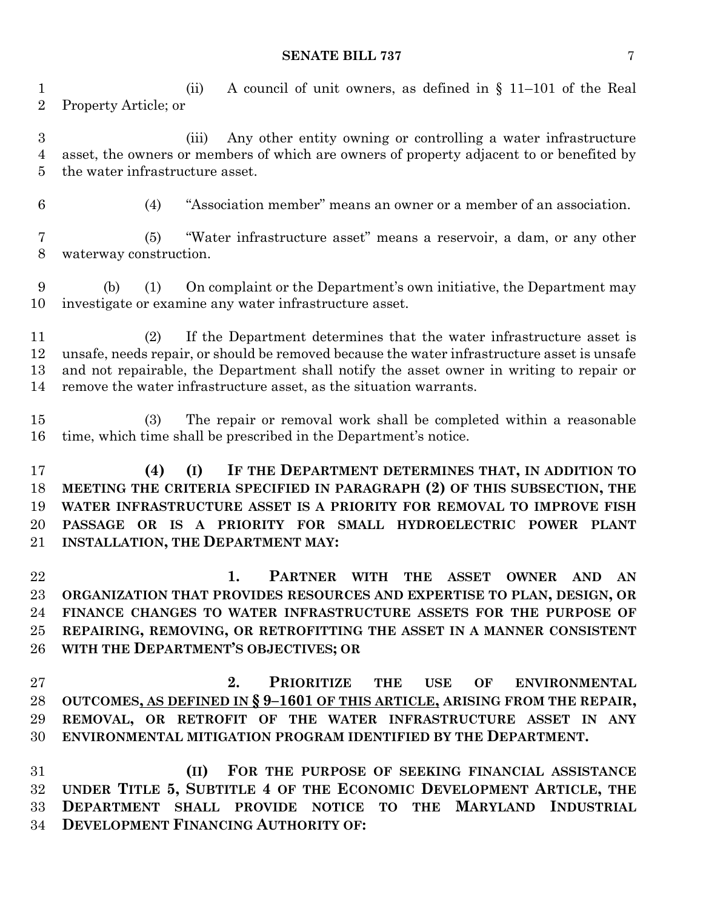(ii) A council of unit owners, as defined in § 11–101 of the Real Property Article; or

 (iii) Any other entity owning or controlling a water infrastructure asset, the owners or members of which are owners of property adjacent to or benefited by the water infrastructure asset.

(4) "Association member" means an owner or a member of an association.

 (5) "Water infrastructure asset" means a reservoir, a dam, or any other waterway construction.

 (b) (1) On complaint or the Department's own initiative, the Department may investigate or examine any water infrastructure asset.

 (2) If the Department determines that the water infrastructure asset is unsafe, needs repair, or should be removed because the water infrastructure asset is unsafe and not repairable, the Department shall notify the asset owner in writing to repair or remove the water infrastructure asset, as the situation warrants.

 (3) The repair or removal work shall be completed within a reasonable time, which time shall be prescribed in the Department's notice.

 **(4) (I) IF THE DEPARTMENT DETERMINES THAT, IN ADDITION TO MEETING THE CRITERIA SPECIFIED IN PARAGRAPH (2) OF THIS SUBSECTION, THE WATER INFRASTRUCTURE ASSET IS A PRIORITY FOR REMOVAL TO IMPROVE FISH PASSAGE OR IS A PRIORITY FOR SMALL HYDROELECTRIC POWER PLANT INSTALLATION, THE DEPARTMENT MAY:**

 **1. PARTNER WITH THE ASSET OWNER AND AN ORGANIZATION THAT PROVIDES RESOURCES AND EXPERTISE TO PLAN, DESIGN, OR FINANCE CHANGES TO WATER INFRASTRUCTURE ASSETS FOR THE PURPOSE OF REPAIRING, REMOVING, OR RETROFITTING THE ASSET IN A MANNER CONSISTENT WITH THE DEPARTMENT'S OBJECTIVES; OR**

 **2. PRIORITIZE THE USE OF ENVIRONMENTAL OUTCOMES, AS DEFINED IN § 9–1601 OF THIS ARTICLE, ARISING FROM THE REPAIR, REMOVAL, OR RETROFIT OF THE WATER INFRASTRUCTURE ASSET IN ANY ENVIRONMENTAL MITIGATION PROGRAM IDENTIFIED BY THE DEPARTMENT.**

 **(II) FOR THE PURPOSE OF SEEKING FINANCIAL ASSISTANCE UNDER TITLE 5, SUBTITLE 4 OF THE ECONOMIC DEVELOPMENT ARTICLE, THE DEPARTMENT SHALL PROVIDE NOTICE TO THE MARYLAND INDUSTRIAL DEVELOPMENT FINANCING AUTHORITY OF:**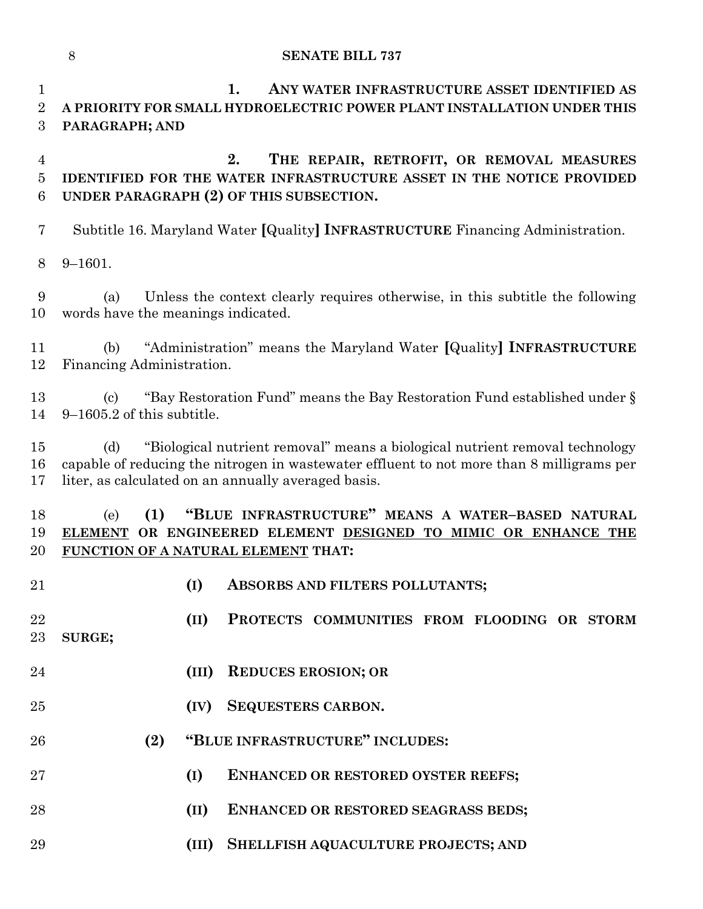**1. ANY WATER INFRASTRUCTURE ASSET IDENTIFIED AS A PRIORITY FOR SMALL HYDROELECTRIC POWER PLANT INSTALLATION UNDER THIS PARAGRAPH; AND**

 **2. THE REPAIR, RETROFIT, OR REMOVAL MEASURES IDENTIFIED FOR THE WATER INFRASTRUCTURE ASSET IN THE NOTICE PROVIDED UNDER PARAGRAPH (2) OF THIS SUBSECTION.**

Subtitle 16. Maryland Water **[**Quality**] INFRASTRUCTURE** Financing Administration.

9–1601.

 (a) Unless the context clearly requires otherwise, in this subtitle the following words have the meanings indicated.

 (b) "Administration" means the Maryland Water **[**Quality**] INFRASTRUCTURE** Financing Administration.

 (c) "Bay Restoration Fund" means the Bay Restoration Fund established under § 9–1605.2 of this subtitle.

 (d) "Biological nutrient removal" means a biological nutrient removal technology capable of reducing the nitrogen in wastewater effluent to not more than 8 milligrams per liter, as calculated on an annually averaged basis.

 (e) **(1) "BLUE INFRASTRUCTURE" MEANS A WATER–BASED NATURAL ELEMENT OR ENGINEERED ELEMENT DESIGNED TO MIMIC OR ENHANCE THE FUNCTION OF A NATURAL ELEMENT THAT:**

- 
- **(I) ABSORBS AND FILTERS POLLUTANTS;**

 **(II) PROTECTS COMMUNITIES FROM FLOODING OR STORM SURGE;**

- **(III) REDUCES EROSION; OR**
- **(IV) SEQUESTERS CARBON.**
- **(2) "BLUE INFRASTRUCTURE" INCLUDES:**
- **(I) ENHANCED OR RESTORED OYSTER REEFS;**
- **(II) ENHANCED OR RESTORED SEAGRASS BEDS;**
- **(III) SHELLFISH AQUACULTURE PROJECTS; AND**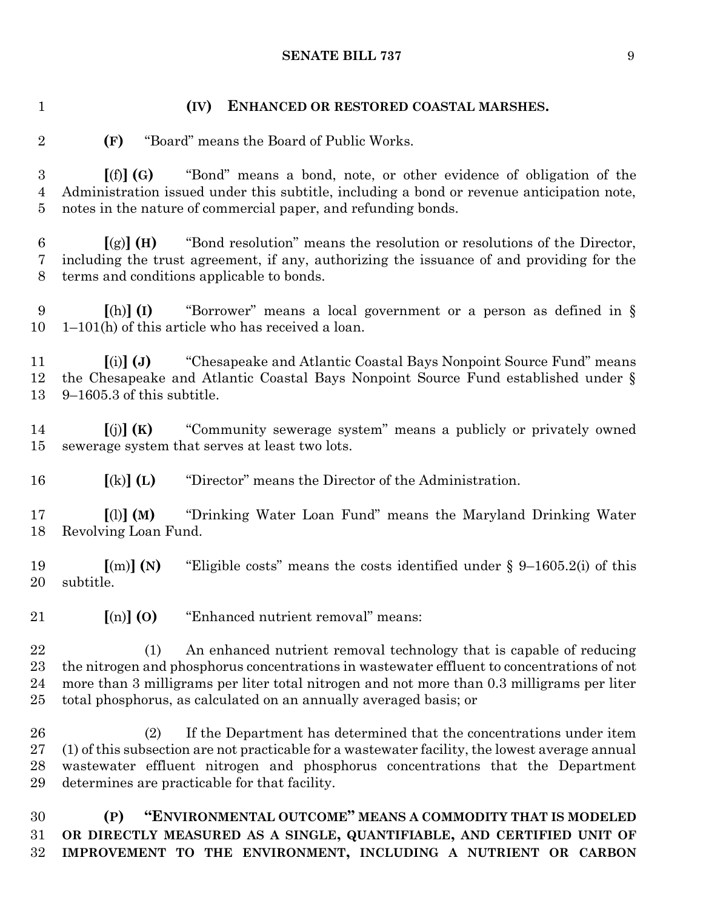### **(IV) ENHANCED OR RESTORED COASTAL MARSHES.**

**(F)** "Board" means the Board of Public Works.

 **[**(f)**] (G)** "Bond" means a bond, note, or other evidence of obligation of the Administration issued under this subtitle, including a bond or revenue anticipation note, notes in the nature of commercial paper, and refunding bonds.

 **[**(g)**] (H)** "Bond resolution" means the resolution or resolutions of the Director, including the trust agreement, if any, authorizing the issuance of and providing for the terms and conditions applicable to bonds.

 **[**(h)**] (I)** "Borrower" means a local government or a person as defined in § 1–101(h) of this article who has received a loan.

 **[**(i)**] (J)** "Chesapeake and Atlantic Coastal Bays Nonpoint Source Fund" means the Chesapeake and Atlantic Coastal Bays Nonpoint Source Fund established under § 9–1605.3 of this subtitle.

 **[**(j)**] (K)** "Community sewerage system" means a publicly or privately owned sewerage system that serves at least two lots.

**[**(k)**] (L)** "Director" means the Director of the Administration.

 **[**(l)**] (M)** "Drinking Water Loan Fund" means the Maryland Drinking Water Revolving Loan Fund.

 **[**(m)**] (N)** "Eligible costs" means the costs identified under § 9–1605.2(i) of this subtitle.

**[**(n)**] (O)** "Enhanced nutrient removal" means:

 (1) An enhanced nutrient removal technology that is capable of reducing the nitrogen and phosphorus concentrations in wastewater effluent to concentrations of not more than 3 milligrams per liter total nitrogen and not more than 0.3 milligrams per liter total phosphorus, as calculated on an annually averaged basis; or

 (2) If the Department has determined that the concentrations under item (1) of this subsection are not practicable for a wastewater facility, the lowest average annual wastewater effluent nitrogen and phosphorus concentrations that the Department determines are practicable for that facility.

 **(P) "ENVIRONMENTAL OUTCOME" MEANS A COMMODITY THAT IS MODELED OR DIRECTLY MEASURED AS A SINGLE, QUANTIFIABLE, AND CERTIFIED UNIT OF IMPROVEMENT TO THE ENVIRONMENT, INCLUDING A NUTRIENT OR CARBON**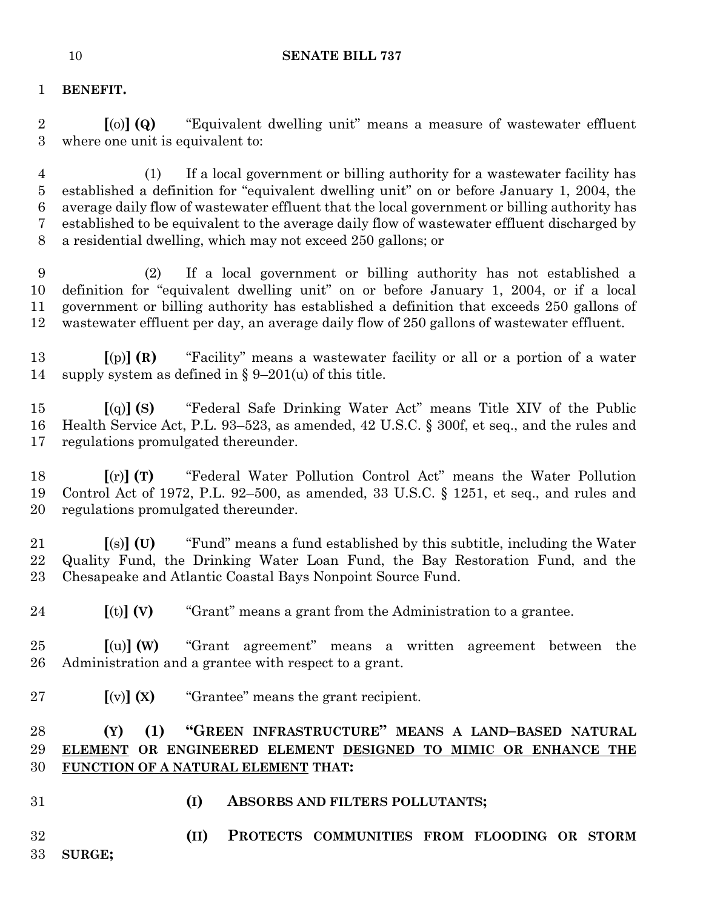## **BENEFIT.**

 **[**(o)**] (Q)** "Equivalent dwelling unit" means a measure of wastewater effluent where one unit is equivalent to:

 (1) If a local government or billing authority for a wastewater facility has established a definition for "equivalent dwelling unit" on or before January 1, 2004, the average daily flow of wastewater effluent that the local government or billing authority has established to be equivalent to the average daily flow of wastewater effluent discharged by a residential dwelling, which may not exceed 250 gallons; or

 (2) If a local government or billing authority has not established a definition for "equivalent dwelling unit" on or before January 1, 2004, or if a local government or billing authority has established a definition that exceeds 250 gallons of wastewater effluent per day, an average daily flow of 250 gallons of wastewater effluent.

 **[**(p)**] (R)** "Facility" means a wastewater facility or all or a portion of a water supply system as defined in § 9–201(u) of this title.

 **[**(q)**] (S)** "Federal Safe Drinking Water Act" means Title XIV of the Public Health Service Act, P.L. 93–523, as amended, 42 U.S.C. § 300f, et seq., and the rules and regulations promulgated thereunder.

 **[**(r)**] (T)** "Federal Water Pollution Control Act" means the Water Pollution Control Act of 1972, P.L. 92–500, as amended, 33 U.S.C. § 1251, et seq., and rules and regulations promulgated thereunder.

 **[**(s)**] (U)** "Fund" means a fund established by this subtitle, including the Water Quality Fund, the Drinking Water Loan Fund, the Bay Restoration Fund, and the Chesapeake and Atlantic Coastal Bays Nonpoint Source Fund.

**[**(t)**] (V)** "Grant" means a grant from the Administration to a grantee.

 **[**(u)**] (W)** "Grant agreement" means a written agreement between the Administration and a grantee with respect to a grant.

**[**(v)**] (X)** "Grantee" means the grant recipient.

# **(Y) (1) "GREEN INFRASTRUCTURE" MEANS A LAND–BASED NATURAL ELEMENT OR ENGINEERED ELEMENT DESIGNED TO MIMIC OR ENHANCE THE FUNCTION OF A NATURAL ELEMENT THAT:**

- 
- **(I) ABSORBS AND FILTERS POLLUTANTS;**

**(II) PROTECTS COMMUNITIES FROM FLOODING OR STORM** 

**SURGE;**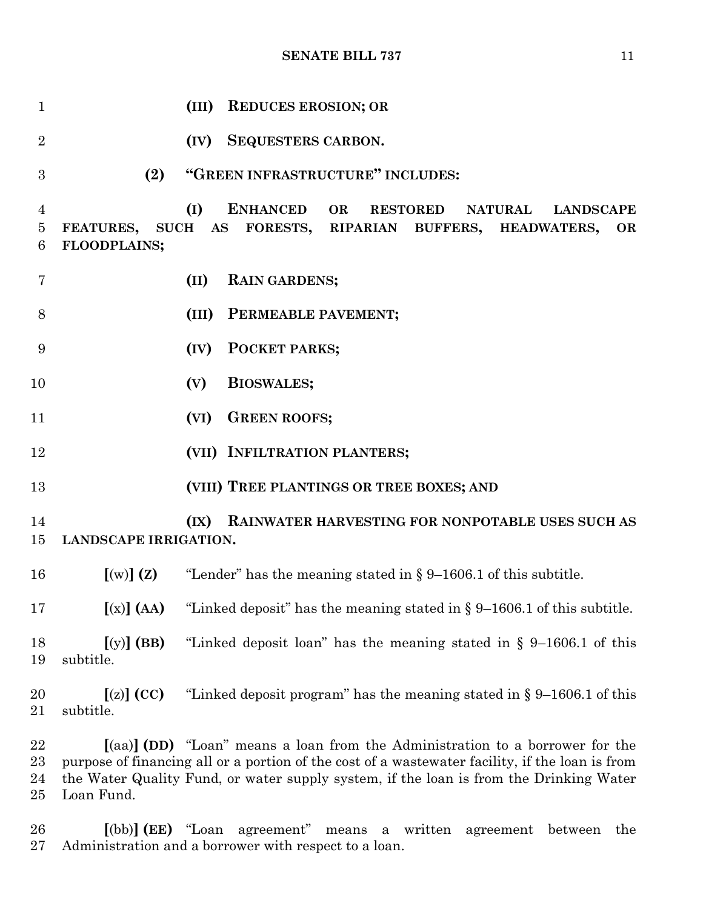| 1                                     |                                  | <b>REDUCES EROSION; OR</b><br>(III)                                                                                                                                                                                                                                        |
|---------------------------------------|----------------------------------|----------------------------------------------------------------------------------------------------------------------------------------------------------------------------------------------------------------------------------------------------------------------------|
| $\overline{2}$                        |                                  | <b>SEQUESTERS CARBON.</b><br>(IV)                                                                                                                                                                                                                                          |
| 3                                     | (2)                              | "GREEN INFRASTRUCTURE" INCLUDES:                                                                                                                                                                                                                                           |
| $\overline{4}$<br>$\overline{5}$<br>6 | <b>FEATURES,</b><br>FLOODPLAINS; | <b>ENHANCED</b><br>OR<br>(I)<br><b>RESTORED</b><br><b>NATURAL</b><br><b>LANDSCAPE</b><br>SUCH AS FORESTS, RIPARIAN BUFFERS, HEADWATERS,<br><b>OR</b>                                                                                                                       |
| $\overline{7}$                        |                                  | (II)<br><b>RAIN GARDENS;</b>                                                                                                                                                                                                                                               |
| 8                                     |                                  | PERMEABLE PAVEMENT;<br>(III)                                                                                                                                                                                                                                               |
| 9                                     |                                  | POCKET PARKS;<br>(IV)                                                                                                                                                                                                                                                      |
| 10                                    |                                  | <b>BIOSWALES;</b><br>(V)                                                                                                                                                                                                                                                   |
| 11                                    |                                  | <b>GREEN ROOFS;</b><br>(VI)                                                                                                                                                                                                                                                |
| 12                                    |                                  | (VII) INFILTRATION PLANTERS;                                                                                                                                                                                                                                               |
| 13                                    |                                  | (VIII) TREE PLANTINGS OR TREE BOXES; AND                                                                                                                                                                                                                                   |
| 14<br>15                              | <b>LANDSCAPE IRRIGATION.</b>     | RAINWATER HARVESTING FOR NONPOTABLE USES SUCH AS<br>(IX)                                                                                                                                                                                                                   |
| 16                                    |                                  | $[(w)]$ (Z) "Lender" has the meaning stated in § 9–1606.1 of this subtitle.                                                                                                                                                                                                |
| 17                                    | $[(x)]$ (AA)                     | "Linked deposit" has the meaning stated in $\S 9-1606.1$ of this subtitle.                                                                                                                                                                                                 |
| 18<br>19                              | $[(y)]$ (BB)<br>subtitle.        | "Linked deposit loan" has the meaning stated in $\S$ 9-1606.1 of this                                                                                                                                                                                                      |
| 20<br>21                              | $[(z)]$ (CC)<br>subtitle.        | "Linked deposit program" has the meaning stated in $\S 9-1606.1$ of this                                                                                                                                                                                                   |
| 22<br>23<br>24<br>25                  | Loan Fund.                       | [(aa)] (DD) "Loan" means a loan from the Administration to a borrower for the<br>purpose of financing all or a portion of the cost of a wastewater facility, if the loan is from<br>the Water Quality Fund, or water supply system, if the loan is from the Drinking Water |

 **[**(bb)**] (EE)** "Loan agreement" means a written agreement between the Administration and a borrower with respect to a loan.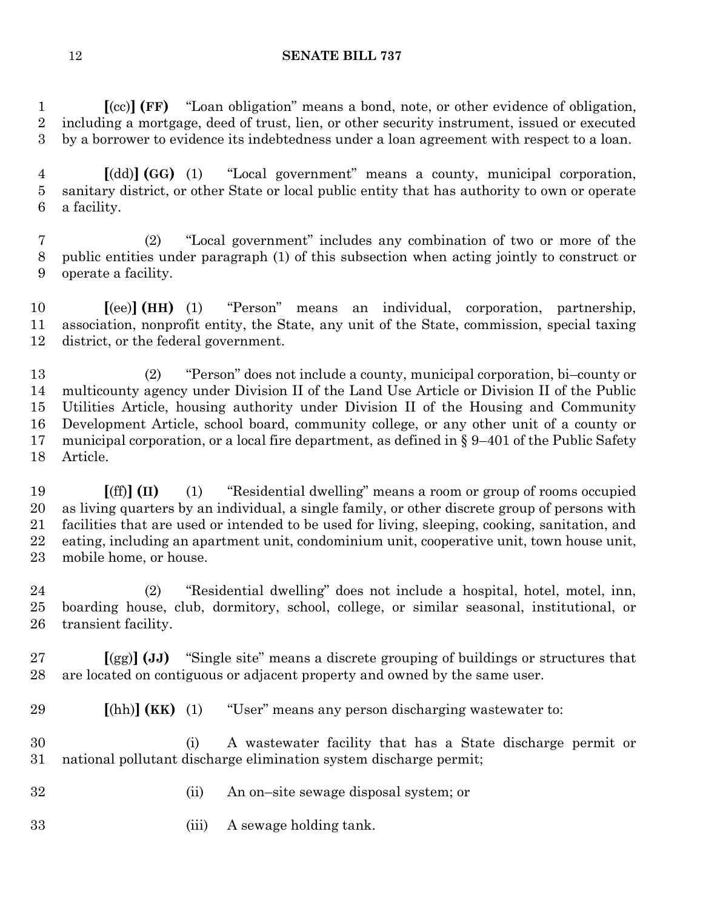**[**(cc)**] (FF)** "Loan obligation" means a bond, note, or other evidence of obligation, including a mortgage, deed of trust, lien, or other security instrument, issued or executed by a borrower to evidence its indebtedness under a loan agreement with respect to a loan.

 **[**(dd)**] (GG)** (1) "Local government" means a county, municipal corporation, sanitary district, or other State or local public entity that has authority to own or operate a facility.

 (2) "Local government" includes any combination of two or more of the public entities under paragraph (1) of this subsection when acting jointly to construct or operate a facility.

 **[**(ee)**] (HH)** (1) "Person" means an individual, corporation, partnership, association, nonprofit entity, the State, any unit of the State, commission, special taxing district, or the federal government.

 (2) "Person" does not include a county, municipal corporation, bi–county or multicounty agency under Division II of the Land Use Article or Division II of the Public Utilities Article, housing authority under Division II of the Housing and Community Development Article, school board, community college, or any other unit of a county or municipal corporation, or a local fire department, as defined in § 9–401 of the Public Safety Article.

 **[**(ff)**] (II)** (1) "Residential dwelling" means a room or group of rooms occupied as living quarters by an individual, a single family, or other discrete group of persons with facilities that are used or intended to be used for living, sleeping, cooking, sanitation, and eating, including an apartment unit, condominium unit, cooperative unit, town house unit, mobile home, or house.

 (2) "Residential dwelling" does not include a hospital, hotel, motel, inn, boarding house, club, dormitory, school, college, or similar seasonal, institutional, or transient facility.

 **[**(gg)**] (JJ)** "Single site" means a discrete grouping of buildings or structures that are located on contiguous or adjacent property and owned by the same user.

**[**(hh)**] (KK)** (1) "User" means any person discharging wastewater to:

 (i) A wastewater facility that has a State discharge permit or national pollutant discharge elimination system discharge permit;

- (ii) An on–site sewage disposal system; or
- (iii) A sewage holding tank.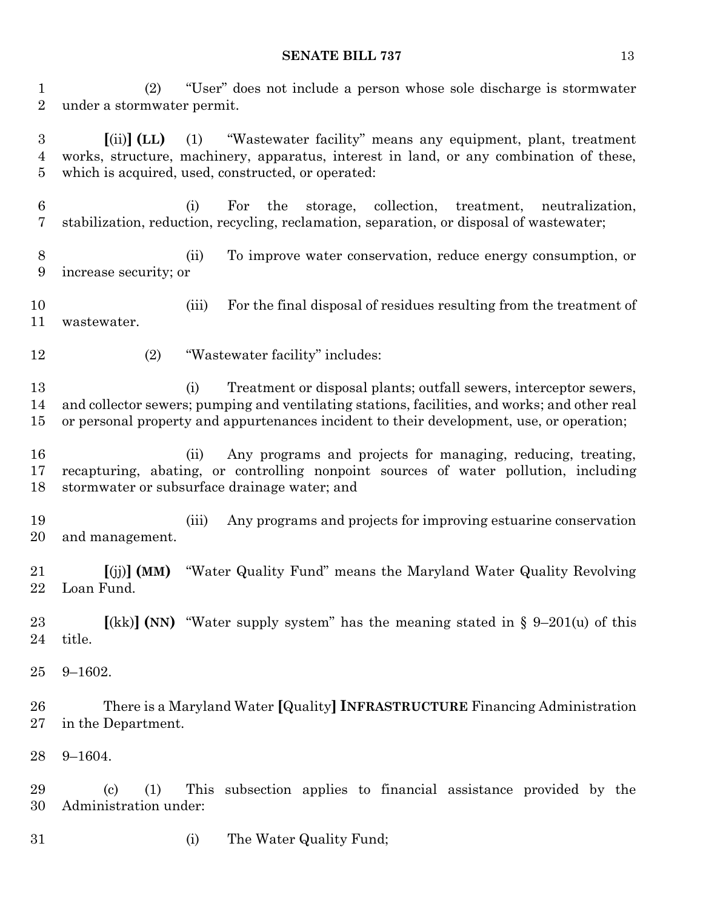(2) "User" does not include a person whose sole discharge is stormwater under a stormwater permit.

 **[**(ii)**] (LL)** (1) "Wastewater facility" means any equipment, plant, treatment works, structure, machinery, apparatus, interest in land, or any combination of these, which is acquired, used, constructed, or operated:

- (i) For the storage, collection, treatment, neutralization, stabilization, reduction, recycling, reclamation, separation, or disposal of wastewater;
- (ii) To improve water conservation, reduce energy consumption, or increase security; or

 (iii) For the final disposal of residues resulting from the treatment of wastewater.

- 
- (2) "Wastewater facility" includes:

 (i) Treatment or disposal plants; outfall sewers, interceptor sewers, and collector sewers; pumping and ventilating stations, facilities, and works; and other real or personal property and appurtenances incident to their development, use, or operation;

- (ii) Any programs and projects for managing, reducing, treating, recapturing, abating, or controlling nonpoint sources of water pollution, including stormwater or subsurface drainage water; and
- (iii) Any programs and projects for improving estuarine conservation and management.
- **[**(jj)**] (MM)** "Water Quality Fund" means the Maryland Water Quality Revolving Loan Fund.

 **[**(kk)**] (NN)** "Water supply system" has the meaning stated in § 9–201(u) of this title.

9–1602.

 There is a Maryland Water **[**Quality**] INFRASTRUCTURE** Financing Administration in the Department.

9–1604.

 (c) (1) This subsection applies to financial assistance provided by the Administration under:

(i) The Water Quality Fund;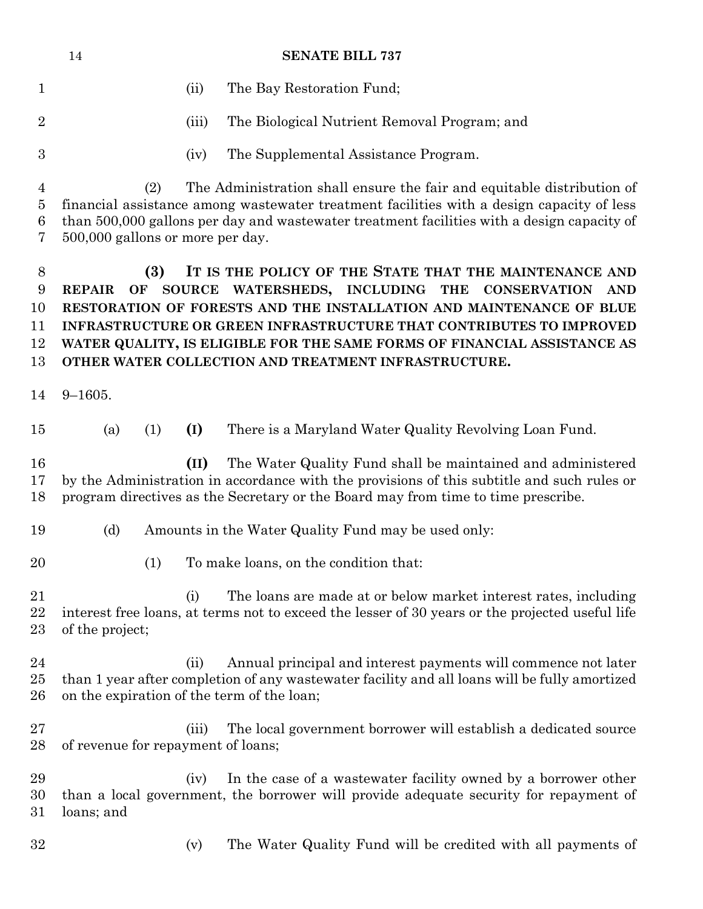|                                    | 14                                 |           |               | <b>SENATE BILL 737</b>                                                                                                                                                                                                                                                                                                                                                                              |
|------------------------------------|------------------------------------|-----------|---------------|-----------------------------------------------------------------------------------------------------------------------------------------------------------------------------------------------------------------------------------------------------------------------------------------------------------------------------------------------------------------------------------------------------|
| $\mathbf 1$                        |                                    |           | (ii)          | The Bay Restoration Fund;                                                                                                                                                                                                                                                                                                                                                                           |
| $\overline{2}$                     |                                    |           | (iii)         | The Biological Nutrient Removal Program; and                                                                                                                                                                                                                                                                                                                                                        |
| $\boldsymbol{3}$                   |                                    |           | (iv)          | The Supplemental Assistance Program.                                                                                                                                                                                                                                                                                                                                                                |
| $\overline{4}$<br>5<br>6<br>7      | 500,000 gallons or more per day.   | (2)       |               | The Administration shall ensure the fair and equitable distribution of<br>financial assistance among wastewater treatment facilities with a design capacity of less<br>than 500,000 gallons per day and wastewater treatment facilities with a design capacity of                                                                                                                                   |
| $8\,$<br>9<br>10<br>11<br>12<br>13 | <b>REPAIR</b>                      | (3)<br>OF | <b>SOURCE</b> | IT IS THE POLICY OF THE STATE THAT THE MAINTENANCE AND<br>WATERSHEDS, INCLUDING THE<br><b>CONSERVATION</b><br>AND<br>RESTORATION OF FORESTS AND THE INSTALLATION AND MAINTENANCE OF BLUE<br>INFRASTRUCTURE OR GREEN INFRASTRUCTURE THAT CONTRIBUTES TO IMPROVED<br>WATER QUALITY, IS ELIGIBLE FOR THE SAME FORMS OF FINANCIAL ASSISTANCE AS<br>OTHER WATER COLLECTION AND TREATMENT INFRASTRUCTURE. |
| 14                                 | $9 - 1605.$                        |           |               |                                                                                                                                                                                                                                                                                                                                                                                                     |
| 15                                 | (a)                                | (1)       | (I)           | There is a Maryland Water Quality Revolving Loan Fund.                                                                                                                                                                                                                                                                                                                                              |
| 16<br>17<br>18                     |                                    |           | (II)          | The Water Quality Fund shall be maintained and administered<br>by the Administration in accordance with the provisions of this subtitle and such rules or<br>program directives as the Secretary or the Board may from time to time prescribe.                                                                                                                                                      |
| 19                                 | (d)                                |           |               | Amounts in the Water Quality Fund may be used only:                                                                                                                                                                                                                                                                                                                                                 |
| 20                                 |                                    | (1)       |               | To make loans, on the condition that:                                                                                                                                                                                                                                                                                                                                                               |
| 21<br>22<br>23                     | of the project;                    |           | (i)           | The loans are made at or below market interest rates, including<br>interest free loans, at terms not to exceed the lesser of 30 years or the projected useful life                                                                                                                                                                                                                                  |
| 24<br>25<br>26                     |                                    |           | (ii)          | Annual principal and interest payments will commence not later<br>than 1 year after completion of any wastewater facility and all loans will be fully amortized<br>on the expiration of the term of the loan;                                                                                                                                                                                       |
| 27<br>28                           | of revenue for repayment of loans; |           | (iii)         | The local government borrower will establish a dedicated source                                                                                                                                                                                                                                                                                                                                     |
| 29<br>30<br>31                     | loans; and                         |           | (iv)          | In the case of a wastewater facility owned by a borrower other<br>than a local government, the borrower will provide adequate security for repayment of                                                                                                                                                                                                                                             |
| 32                                 |                                    |           | (v)           | The Water Quality Fund will be credited with all payments of                                                                                                                                                                                                                                                                                                                                        |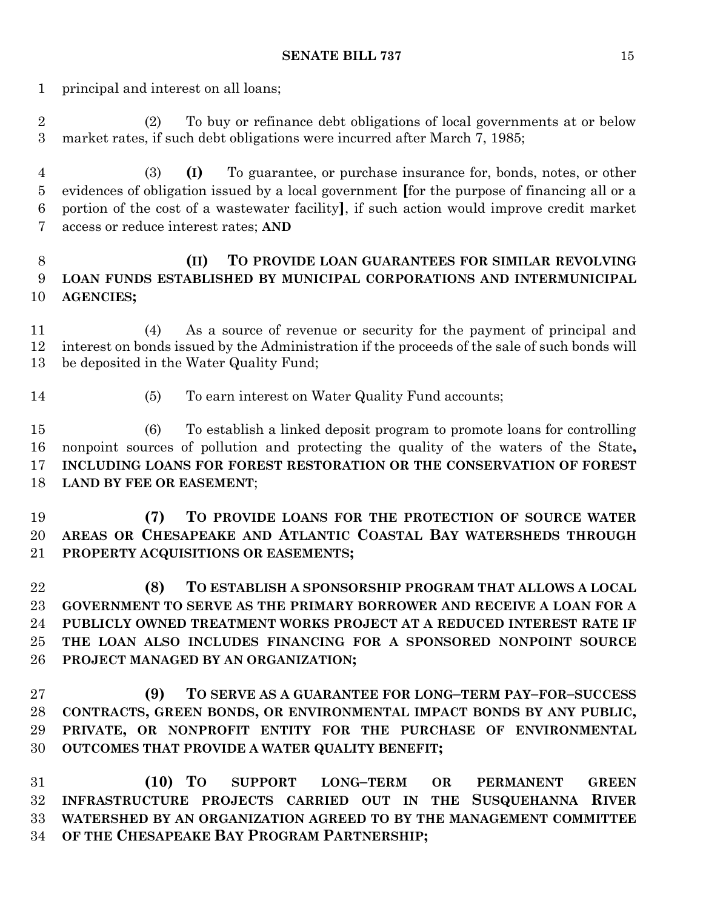principal and interest on all loans;

 (2) To buy or refinance debt obligations of local governments at or below market rates, if such debt obligations were incurred after March 7, 1985;

 (3) **(I)** To guarantee, or purchase insurance for, bonds, notes, or other evidences of obligation issued by a local government **[**for the purpose of financing all or a portion of the cost of a wastewater facility**]**, if such action would improve credit market access or reduce interest rates; **AND**

# **(II) TO PROVIDE LOAN GUARANTEES FOR SIMILAR REVOLVING LOAN FUNDS ESTABLISHED BY MUNICIPAL CORPORATIONS AND INTERMUNICIPAL AGENCIES;**

 (4) As a source of revenue or security for the payment of principal and interest on bonds issued by the Administration if the proceeds of the sale of such bonds will be deposited in the Water Quality Fund;

- 
- (5) To earn interest on Water Quality Fund accounts;

 (6) To establish a linked deposit program to promote loans for controlling nonpoint sources of pollution and protecting the quality of the waters of the State**, INCLUDING LOANS FOR FOREST RESTORATION OR THE CONSERVATION OF FOREST LAND BY FEE OR EASEMENT**;

 **(7) TO PROVIDE LOANS FOR THE PROTECTION OF SOURCE WATER AREAS OR CHESAPEAKE AND ATLANTIC COASTAL BAY WATERSHEDS THROUGH PROPERTY ACQUISITIONS OR EASEMENTS;**

 **(8) TO ESTABLISH A SPONSORSHIP PROGRAM THAT ALLOWS A LOCAL GOVERNMENT TO SERVE AS THE PRIMARY BORROWER AND RECEIVE A LOAN FOR A PUBLICLY OWNED TREATMENT WORKS PROJECT AT A REDUCED INTEREST RATE IF THE LOAN ALSO INCLUDES FINANCING FOR A SPONSORED NONPOINT SOURCE PROJECT MANAGED BY AN ORGANIZATION;**

 **(9) TO SERVE AS A GUARANTEE FOR LONG–TERM PAY–FOR–SUCCESS CONTRACTS, GREEN BONDS, OR ENVIRONMENTAL IMPACT BONDS BY ANY PUBLIC, PRIVATE, OR NONPROFIT ENTITY FOR THE PURCHASE OF ENVIRONMENTAL OUTCOMES THAT PROVIDE A WATER QUALITY BENEFIT;**

 **(10) TO SUPPORT LONG–TERM OR PERMANENT GREEN INFRASTRUCTURE PROJECTS CARRIED OUT IN THE SUSQUEHANNA RIVER WATERSHED BY AN ORGANIZATION AGREED TO BY THE MANAGEMENT COMMITTEE OF THE CHESAPEAKE BAY PROGRAM PARTNERSHIP;**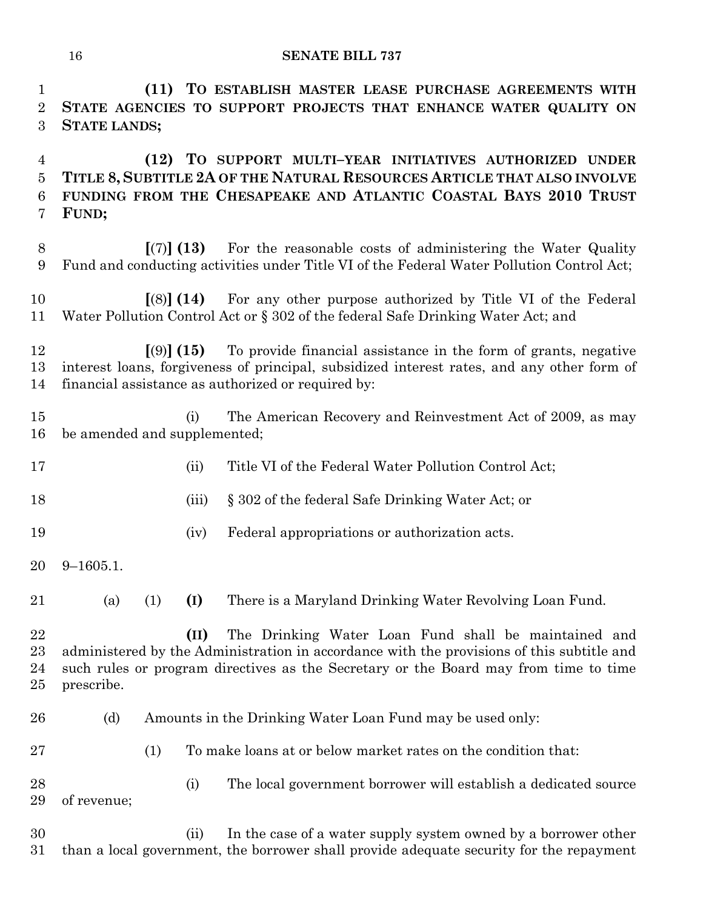**(11) TO ESTABLISH MASTER LEASE PURCHASE AGREEMENTS WITH STATE AGENCIES TO SUPPORT PROJECTS THAT ENHANCE WATER QUALITY ON** 

 **(12) TO SUPPORT MULTI–YEAR INITIATIVES AUTHORIZED UNDER TITLE 8, SUBTITLE 2A OF THE NATURAL RESOURCES ARTICLE THAT ALSO INVOLVE FUNDING FROM THE CHESAPEAKE AND ATLANTIC COASTAL BAYS 2010 TRUST FUND; [**(7)**] (13)** For the reasonable costs of administering the Water Quality Fund and conducting activities under Title VI of the Federal Water Pollution Control Act; **[**(8)**] (14)** For any other purpose authorized by Title VI of the Federal Water Pollution Control Act or § 302 of the federal Safe Drinking Water Act; and **[**(9)**] (15)** To provide financial assistance in the form of grants, negative interest loans, forgiveness of principal, subsidized interest rates, and any other form of financial assistance as authorized or required by: (i) The American Recovery and Reinvestment Act of 2009, as may be amended and supplemented; 17 (ii) Title VI of the Federal Water Pollution Control Act; (iii) § 302 of the federal Safe Drinking Water Act; or (iv) Federal appropriations or authorization acts. 9–1605.1. (a) (1) **(I)** There is a Maryland Drinking Water Revolving Loan Fund. **(II)** The Drinking Water Loan Fund shall be maintained and administered by the Administration in accordance with the provisions of this subtitle and such rules or program directives as the Secretary or the Board may from time to time prescribe. (d) Amounts in the Drinking Water Loan Fund may be used only: (1) To make loans at or below market rates on the condition that: (i) The local government borrower will establish a dedicated source of revenue;

 (ii) In the case of a water supply system owned by a borrower other than a local government, the borrower shall provide adequate security for the repayment

**STATE LANDS;**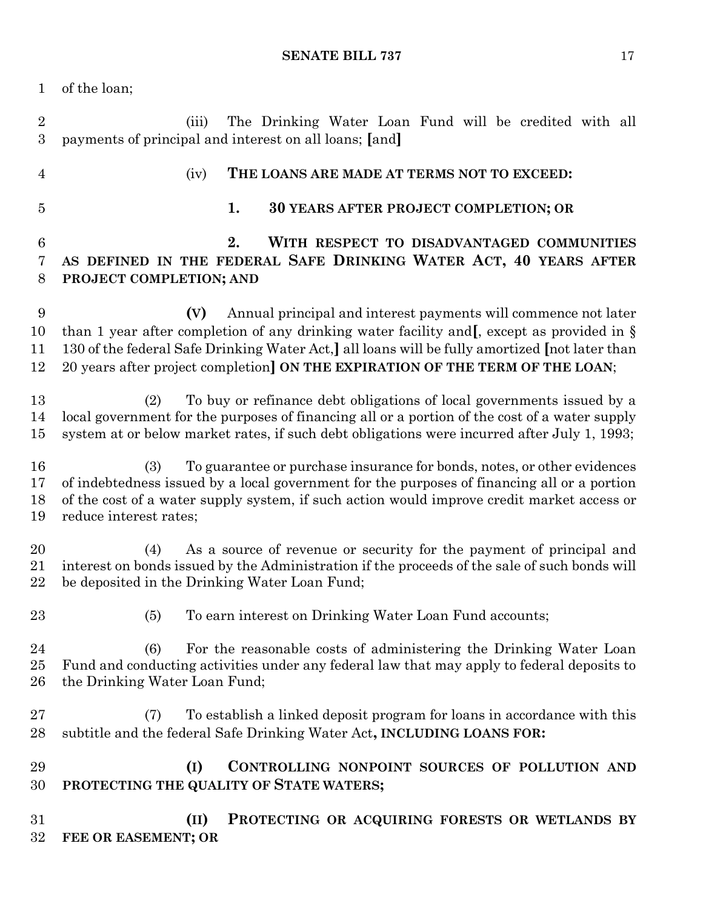of the loan;

 (iii) The Drinking Water Loan Fund will be credited with all payments of principal and interest on all loans; **[**and**]** (iv) **THE LOANS ARE MADE AT TERMS NOT TO EXCEED: 1. 30 YEARS AFTER PROJECT COMPLETION; OR 2. WITH RESPECT TO DISADVANTAGED COMMUNITIES AS DEFINED IN THE FEDERAL SAFE DRINKING WATER ACT, 40 YEARS AFTER PROJECT COMPLETION; AND (V)** Annual principal and interest payments will commence not later than 1 year after completion of any drinking water facility and**[**, except as provided in § 130 of the federal Safe Drinking Water Act,**]** all loans will be fully amortized **[**not later than

20 years after project completion**] ON THE EXPIRATION OF THE TERM OF THE LOAN**;

 (2) To buy or refinance debt obligations of local governments issued by a local government for the purposes of financing all or a portion of the cost of a water supply system at or below market rates, if such debt obligations were incurred after July 1, 1993;

 (3) To guarantee or purchase insurance for bonds, notes, or other evidences of indebtedness issued by a local government for the purposes of financing all or a portion of the cost of a water supply system, if such action would improve credit market access or reduce interest rates;

 (4) As a source of revenue or security for the payment of principal and interest on bonds issued by the Administration if the proceeds of the sale of such bonds will be deposited in the Drinking Water Loan Fund;

(5) To earn interest on Drinking Water Loan Fund accounts;

 (6) For the reasonable costs of administering the Drinking Water Loan Fund and conducting activities under any federal law that may apply to federal deposits to the Drinking Water Loan Fund;

 (7) To establish a linked deposit program for loans in accordance with this subtitle and the federal Safe Drinking Water Act**, INCLUDING LOANS FOR:**

 **(I) CONTROLLING NONPOINT SOURCES OF POLLUTION AND PROTECTING THE QUALITY OF STATE WATERS;**

 **(II) PROTECTING OR ACQUIRING FORESTS OR WETLANDS BY FEE OR EASEMENT; OR**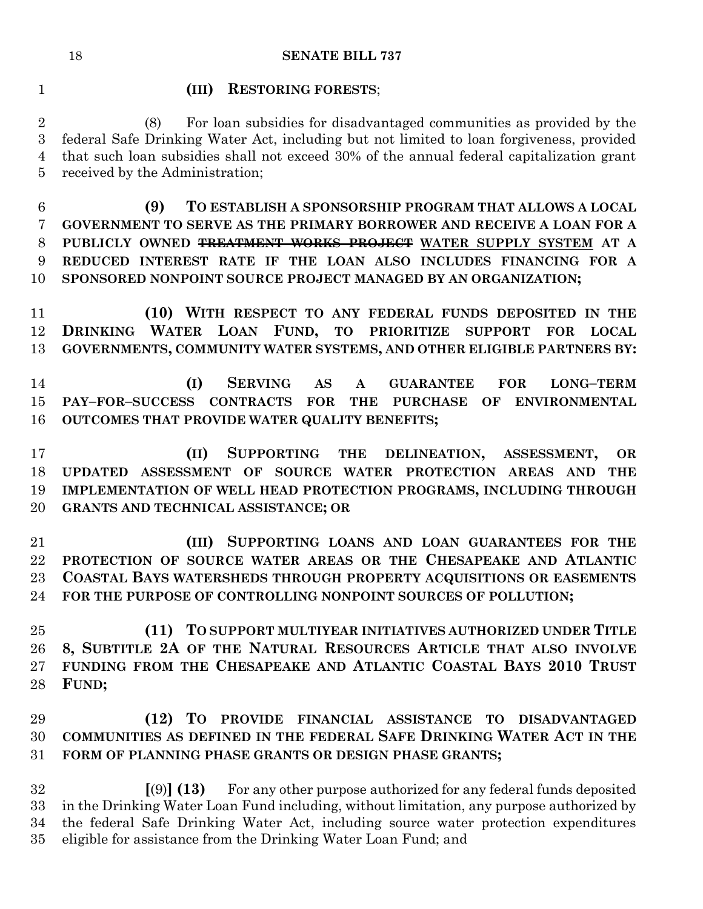## **(III) RESTORING FORESTS**;

 (8) For loan subsidies for disadvantaged communities as provided by the federal Safe Drinking Water Act, including but not limited to loan forgiveness, provided that such loan subsidies shall not exceed 30% of the annual federal capitalization grant received by the Administration;

 **(9) TO ESTABLISH A SPONSORSHIP PROGRAM THAT ALLOWS A LOCAL GOVERNMENT TO SERVE AS THE PRIMARY BORROWER AND RECEIVE A LOAN FOR A PUBLICLY OWNED TREATMENT WORKS PROJECT WATER SUPPLY SYSTEM AT A REDUCED INTEREST RATE IF THE LOAN ALSO INCLUDES FINANCING FOR A SPONSORED NONPOINT SOURCE PROJECT MANAGED BY AN ORGANIZATION;**

 **(10) WITH RESPECT TO ANY FEDERAL FUNDS DEPOSITED IN THE DRINKING WATER LOAN FUND, TO PRIORITIZE SUPPORT FOR LOCAL GOVERNMENTS, COMMUNITY WATER SYSTEMS, AND OTHER ELIGIBLE PARTNERS BY:**

 **(I) SERVING AS A GUARANTEE FOR LONG–TERM PAY–FOR–SUCCESS CONTRACTS FOR THE PURCHASE OF ENVIRONMENTAL OUTCOMES THAT PROVIDE WATER QUALITY BENEFITS;**

 **(II) SUPPORTING THE DELINEATION, ASSESSMENT, OR UPDATED ASSESSMENT OF SOURCE WATER PROTECTION AREAS AND THE IMPLEMENTATION OF WELL HEAD PROTECTION PROGRAMS, INCLUDING THROUGH GRANTS AND TECHNICAL ASSISTANCE; OR**

 **(III) SUPPORTING LOANS AND LOAN GUARANTEES FOR THE PROTECTION OF SOURCE WATER AREAS OR THE CHESAPEAKE AND ATLANTIC COASTAL BAYS WATERSHEDS THROUGH PROPERTY ACQUISITIONS OR EASEMENTS FOR THE PURPOSE OF CONTROLLING NONPOINT SOURCES OF POLLUTION;**

 **(11) TO SUPPORT MULTIYEAR INITIATIVES AUTHORIZED UNDER TITLE 8, SUBTITLE 2A OF THE NATURAL RESOURCES ARTICLE THAT ALSO INVOLVE FUNDING FROM THE CHESAPEAKE AND ATLANTIC COASTAL BAYS 2010 TRUST FUND;**

# **(12) TO PROVIDE FINANCIAL ASSISTANCE TO DISADVANTAGED COMMUNITIES AS DEFINED IN THE FEDERAL SAFE DRINKING WATER ACT IN THE FORM OF PLANNING PHASE GRANTS OR DESIGN PHASE GRANTS;**

 **[**(9)**] (13)** For any other purpose authorized for any federal funds deposited in the Drinking Water Loan Fund including, without limitation, any purpose authorized by the federal Safe Drinking Water Act, including source water protection expenditures eligible for assistance from the Drinking Water Loan Fund; and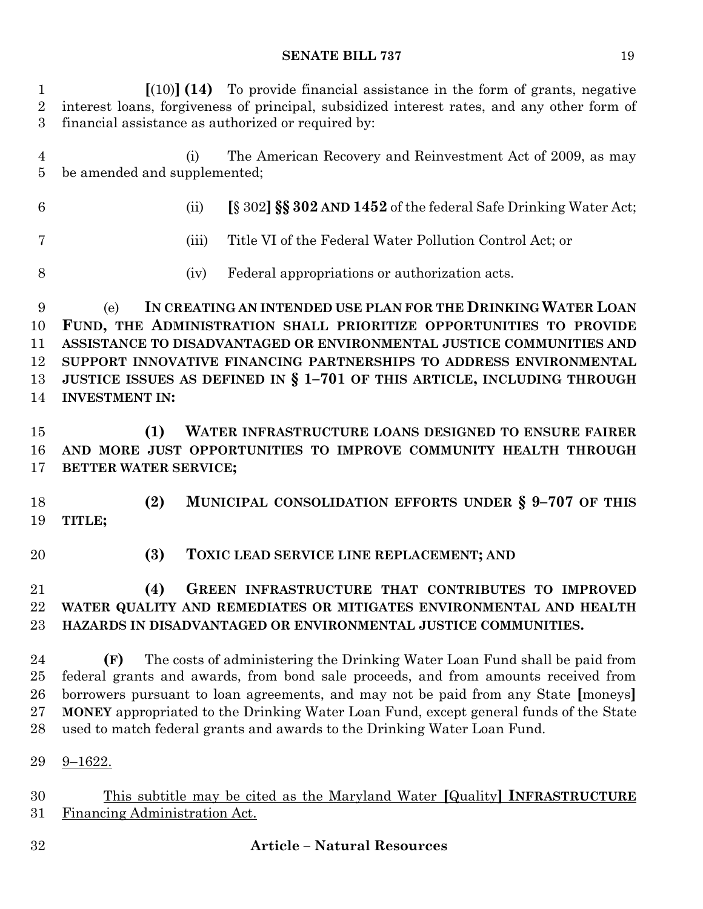| $\mathbf 1$<br>$\overline{2}$<br>3 | $\lceil (10) \rceil$ (14) To provide financial assistance in the form of grants, negative<br>interest loans, forgiveness of principal, subsidized interest rates, and any other form of<br>financial assistance as authorized or required by:                                                                                                                                                                                      |
|------------------------------------|------------------------------------------------------------------------------------------------------------------------------------------------------------------------------------------------------------------------------------------------------------------------------------------------------------------------------------------------------------------------------------------------------------------------------------|
| $\overline{4}$<br>$\overline{5}$   | The American Recovery and Reinvestment Act of 2009, as may<br>(i)<br>be amended and supplemented;                                                                                                                                                                                                                                                                                                                                  |
| $6\phantom{.}6$                    | [§ 302] SS 302 AND 1452 of the federal Safe Drinking Water Act;<br>(ii)                                                                                                                                                                                                                                                                                                                                                            |
| 7                                  | Title VI of the Federal Water Pollution Control Act; or<br>(iii)                                                                                                                                                                                                                                                                                                                                                                   |
| 8                                  | Federal appropriations or authorization acts.<br>(iv)                                                                                                                                                                                                                                                                                                                                                                              |
| 9<br>10<br>11<br>12<br>13<br>14    | IN CREATING AN INTENDED USE PLAN FOR THE DRINKING WATER LOAN<br>(e)<br>FUND, THE ADMINISTRATION SHALL PRIORITIZE OPPORTUNITIES TO PROVIDE<br>ASSISTANCE TO DISADVANTAGED OR ENVIRONMENTAL JUSTICE COMMUNITIES AND<br>SUPPORT INNOVATIVE FINANCING PARTNERSHIPS TO ADDRESS ENVIRONMENTAL<br>JUSTICE ISSUES AS DEFINED IN § 1-701 OF THIS ARTICLE, INCLUDING THROUGH<br><b>INVESTMENT IN:</b>                                        |
| 15<br>16<br>17                     | WATER INFRASTRUCTURE LOANS DESIGNED TO ENSURE FAIRER<br>(1)<br>AND MORE JUST OPPORTUNITIES TO IMPROVE COMMUNITY HEALTH THROUGH<br>BETTER WATER SERVICE;                                                                                                                                                                                                                                                                            |
| 18<br>19                           | MUNICIPAL CONSOLIDATION EFFORTS UNDER § 9-707 OF THIS<br>(2)<br>TITLE;                                                                                                                                                                                                                                                                                                                                                             |
| 20                                 | (3)<br>TOXIC LEAD SERVICE LINE REPLACEMENT; AND                                                                                                                                                                                                                                                                                                                                                                                    |
| 21<br>22<br>23                     | (4)<br>GREEN INFRASTRUCTURE THAT CONTRIBUTES TO IMPROVED<br>WATER QUALITY AND REMEDIATES OR MITIGATES ENVIRONMENTAL AND HEALTH<br>HAZARDS IN DISADVANTAGED OR ENVIRONMENTAL JUSTICE COMMUNITIES.                                                                                                                                                                                                                                   |
| 24<br>25<br>26<br>27<br>28         | The costs of administering the Drinking Water Loan Fund shall be paid from<br>(F)<br>federal grants and awards, from bond sale proceeds, and from amounts received from<br>borrowers pursuant to loan agreements, and may not be paid from any State [moneys]<br>MONEY appropriated to the Drinking Water Loan Fund, except general funds of the State<br>used to match federal grants and awards to the Drinking Water Loan Fund. |
| 29<br>30<br>31                     | $9 - 1622.$<br>This subtitle may be cited as the Maryland Water [Quality] INFRASTRUCTURE<br>Financing Administration Act.                                                                                                                                                                                                                                                                                                          |

**Article – Natural Resources**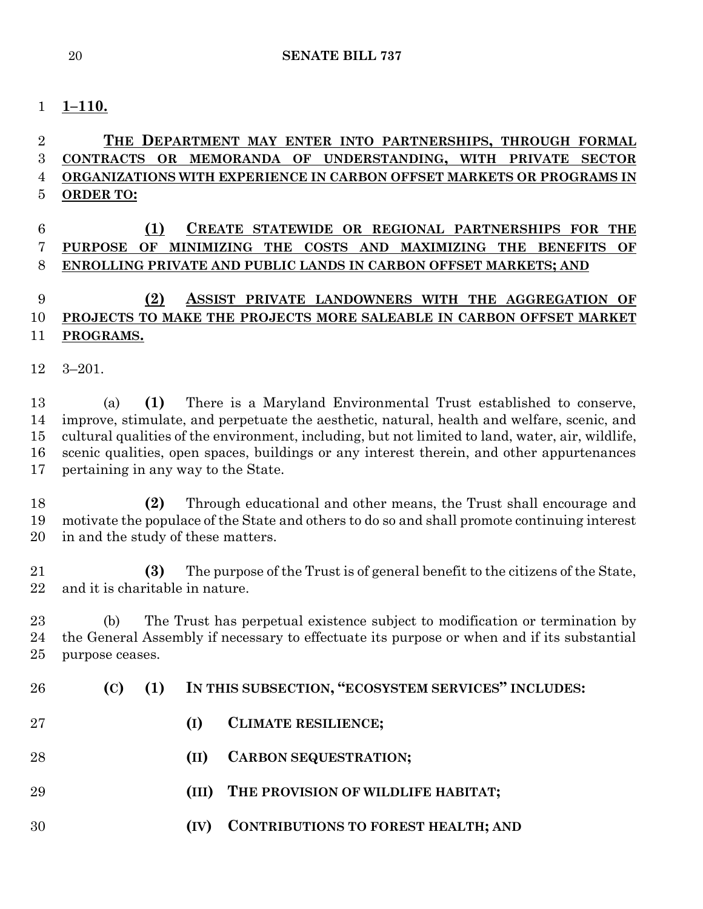## **1–110.**

# **THE DEPARTMENT MAY ENTER INTO PARTNERSHIPS, THROUGH FORMAL CONTRACTS OR MEMORANDA OF UNDERSTANDING, WITH PRIVATE SECTOR ORGANIZATIONS WITH EXPERIENCE IN CARBON OFFSET MARKETS OR PROGRAMS IN ORDER TO:**

# **(1) CREATE STATEWIDE OR REGIONAL PARTNERSHIPS FOR THE PURPOSE OF MINIMIZING THE COSTS AND MAXIMIZING THE BENEFITS OF ENROLLING PRIVATE AND PUBLIC LANDS IN CARBON OFFSET MARKETS; AND**

# **(2) ASSIST PRIVATE LANDOWNERS WITH THE AGGREGATION OF PROJECTS TO MAKE THE PROJECTS MORE SALEABLE IN CARBON OFFSET MARKET PROGRAMS.**

3–201.

 (a) **(1)** There is a Maryland Environmental Trust established to conserve, improve, stimulate, and perpetuate the aesthetic, natural, health and welfare, scenic, and cultural qualities of the environment, including, but not limited to land, water, air, wildlife, scenic qualities, open spaces, buildings or any interest therein, and other appurtenances pertaining in any way to the State.

 **(2)** Through educational and other means, the Trust shall encourage and motivate the populace of the State and others to do so and shall promote continuing interest in and the study of these matters.

 **(3)** The purpose of the Trust is of general benefit to the citizens of the State, and it is charitable in nature.

 (b) The Trust has perpetual existence subject to modification or termination by the General Assembly if necessary to effectuate its purpose or when and if its substantial purpose ceases.

- **(C) (1) IN THIS SUBSECTION, "ECOSYSTEM SERVICES" INCLUDES:**
- **(I) CLIMATE RESILIENCE;**
- **(II) CARBON SEQUESTRATION;**
- **(III) THE PROVISION OF WILDLIFE HABITAT;**
- **(IV) CONTRIBUTIONS TO FOREST HEALTH; AND**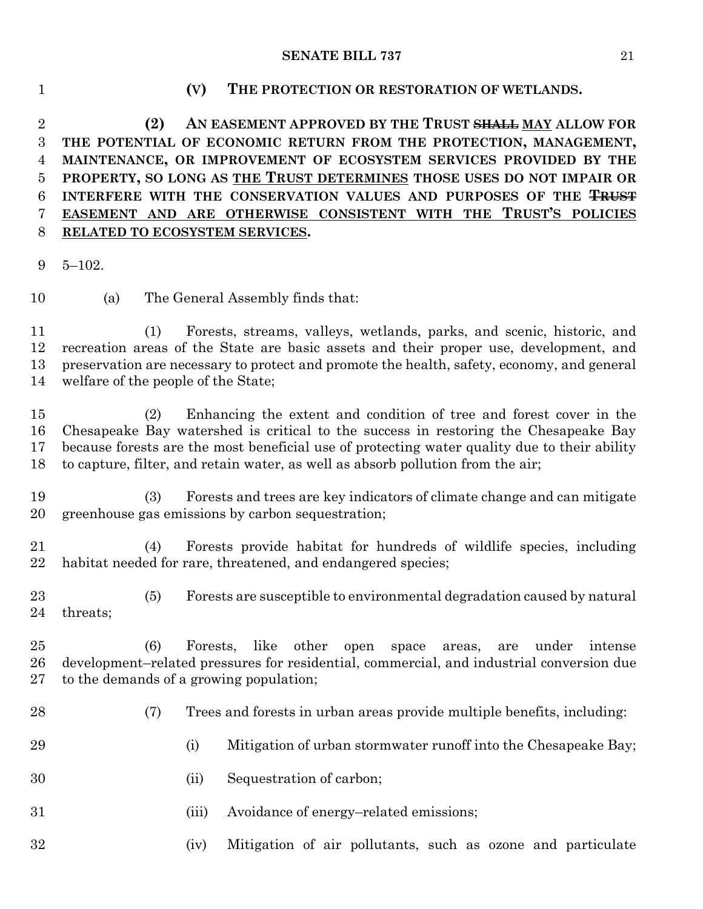### **(V) THE PROTECTION OR RESTORATION OF WETLANDS.**

 **(2) AN EASEMENT APPROVED BY THE TRUST SHALL MAY ALLOW FOR THE POTENTIAL OF ECONOMIC RETURN FROM THE PROTECTION, MANAGEMENT, MAINTENANCE, OR IMPROVEMENT OF ECOSYSTEM SERVICES PROVIDED BY THE PROPERTY, SO LONG AS THE TRUST DETERMINES THOSE USES DO NOT IMPAIR OR INTERFERE WITH THE CONSERVATION VALUES AND PURPOSES OF THE TRUST EASEMENT AND ARE OTHERWISE CONSISTENT WITH THE TRUST'S POLICIES RELATED TO ECOSYSTEM SERVICES.**

5–102.

(a) The General Assembly finds that:

 (1) Forests, streams, valleys, wetlands, parks, and scenic, historic, and recreation areas of the State are basic assets and their proper use, development, and preservation are necessary to protect and promote the health, safety, economy, and general welfare of the people of the State;

 (2) Enhancing the extent and condition of tree and forest cover in the Chesapeake Bay watershed is critical to the success in restoring the Chesapeake Bay because forests are the most beneficial use of protecting water quality due to their ability to capture, filter, and retain water, as well as absorb pollution from the air;

 (3) Forests and trees are key indicators of climate change and can mitigate greenhouse gas emissions by carbon sequestration;

 (4) Forests provide habitat for hundreds of wildlife species, including habitat needed for rare, threatened, and endangered species;

 (5) Forests are susceptible to environmental degradation caused by natural threats;

 (6) Forests, like other open space areas, are under intense development–related pressures for residential, commercial, and industrial conversion due to the demands of a growing population;

(7) Trees and forests in urban areas provide multiple benefits, including:

- 29 (i) Mitigation of urban stormwater runoff into the Chesapeake Bay;
- (ii) Sequestration of carbon;
- (iii) Avoidance of energy–related emissions;
- (iv) Mitigation of air pollutants, such as ozone and particulate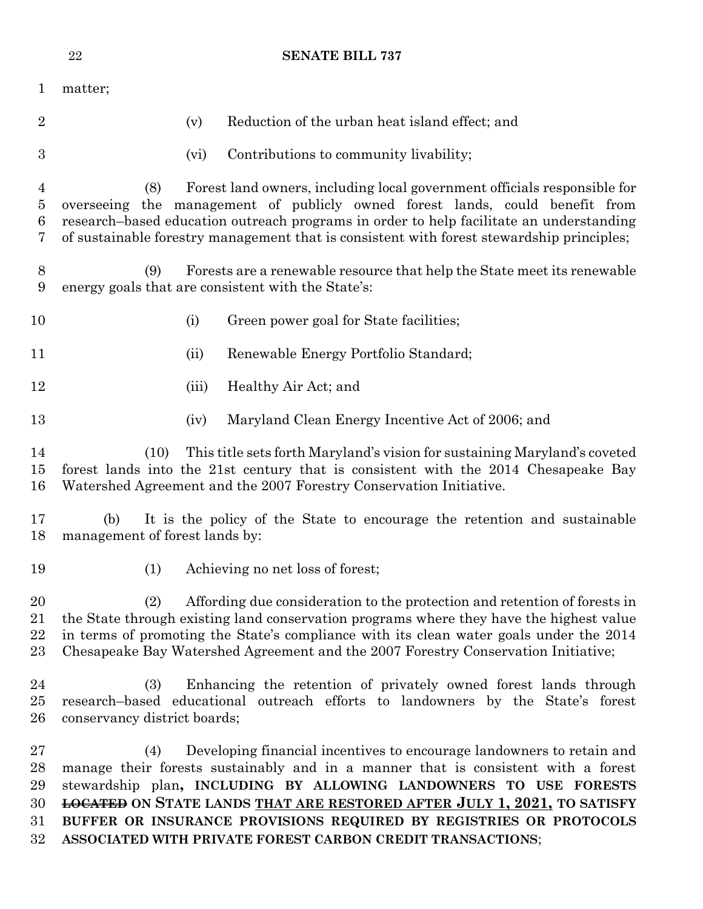|                                     | ${\bf 22}$<br><b>SENATE BILL 737</b>                                                                                                                                                                                                                                                                                                                                                                                                                         |
|-------------------------------------|--------------------------------------------------------------------------------------------------------------------------------------------------------------------------------------------------------------------------------------------------------------------------------------------------------------------------------------------------------------------------------------------------------------------------------------------------------------|
| $\mathbf{1}$                        | matter;                                                                                                                                                                                                                                                                                                                                                                                                                                                      |
| $\overline{2}$                      | Reduction of the urban heat island effect; and<br>(v)                                                                                                                                                                                                                                                                                                                                                                                                        |
| 3                                   | Contributions to community livability;<br>(vi)                                                                                                                                                                                                                                                                                                                                                                                                               |
| $\overline{4}$<br>$\bf 5$<br>6<br>7 | Forest land owners, including local government officials responsible for<br>(8)<br>overseeing the management of publicly owned forest lands, could benefit from<br>research-based education outreach programs in order to help facilitate an understanding<br>of sustainable forestry management that is consistent with forest stewardship principles;                                                                                                      |
| 8<br>9                              | Forests are a renewable resource that help the State meet its renewable<br>(9)<br>energy goals that are consistent with the State's:                                                                                                                                                                                                                                                                                                                         |
| 10                                  | (i)<br>Green power goal for State facilities;                                                                                                                                                                                                                                                                                                                                                                                                                |
| 11                                  | Renewable Energy Portfolio Standard;<br>(ii)                                                                                                                                                                                                                                                                                                                                                                                                                 |
| 12                                  | Healthy Air Act; and<br>(iii)                                                                                                                                                                                                                                                                                                                                                                                                                                |
| 13                                  | Maryland Clean Energy Incentive Act of 2006; and<br>(iv)                                                                                                                                                                                                                                                                                                                                                                                                     |
| 14<br>15<br>16                      | This title sets forth Maryland's vision for sustaining Maryland's coveted<br>(10)<br>forest lands into the 21st century that is consistent with the 2014 Chesapeake Bay<br>Watershed Agreement and the 2007 Forestry Conservation Initiative.                                                                                                                                                                                                                |
| 17<br>18                            | It is the policy of the State to encourage the retention and sustainable<br>(b)<br>management of forest lands by:                                                                                                                                                                                                                                                                                                                                            |
| 19                                  | (1)<br>Achieving no net loss of forest;                                                                                                                                                                                                                                                                                                                                                                                                                      |
| 20<br>21<br>22<br>23                | Affording due consideration to the protection and retention of forests in<br>(2)<br>the State through existing land conservation programs where they have the highest value<br>in terms of promoting the State's compliance with its clean water goals under the 2014<br>Chesapeake Bay Watershed Agreement and the 2007 Forestry Conservation Initiative;                                                                                                   |
| 24<br>25<br>26                      | Enhancing the retention of privately owned forest lands through<br>(3)<br>research-based educational outreach efforts to landowners by the State's forest<br>conservancy district boards;                                                                                                                                                                                                                                                                    |
| 27<br>28<br>29<br>30<br>31<br>32    | Developing financial incentives to encourage landowners to retain and<br>(4)<br>manage their forests sustainably and in a manner that is consistent with a forest<br>stewardship plan, INCLUDING BY ALLOWING LANDOWNERS TO USE FORESTS<br><b>LOCATED</b> ON STATE LANDS THAT ARE RESTORED AFTER JULY 1, 2021, TO SATISFY<br>BUFFER OR INSURANCE PROVISIONS REQUIRED BY REGISTRIES OR PROTOCOLS<br>ASSOCIATED WITH PRIVATE FOREST CARBON CREDIT TRANSACTIONS; |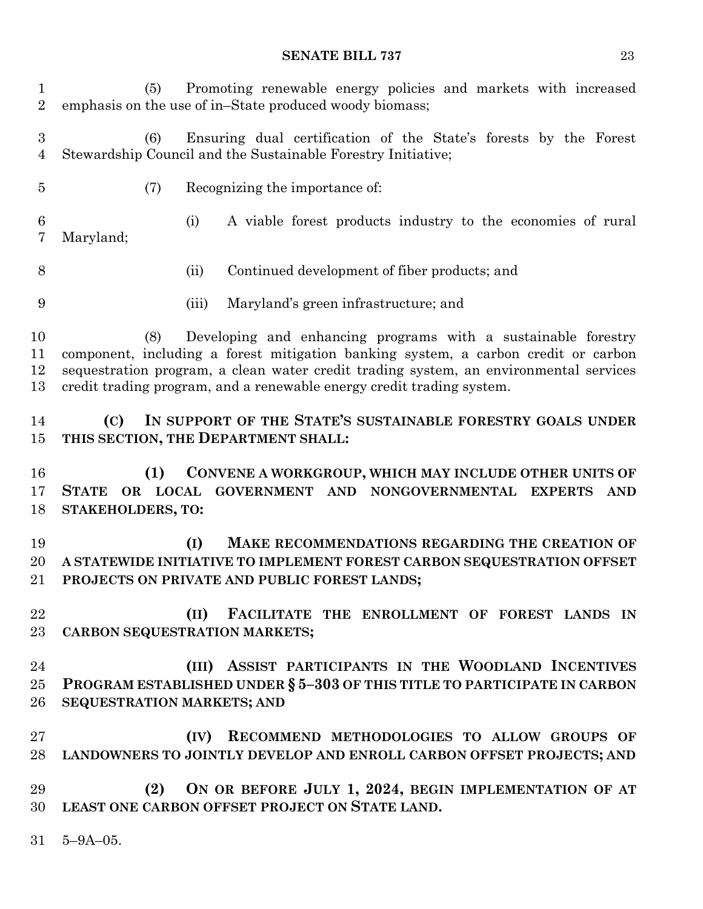(5) Promoting renewable energy policies and markets with increased emphasis on the use of in–State produced woody biomass;

 (6) Ensuring dual certification of the State's forests by the Forest Stewardship Council and the Sustainable Forestry Initiative;

(7) Recognizing the importance of:

 (i) A viable forest products industry to the economies of rural Maryland;

- (ii) Continued development of fiber products; and
- (iii) Maryland's green infrastructure; and

 (8) Developing and enhancing programs with a sustainable forestry component, including a forest mitigation banking system, a carbon credit or carbon sequestration program, a clean water credit trading system, an environmental services credit trading program, and a renewable energy credit trading system.

 **(C) IN SUPPORT OF THE STATE'S SUSTAINABLE FORESTRY GOALS UNDER THIS SECTION, THE DEPARTMENT SHALL:**

 **(1) CONVENE A WORKGROUP, WHICH MAY INCLUDE OTHER UNITS OF STATE OR LOCAL GOVERNMENT AND NONGOVERNMENTAL EXPERTS AND STAKEHOLDERS, TO:**

 **(I) MAKE RECOMMENDATIONS REGARDING THE CREATION OF A STATEWIDE INITIATIVE TO IMPLEMENT FOREST CARBON SEQUESTRATION OFFSET PROJECTS ON PRIVATE AND PUBLIC FOREST LANDS;**

 **(II) FACILITATE THE ENROLLMENT OF FOREST LANDS IN CARBON SEQUESTRATION MARKETS;**

 **(III) ASSIST PARTICIPANTS IN THE WOODLAND INCENTIVES PROGRAM ESTABLISHED UNDER § 5–303 OF THIS TITLE TO PARTICIPATE IN CARBON SEQUESTRATION MARKETS; AND** 

 **(IV) RECOMMEND METHODOLOGIES TO ALLOW GROUPS OF LANDOWNERS TO JOINTLY DEVELOP AND ENROLL CARBON OFFSET PROJECTS; AND**

 **(2) ON OR BEFORE JULY 1, 2024, BEGIN IMPLEMENTATION OF AT LEAST ONE CARBON OFFSET PROJECT ON STATE LAND.**

5–9A–05.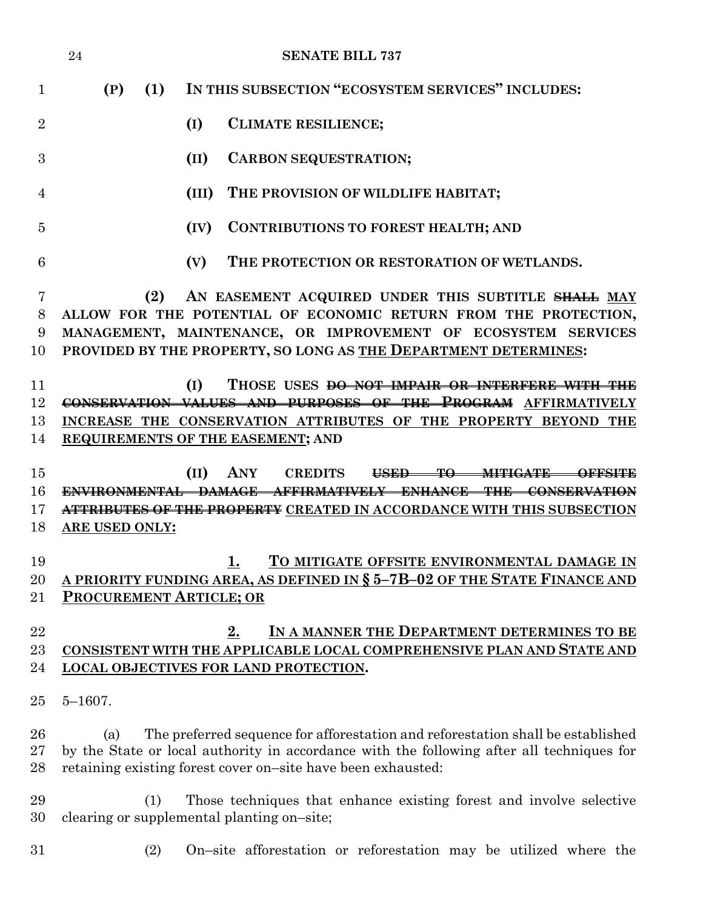|                | 24                             | <b>SENATE BILL 737</b>                                                                                                                                                                                                                       |
|----------------|--------------------------------|----------------------------------------------------------------------------------------------------------------------------------------------------------------------------------------------------------------------------------------------|
| $\mathbf{1}$   | (P)<br>(1)                     | IN THIS SUBSECTION "ECOSYSTEM SERVICES" INCLUDES:                                                                                                                                                                                            |
| $\overline{2}$ |                                | <b>CLIMATE RESILIENCE;</b><br>(I)                                                                                                                                                                                                            |
| 3              |                                | <b>CARBON SEQUESTRATION;</b><br>(II)                                                                                                                                                                                                         |
| 4              |                                | THE PROVISION OF WILDLIFE HABITAT;<br>(III)                                                                                                                                                                                                  |
| 5              |                                | <b>CONTRIBUTIONS TO FOREST HEALTH; AND</b><br>(IV)                                                                                                                                                                                           |
| 6              |                                | THE PROTECTION OR RESTORATION OF WETLANDS.<br>(V)                                                                                                                                                                                            |
| 7              | (2)                            | AN EASEMENT ACQUIRED UNDER THIS SUBTITLE SHALL MAY                                                                                                                                                                                           |
| 8              |                                | ALLOW FOR THE POTENTIAL OF ECONOMIC RETURN FROM THE PROTECTION,                                                                                                                                                                              |
| 9              |                                | MANAGEMENT, MAINTENANCE, OR IMPROVEMENT OF ECOSYSTEM SERVICES                                                                                                                                                                                |
| 10             |                                | PROVIDED BY THE PROPERTY, SO LONG AS THE DEPARTMENT DETERMINES:                                                                                                                                                                              |
| 11             |                                | THOSE USES <del>DO NOT IMPAIR OR INTERFERE WITH THE</del><br>(I)                                                                                                                                                                             |
| 12             |                                | CONSERVATION VALUES AND PURPOSES OF THE PROGRAM AFFIRMATIVELY                                                                                                                                                                                |
| 13             |                                | INCREASE THE CONSERVATION ATTRIBUTES OF THE PROPERTY BEYOND THE                                                                                                                                                                              |
| 14             |                                | <b>REQUIREMENTS OF THE EASEMENT; AND</b>                                                                                                                                                                                                     |
| 15             |                                | ANY<br>(II)<br><b>CREDITS</b><br>USED-<br><del>-MITIGATE</del>                                                                                                                                                                               |
| 16             | <b>ENVIRONMENTAL</b>           | <b>DAMAGE AFFIRMATIVELY ENHANCE THE CONSERVATION</b>                                                                                                                                                                                         |
| 17             |                                | <b>ATTRIBUTES OF THE PROPERTY</b> CREATED IN ACCORDANCE WITH THIS SUBSECTION                                                                                                                                                                 |
| 18             | ARE USED ONLY:                 |                                                                                                                                                                                                                                              |
| 19             |                                | TO MITIGATE OFFSITE ENVIRONMENTAL DAMAGE IN<br>1.                                                                                                                                                                                            |
| 20             |                                | <u>A PRIORITY FUNDING AREA, AS DEFINED IN § 5-7B-02 OF THE STATE FINANCE AND</u>                                                                                                                                                             |
| 21             | <b>PROCUREMENT ARTICLE; OR</b> |                                                                                                                                                                                                                                              |
| 22             |                                | IN A MANNER THE DEPARTMENT DETERMINES TO BE<br>2.                                                                                                                                                                                            |
| 23             |                                | <u>CONSISTENT WITH THE APPLICABLE LOCAL COMPREHENSIVE PLAN AND STATE AND</u>                                                                                                                                                                 |
| 24             |                                | <b>LOCAL OBJECTIVES FOR LAND PROTECTION.</b>                                                                                                                                                                                                 |
| 25             | $5 - 1607$ .                   |                                                                                                                                                                                                                                              |
| 26<br>27<br>28 | (a)                            | The preferred sequence for afforestation and reforestation shall be established<br>by the State or local authority in accordance with the following after all techniques for<br>retaining existing forest cover on-site have been exhausted: |
| 29             | (1)                            | Those techniques that enhance existing forest and involve selective                                                                                                                                                                          |
| 30             |                                | clearing or supplemental planting on-site;                                                                                                                                                                                                   |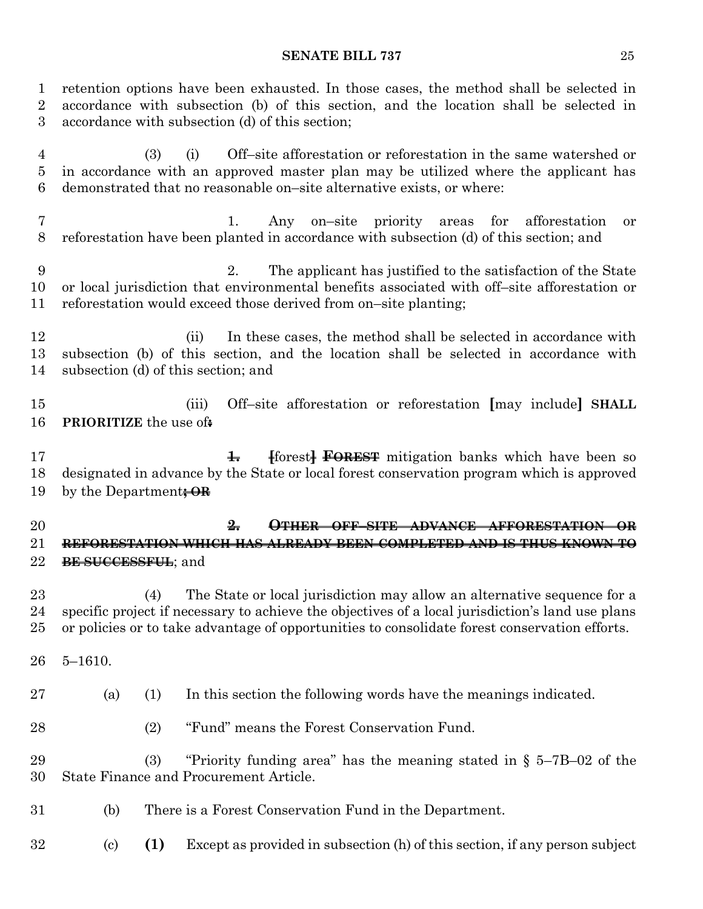retention options have been exhausted. In those cases, the method shall be selected in accordance with subsection (b) of this section, and the location shall be selected in accordance with subsection (d) of this section;

 (3) (i) Off–site afforestation or reforestation in the same watershed or in accordance with an approved master plan may be utilized where the applicant has demonstrated that no reasonable on–site alternative exists, or where:

 1. Any on–site priority areas for afforestation or reforestation have been planted in accordance with subsection (d) of this section; and

 2. The applicant has justified to the satisfaction of the State or local jurisdiction that environmental benefits associated with off–site afforestation or reforestation would exceed those derived from on–site planting;

12 (ii) In these cases, the method shall be selected in accordance with subsection (b) of this section, and the location shall be selected in accordance with subsection (d) of this section; and

 (iii) Off–site afforestation or reforestation **[**may include**] SHALL PRIORITIZE** the use of**:**

**1.1. 1. 1. EXELGE FOREST** mitigation banks which have been so designated in advance by the State or local forest conservation program which is approved by the Department**; OR**

 **2. OTHER OFF–SITE ADVANCE AFFORESTATION OR REFORESTATION WHICH HAS ALREADY BEEN COMPLETED AND IS THUS KNOWN TO BE SUCCESSFUL**; and

 (4) The State or local jurisdiction may allow an alternative sequence for a specific project if necessary to achieve the objectives of a local jurisdiction's land use plans or policies or to take advantage of opportunities to consolidate forest conservation efforts.

5–1610.

(a) (1) In this section the following words have the meanings indicated.

- (2) "Fund" means the Forest Conservation Fund.
- (3) "Priority funding area" has the meaning stated in § 5–7B–02 of the State Finance and Procurement Article.
- (b) There is a Forest Conservation Fund in the Department.
- (c) **(1)** Except as provided in subsection (h) of this section, if any person subject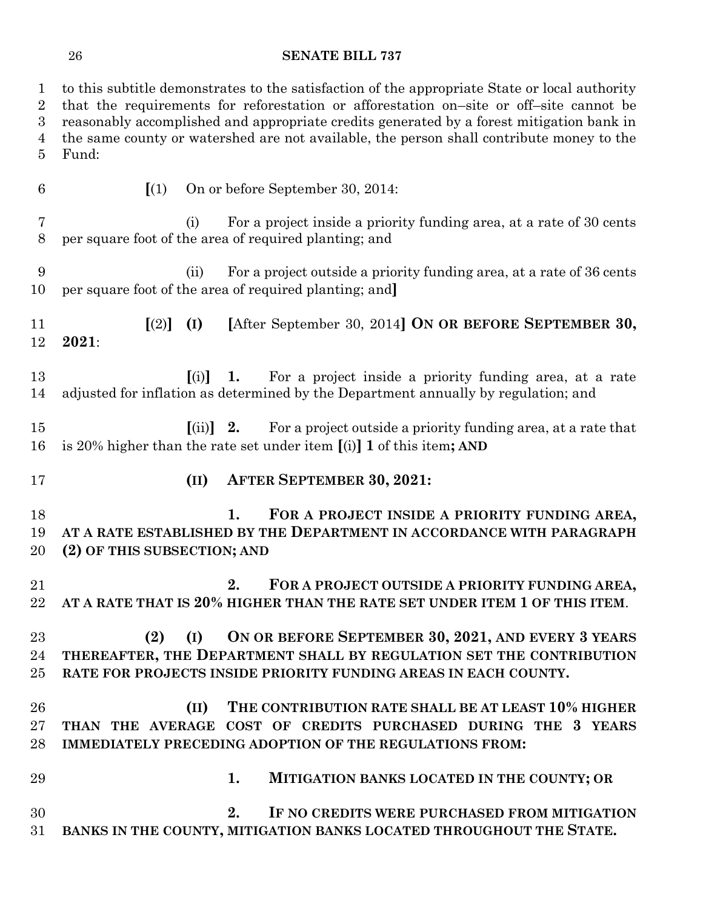to this subtitle demonstrates to the satisfaction of the appropriate State or local authority that the requirements for reforestation or afforestation on–site or off–site cannot be reasonably accomplished and appropriate credits generated by a forest mitigation bank in the same county or watershed are not available, the person shall contribute money to the Fund: **[**(1) On or before September 30, 2014: (i) For a project inside a priority funding area, at a rate of 30 cents per square foot of the area of required planting; and (ii) For a project outside a priority funding area, at a rate of 36 cents per square foot of the area of required planting; and**] [**(2)**] (I) [**After September 30, 2014**] ON OR BEFORE SEPTEMBER 30, 2021**: **[**(i)**] 1.** For a project inside a priority funding area, at a rate adjusted for inflation as determined by the Department annually by regulation; and **[**(ii)**] 2.** For a project outside a priority funding area, at a rate that is 20% higher than the rate set under item **[**(i)**] 1** of this item**; AND (II) AFTER SEPTEMBER 30, 2021: 1. FOR A PROJECT INSIDE A PRIORITY FUNDING AREA, AT A RATE ESTABLISHED BY THE DEPARTMENT IN ACCORDANCE WITH PARAGRAPH (2) OF THIS SUBSECTION; AND 2. FOR A PROJECT OUTSIDE A PRIORITY FUNDING AREA, AT A RATE THAT IS 20% HIGHER THAN THE RATE SET UNDER ITEM 1 OF THIS ITEM**. **(2) (I) ON OR BEFORE SEPTEMBER 30, 2021, AND EVERY 3 YEARS THEREAFTER, THE DEPARTMENT SHALL BY REGULATION SET THE CONTRIBUTION RATE FOR PROJECTS INSIDE PRIORITY FUNDING AREAS IN EACH COUNTY. (II) THE CONTRIBUTION RATE SHALL BE AT LEAST 10% HIGHER THAN THE AVERAGE COST OF CREDITS PURCHASED DURING THE 3 YEARS IMMEDIATELY PRECEDING ADOPTION OF THE REGULATIONS FROM: 1. MITIGATION BANKS LOCATED IN THE COUNTY; OR 2. IF NO CREDITS WERE PURCHASED FROM MITIGATION BANKS IN THE COUNTY, MITIGATION BANKS LOCATED THROUGHOUT THE STATE.**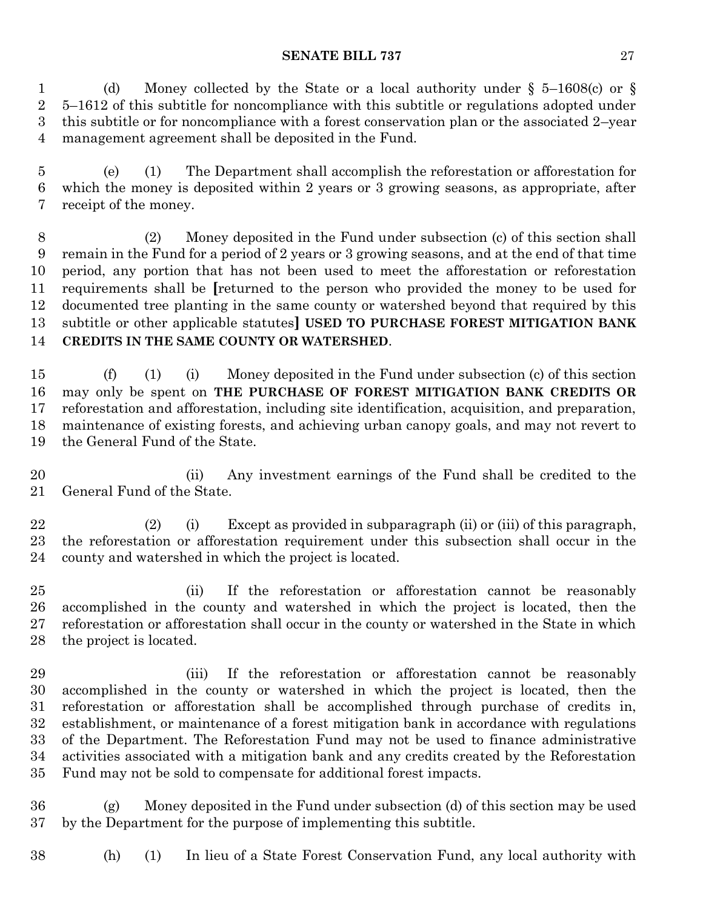(d) Money collected by the State or a local authority under § 5–1608(c) or § 5–1612 of this subtitle for noncompliance with this subtitle or regulations adopted under this subtitle or for noncompliance with a forest conservation plan or the associated 2–year management agreement shall be deposited in the Fund.

 (e) (1) The Department shall accomplish the reforestation or afforestation for which the money is deposited within 2 years or 3 growing seasons, as appropriate, after receipt of the money.

 (2) Money deposited in the Fund under subsection (c) of this section shall remain in the Fund for a period of 2 years or 3 growing seasons, and at the end of that time period, any portion that has not been used to meet the afforestation or reforestation requirements shall be **[**returned to the person who provided the money to be used for documented tree planting in the same county or watershed beyond that required by this subtitle or other applicable statutes**] USED TO PURCHASE FOREST MITIGATION BANK CREDITS IN THE SAME COUNTY OR WATERSHED**.

 (f) (1) (i) Money deposited in the Fund under subsection (c) of this section may only be spent on **THE PURCHASE OF FOREST MITIGATION BANK CREDITS OR** reforestation and afforestation, including site identification, acquisition, and preparation, maintenance of existing forests, and achieving urban canopy goals, and may not revert to the General Fund of the State.

 (ii) Any investment earnings of the Fund shall be credited to the General Fund of the State.

 (2) (i) Except as provided in subparagraph (ii) or (iii) of this paragraph, the reforestation or afforestation requirement under this subsection shall occur in the county and watershed in which the project is located.

 (ii) If the reforestation or afforestation cannot be reasonably accomplished in the county and watershed in which the project is located, then the reforestation or afforestation shall occur in the county or watershed in the State in which the project is located.

 (iii) If the reforestation or afforestation cannot be reasonably accomplished in the county or watershed in which the project is located, then the reforestation or afforestation shall be accomplished through purchase of credits in, establishment, or maintenance of a forest mitigation bank in accordance with regulations of the Department. The Reforestation Fund may not be used to finance administrative activities associated with a mitigation bank and any credits created by the Reforestation Fund may not be sold to compensate for additional forest impacts.

 (g) Money deposited in the Fund under subsection (d) of this section may be used by the Department for the purpose of implementing this subtitle.

(h) (1) In lieu of a State Forest Conservation Fund, any local authority with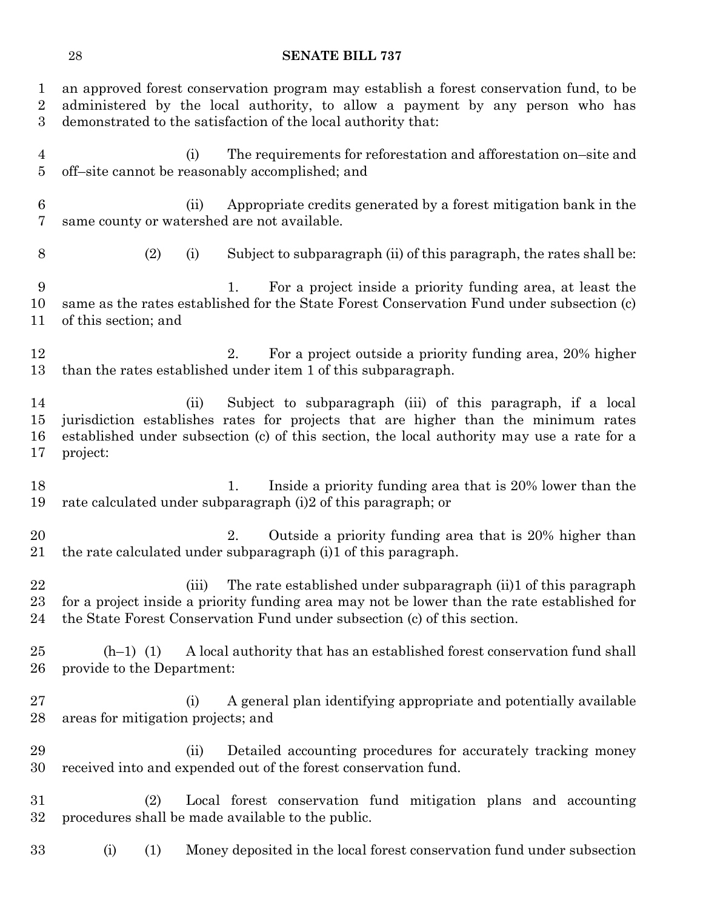an approved forest conservation program may establish a forest conservation fund, to be administered by the local authority, to allow a payment by any person who has demonstrated to the satisfaction of the local authority that: (i) The requirements for reforestation and afforestation on–site and off–site cannot be reasonably accomplished; and (ii) Appropriate credits generated by a forest mitigation bank in the same county or watershed are not available. (2) (i) Subject to subparagraph (ii) of this paragraph, the rates shall be: 1. For a project inside a priority funding area, at least the same as the rates established for the State Forest Conservation Fund under subsection (c) of this section; and 12 2. For a project outside a priority funding area, 20% higher than the rates established under item 1 of this subparagraph. (ii) Subject to subparagraph (iii) of this paragraph, if a local jurisdiction establishes rates for projects that are higher than the minimum rates established under subsection (c) of this section, the local authority may use a rate for a project: 18 18 1. Inside a priority funding area that is 20% lower than the rate calculated under subparagraph (i)2 of this paragraph; or 20 2. Outside a priority funding area that is 20% higher than the rate calculated under subparagraph (i)1 of this paragraph. (iii) The rate established under subparagraph (ii)1 of this paragraph for a project inside a priority funding area may not be lower than the rate established for the State Forest Conservation Fund under subsection (c) of this section. (h–1) (1) A local authority that has an established forest conservation fund shall provide to the Department: (i) A general plan identifying appropriate and potentially available areas for mitigation projects; and (ii) Detailed accounting procedures for accurately tracking money received into and expended out of the forest conservation fund. (2) Local forest conservation fund mitigation plans and accounting procedures shall be made available to the public. (i) (1) Money deposited in the local forest conservation fund under subsection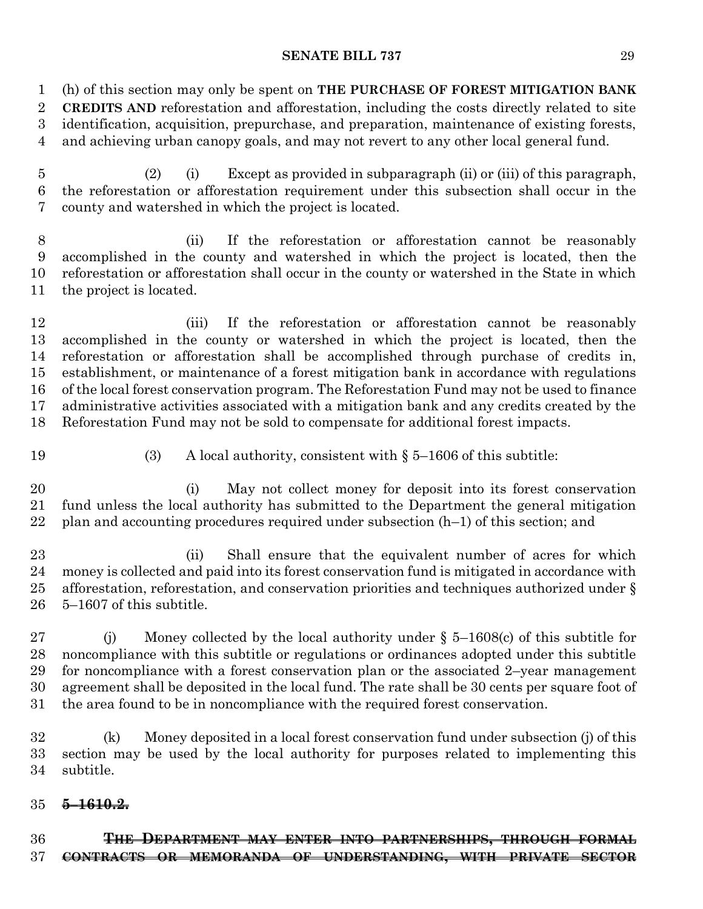(h) of this section may only be spent on **THE PURCHASE OF FOREST MITIGATION BANK** 

 **CREDITS AND** reforestation and afforestation, including the costs directly related to site identification, acquisition, prepurchase, and preparation, maintenance of existing forests,

and achieving urban canopy goals, and may not revert to any other local general fund.

 (2) (i) Except as provided in subparagraph (ii) or (iii) of this paragraph, the reforestation or afforestation requirement under this subsection shall occur in the county and watershed in which the project is located.

 (ii) If the reforestation or afforestation cannot be reasonably accomplished in the county and watershed in which the project is located, then the reforestation or afforestation shall occur in the county or watershed in the State in which the project is located.

12 (iii) If the reforestation or afforestation cannot be reasonably accomplished in the county or watershed in which the project is located, then the reforestation or afforestation shall be accomplished through purchase of credits in, establishment, or maintenance of a forest mitigation bank in accordance with regulations of the local forest conservation program. The Reforestation Fund may not be used to finance administrative activities associated with a mitigation bank and any credits created by the Reforestation Fund may not be sold to compensate for additional forest impacts.

(3) A local authority, consistent with § 5–1606 of this subtitle:

 (i) May not collect money for deposit into its forest conservation fund unless the local authority has submitted to the Department the general mitigation plan and accounting procedures required under subsection (h–1) of this section; and

23 (ii) Shall ensure that the equivalent number of acres for which money is collected and paid into its forest conservation fund is mitigated in accordance with afforestation, reforestation, and conservation priorities and techniques authorized under § 5–1607 of this subtitle.

 (j) Money collected by the local authority under § 5–1608(c) of this subtitle for noncompliance with this subtitle or regulations or ordinances adopted under this subtitle for noncompliance with a forest conservation plan or the associated 2–year management agreement shall be deposited in the local fund. The rate shall be 30 cents per square foot of the area found to be in noncompliance with the required forest conservation.

 (k) Money deposited in a local forest conservation fund under subsection (j) of this section may be used by the local authority for purposes related to implementing this subtitle.

### **5–1610.2.**

 **THE DEPARTMENT MAY ENTER INTO PARTNERSHIPS, THROUGH FORMAL CONTRACTS OR MEMORANDA OF UNDERSTANDING, WITH PRIVATE SECTOR**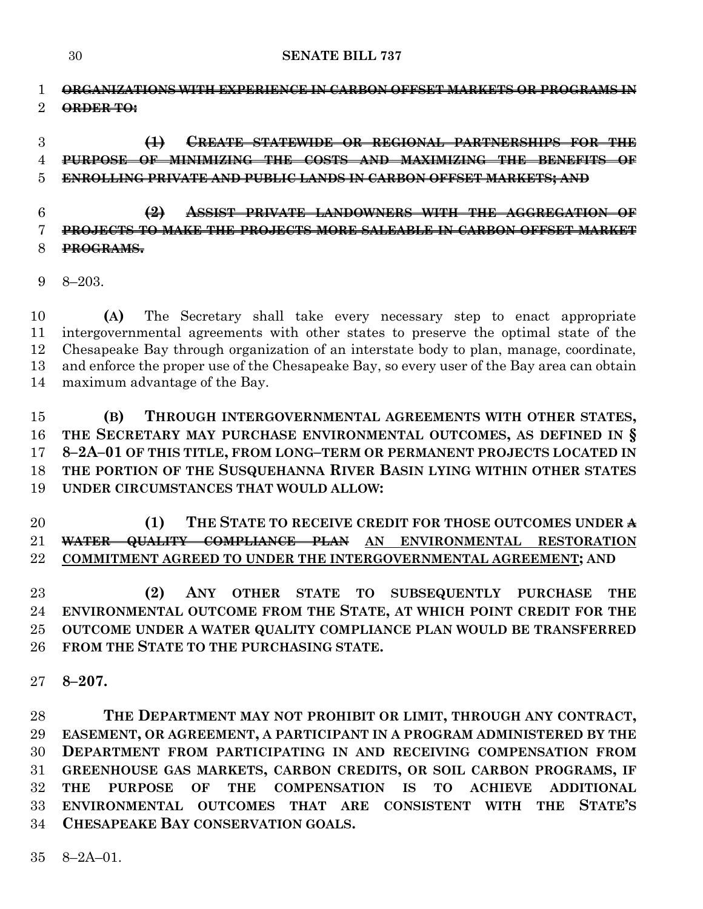**ORGANIZATIONS WITH EXPERIENCE IN CARBON OFFSET MARKETS OR PROGRAMS IN ORDER TO:**

 **(1) CREATE STATEWIDE OR REGIONAL PARTNERSHIPS FOR THE PURPOSE OF MINIMIZING THE COSTS AND MAXIMIZING THE BENEFITS OF ENROLLING PRIVATE AND PUBLIC LANDS IN CARBON OFFSET MARKETS; AND**

# **(2) ASSIST PRIVATE LANDOWNERS WITH THE AGGREGATION OF PROJECTS TO MAKE THE PROJECTS MORE SALEABLE IN CARBON OFFSET MARKET PROGRAMS.**

8–203.

 **(A)** The Secretary shall take every necessary step to enact appropriate intergovernmental agreements with other states to preserve the optimal state of the Chesapeake Bay through organization of an interstate body to plan, manage, coordinate, and enforce the proper use of the Chesapeake Bay, so every user of the Bay area can obtain maximum advantage of the Bay.

# **(B) THROUGH INTERGOVERNMENTAL AGREEMENTS WITH OTHER STATES, THE SECRETARY MAY PURCHASE ENVIRONMENTAL OUTCOMES, AS DEFINED IN § 8–2A–01 OF THIS TITLE, FROM LONG–TERM OR PERMANENT PROJECTS LOCATED IN THE PORTION OF THE SUSQUEHANNA RIVER BASIN LYING WITHIN OTHER STATES UNDER CIRCUMSTANCES THAT WOULD ALLOW:**

 **(1) THE STATE TO RECEIVE CREDIT FOR THOSE OUTCOMES UNDER A WATER QUALITY COMPLIANCE PLAN AN ENVIRONMENTAL RESTORATION COMMITMENT AGREED TO UNDER THE INTERGOVERNMENTAL AGREEMENT; AND**

 **(2) ANY OTHER STATE TO SUBSEQUENTLY PURCHASE THE ENVIRONMENTAL OUTCOME FROM THE STATE, AT WHICH POINT CREDIT FOR THE OUTCOME UNDER A WATER QUALITY COMPLIANCE PLAN WOULD BE TRANSFERRED FROM THE STATE TO THE PURCHASING STATE.**

**8–207.**

 **THE DEPARTMENT MAY NOT PROHIBIT OR LIMIT, THROUGH ANY CONTRACT, EASEMENT, OR AGREEMENT, A PARTICIPANT IN A PROGRAM ADMINISTERED BY THE DEPARTMENT FROM PARTICIPATING IN AND RECEIVING COMPENSATION FROM GREENHOUSE GAS MARKETS, CARBON CREDITS, OR SOIL CARBON PROGRAMS, IF THE PURPOSE OF THE COMPENSATION IS TO ACHIEVE ADDITIONAL ENVIRONMENTAL OUTCOMES THAT ARE CONSISTENT WITH THE STATE'S CHESAPEAKE BAY CONSERVATION GOALS.**

8–2A–01.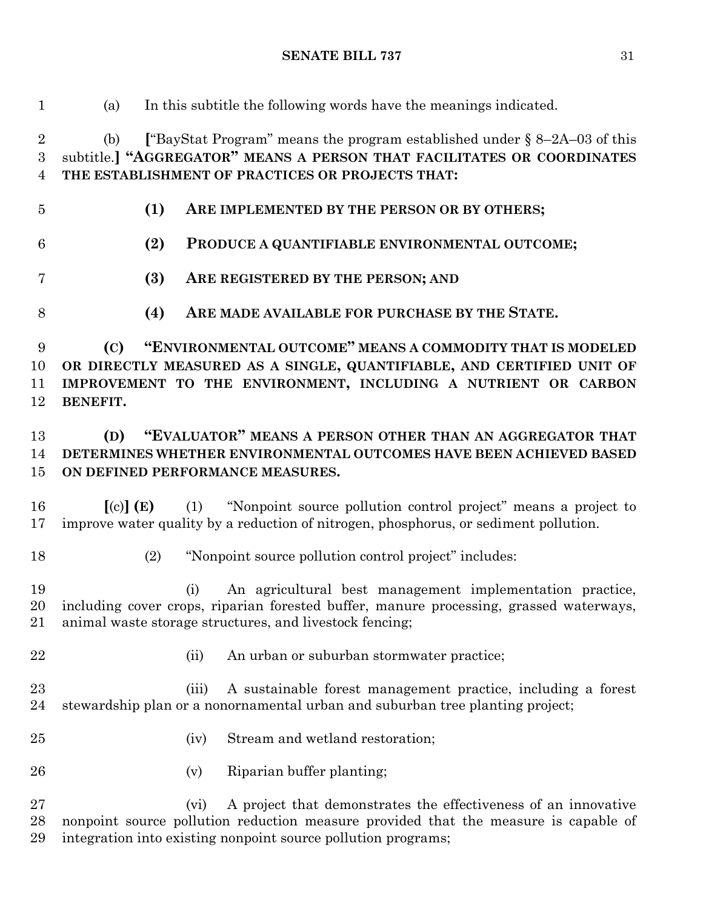**(1) ARE IMPLEMENTED BY THE PERSON OR BY OTHERS; (2) PRODUCE A QUANTIFIABLE ENVIRONMENTAL OUTCOME; (3) ARE REGISTERED BY THE PERSON; AND (C) "ENVIRONMENTAL OUTCOME" MEANS A COMMODITY THAT IS MODELED ON DEFINED PERFORMANCE MEASURES.** (2) "Nonpoint source pollution control project" includes: 22 (ii) An urban or suburban stormwater practice;

(a) In this subtitle the following words have the meanings indicated.

 (b) **[**"BayStat Program" means the program established under § 8–2A–03 of this subtitle.**] "AGGREGATOR" MEANS A PERSON THAT FACILITATES OR COORDINATES THE ESTABLISHMENT OF PRACTICES OR PROJECTS THAT:**

- 
- 
- **(4) ARE MADE AVAILABLE FOR PURCHASE BY THE STATE.**

 **OR DIRECTLY MEASURED AS A SINGLE, QUANTIFIABLE, AND CERTIFIED UNIT OF IMPROVEMENT TO THE ENVIRONMENT, INCLUDING A NUTRIENT OR CARBON BENEFIT.**

# **(D) "EVALUATOR" MEANS A PERSON OTHER THAN AN AGGREGATOR THAT DETERMINES WHETHER ENVIRONMENTAL OUTCOMES HAVE BEEN ACHIEVED BASED**

 **[**(c)**] (E)** (1) "Nonpoint source pollution control project" means a project to improve water quality by a reduction of nitrogen, phosphorus, or sediment pollution.

 (i) An agricultural best management implementation practice, including cover crops, riparian forested buffer, manure processing, grassed waterways, animal waste storage structures, and livestock fencing;

 (iii) A sustainable forest management practice, including a forest stewardship plan or a nonornamental urban and suburban tree planting project;

- (iv) Stream and wetland restoration;
- (v) Riparian buffer planting;

 (vi) A project that demonstrates the effectiveness of an innovative nonpoint source pollution reduction measure provided that the measure is capable of integration into existing nonpoint source pollution programs;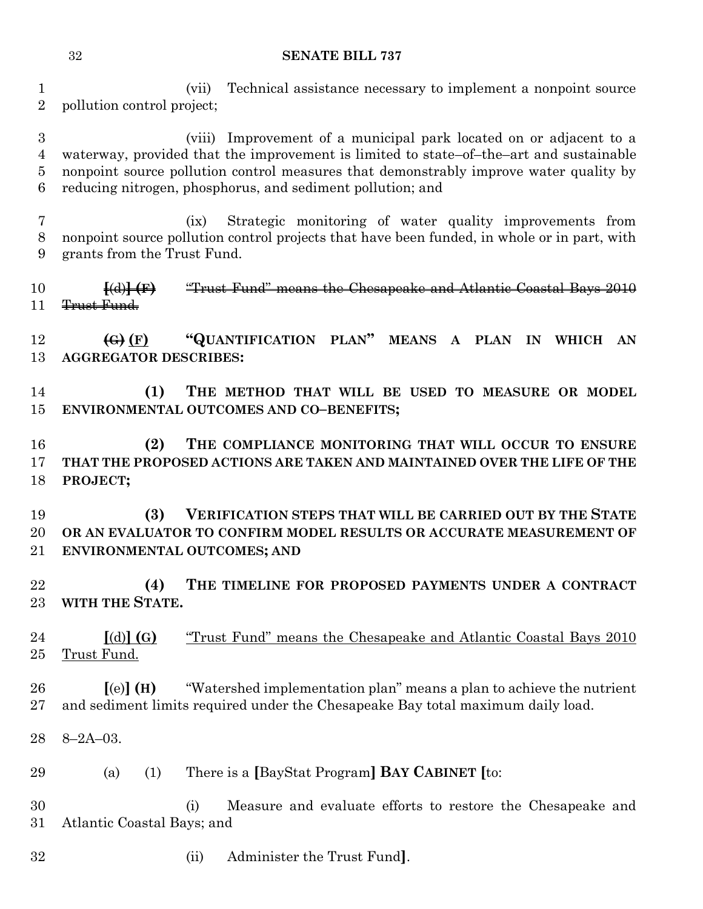(vii) Technical assistance necessary to implement a nonpoint source pollution control project;

 (viii) Improvement of a municipal park located on or adjacent to a waterway, provided that the improvement is limited to state–of–the–art and sustainable nonpoint source pollution control measures that demonstrably improve water quality by reducing nitrogen, phosphorus, and sediment pollution; and

 (ix) Strategic monitoring of water quality improvements from nonpoint source pollution control projects that have been funded, in whole or in part, with grants from the Trust Fund.

 **[**(d)**] (F)** "Trust Fund" means the Chesapeake and Atlantic Coastal Bays 2010 11 <del>Trust Fund.</del>

 **(G) (F) "QUANTIFICATION PLAN" MEANS A PLAN IN WHICH AN AGGREGATOR DESCRIBES:**

 **(1) THE METHOD THAT WILL BE USED TO MEASURE OR MODEL ENVIRONMENTAL OUTCOMES AND CO–BENEFITS;**

 **(2) THE COMPLIANCE MONITORING THAT WILL OCCUR TO ENSURE THAT THE PROPOSED ACTIONS ARE TAKEN AND MAINTAINED OVER THE LIFE OF THE PROJECT;**

 **(3) VERIFICATION STEPS THAT WILL BE CARRIED OUT BY THE STATE OR AN EVALUATOR TO CONFIRM MODEL RESULTS OR ACCURATE MEASUREMENT OF ENVIRONMENTAL OUTCOMES; AND** 

 **(4) THE TIMELINE FOR PROPOSED PAYMENTS UNDER A CONTRACT WITH THE STATE.**

 **[**(d)**] (G)** "Trust Fund" means the Chesapeake and Atlantic Coastal Bays 2010 25 Trust Fund.

 **[**(e)**] (H)** "Watershed implementation plan" means a plan to achieve the nutrient and sediment limits required under the Chesapeake Bay total maximum daily load.

8–2A–03.

(a) (1) There is a **[**BayStat Program**] BAY CABINET [**to:

 (i) Measure and evaluate efforts to restore the Chesapeake and Atlantic Coastal Bays; and

(ii) Administer the Trust Fund**]**.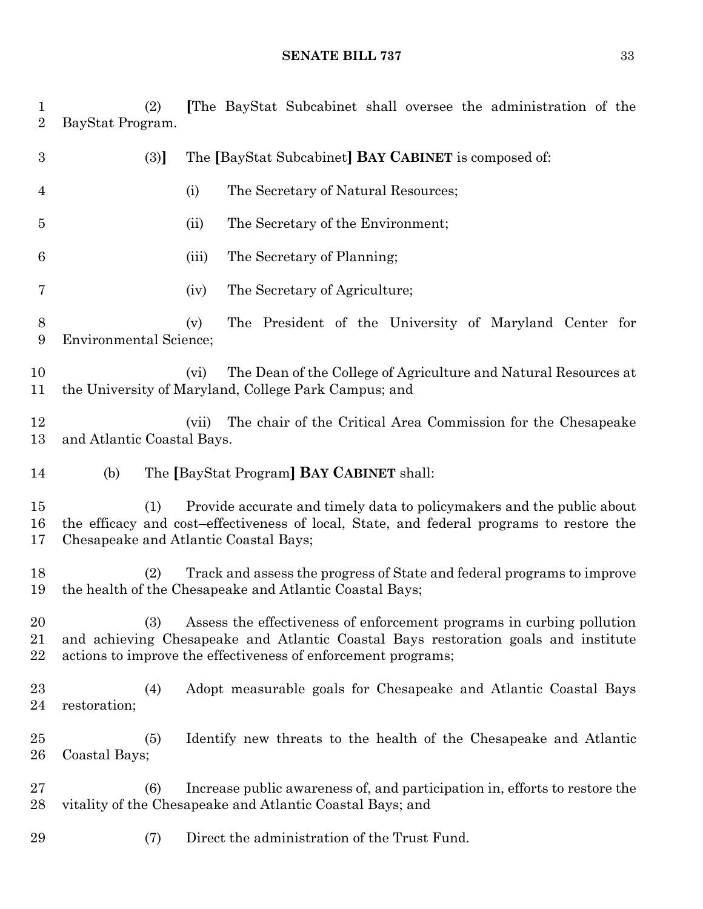(2) **[**The BayStat Subcabinet shall oversee the administration of the BayStat Program.

| $\boldsymbol{3}$ | The [BayStat Subcabinet] <b>BAY CABINET</b> is composed of:<br>(3)                                                                                                                                                                  |
|------------------|-------------------------------------------------------------------------------------------------------------------------------------------------------------------------------------------------------------------------------------|
| $\overline{4}$   | The Secretary of Natural Resources;<br>(i)                                                                                                                                                                                          |
| 5                | The Secretary of the Environment;<br>(ii)                                                                                                                                                                                           |
| 6                | The Secretary of Planning;<br>(iii)                                                                                                                                                                                                 |
| 7                | The Secretary of Agriculture;<br>(iv)                                                                                                                                                                                               |
| 8<br>9           | The President of the University of Maryland Center for<br>(v)<br><b>Environmental Science;</b>                                                                                                                                      |
| 10<br>11         | The Dean of the College of Agriculture and Natural Resources at<br>(vi)<br>the University of Maryland, College Park Campus; and                                                                                                     |
| 12<br>13         | The chair of the Critical Area Commission for the Chesapeake<br>(vii)<br>and Atlantic Coastal Bays.                                                                                                                                 |
| 14               | The [BayStat Program] BAY CABINET shall:<br>(b)                                                                                                                                                                                     |
| 15<br>16<br>17   | Provide accurate and timely data to policy makers and the public about<br>(1)<br>the efficacy and cost-effectiveness of local, State, and federal programs to restore the<br>Chesapeake and Atlantic Coastal Bays;                  |
| 18<br>19         | Track and assess the progress of State and federal programs to improve<br>(2)<br>the health of the Chesapeake and Atlantic Coastal Bays;                                                                                            |
| 20<br>21<br>22   | Assess the effectiveness of enforcement programs in curbing pollution<br>(3)<br>and achieving Chesapeake and Atlantic Coastal Bays restoration goals and institute<br>actions to improve the effectiveness of enforcement programs; |
| 23<br>24         | Adopt measurable goals for Chesapeake and Atlantic Coastal Bays<br>(4)<br>restoration;                                                                                                                                              |
| 25<br>26         | (5)<br>Identify new threats to the health of the Chesapeake and Atlantic<br>Coastal Bays;                                                                                                                                           |
| 27<br>28         | Increase public awareness of, and participation in, efforts to restore the<br>(6)<br>vitality of the Chesapeake and Atlantic Coastal Bays; and                                                                                      |
| 29               | Direct the administration of the Trust Fund.<br>(7)                                                                                                                                                                                 |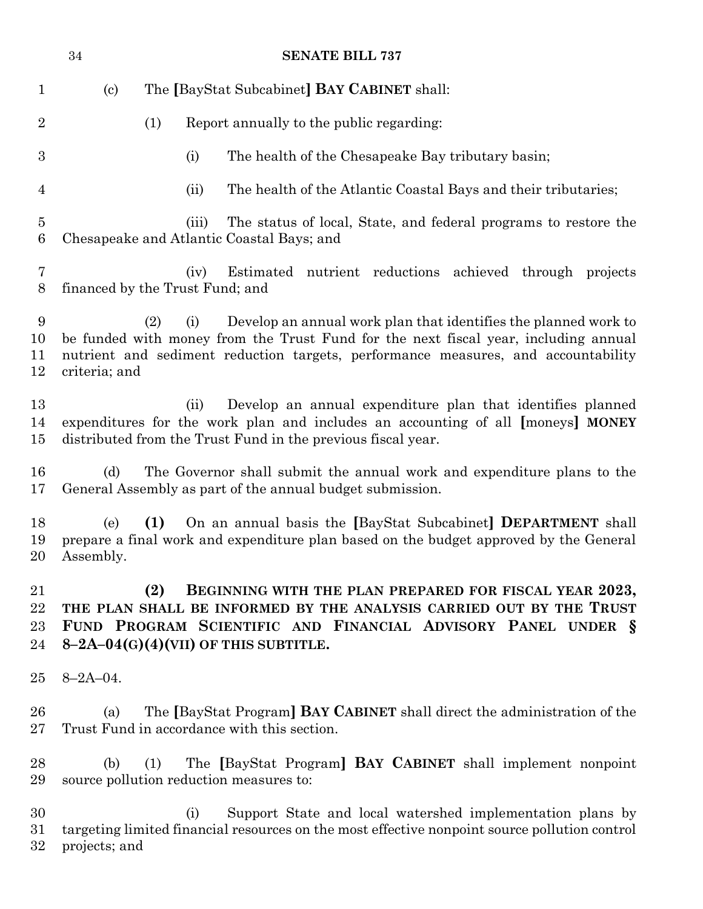|                        | 34                              |     |       | <b>SENATE BILL 737</b>                                                                                                                                                                                                                      |
|------------------------|---------------------------------|-----|-------|---------------------------------------------------------------------------------------------------------------------------------------------------------------------------------------------------------------------------------------------|
| $\mathbf{1}$           | $\left( \mathrm{c}\right)$      |     |       | The [BayStat Subcabinet] <b>BAY CABINET</b> shall:                                                                                                                                                                                          |
| $\overline{2}$         |                                 | (1) |       | Report annually to the public regarding:                                                                                                                                                                                                    |
| $\boldsymbol{3}$       |                                 |     | (i)   | The health of the Chesapeake Bay tributary basin;                                                                                                                                                                                           |
| 4                      |                                 |     | (ii)  | The health of the Atlantic Coastal Bays and their tributaries;                                                                                                                                                                              |
| $\bf 5$<br>6           |                                 |     | (iii) | The status of local, State, and federal programs to restore the<br>Chesapeake and Atlantic Coastal Bays; and                                                                                                                                |
| 7<br>8                 | financed by the Trust Fund; and |     | (iv)  | Estimated nutrient reductions achieved through projects                                                                                                                                                                                     |
| 9<br>10<br>11<br>12    | criteria; and                   | (2) | (i)   | Develop an annual work plan that identifies the planned work to<br>be funded with money from the Trust Fund for the next fiscal year, including annual<br>nutrient and sediment reduction targets, performance measures, and accountability |
| 13<br>14<br>15         |                                 |     | (ii)  | Develop an annual expenditure plan that identifies planned<br>expenditures for the work plan and includes an accounting of all [moneys] MONEY<br>distributed from the Trust Fund in the previous fiscal year.                               |
| 16<br>17               | (d)                             |     |       | The Governor shall submit the annual work and expenditure plans to the<br>General Assembly as part of the annual budget submission.                                                                                                         |
| 18<br>19<br>20         | (e)<br>Assembly.                | (1) |       | On an annual basis the [BayStat Subcabinet] DEPARTMENT shall<br>prepare a final work and expenditure plan based on the budget approved by the General                                                                                       |
| 21<br>22<br>23<br>24   |                                 | (2) |       | BEGINNING WITH THE PLAN PREPARED FOR FISCAL YEAR 2023,<br>THE PLAN SHALL BE INFORMED BY THE ANALYSIS CARRIED OUT BY THE TRUST<br>FUND PROGRAM SCIENTIFIC AND FINANCIAL ADVISORY PANEL UNDER §<br>$8-2A-04(G)(4)(VII)$ OF THIS SUBTITLE.     |
| 25                     | $8 - 2A - 04$ .                 |     |       |                                                                                                                                                                                                                                             |
| 26<br>$27\,$           | (a)                             |     |       | The [BayStat Program] BAY CABINET shall direct the administration of the<br>Trust Fund in accordance with this section.                                                                                                                     |
| 28<br>29               | (b)                             | (1) |       | The [BayStat Program] BAY CABINET shall implement nonpoint<br>source pollution reduction measures to:                                                                                                                                       |
| 30<br>$31\,$<br>$32\,$ | projects; and                   |     | (i)   | Support State and local watershed implementation plans by<br>targeting limited financial resources on the most effective nonpoint source pollution control                                                                                  |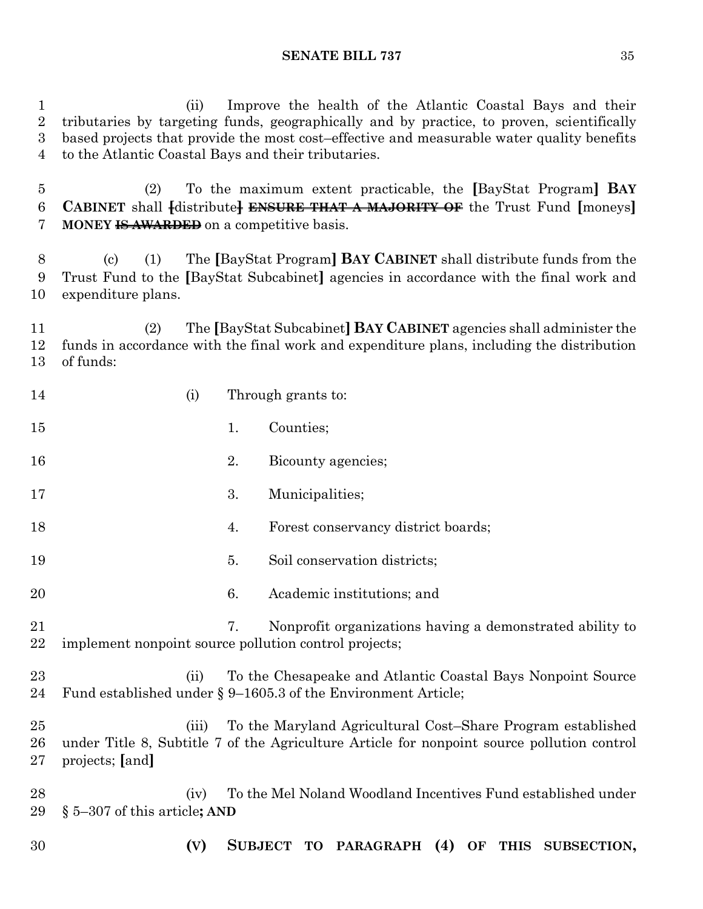(ii) Improve the health of the Atlantic Coastal Bays and their tributaries by targeting funds, geographically and by practice, to proven, scientifically based projects that provide the most cost–effective and measurable water quality benefits to the Atlantic Coastal Bays and their tributaries.

 (2) To the maximum extent practicable, the **[**BayStat Program**] BAY CABINET** shall **[**distribute**] ENSURE THAT A MAJORITY OF** the Trust Fund **[**moneys**] MONEY IS AWARDED** on a competitive basis.

 (c) (1) The **[**BayStat Program**] BAY CABINET** shall distribute funds from the Trust Fund to the **[**BayStat Subcabinet**]** agencies in accordance with the final work and expenditure plans.

 (2) The **[**BayStat Subcabinet**] BAY CABINET** agencies shall administer the funds in accordance with the final work and expenditure plans, including the distribution of funds:

| 14             | (i)                                     |    | Through grants to:                                                                                                                                        |
|----------------|-----------------------------------------|----|-----------------------------------------------------------------------------------------------------------------------------------------------------------|
| 15             |                                         | 1. | Counties;                                                                                                                                                 |
| 16             |                                         | 2. | Bicounty agencies;                                                                                                                                        |
| 17             |                                         | 3. | Municipalities;                                                                                                                                           |
| 18             |                                         | 4. | Forest conservancy district boards;                                                                                                                       |
| 19             |                                         | 5. | Soil conservation districts;                                                                                                                              |
| 20             |                                         | 6. | Academic institutions; and                                                                                                                                |
| 21<br>22       |                                         | 7. | Nonprofit organizations having a demonstrated ability to<br>implement nonpoint source pollution control projects;                                         |
| 23<br>24       | (ii)                                    |    | To the Chesapeake and Atlantic Coastal Bays Nonpoint Source<br>Fund established under § 9-1605.3 of the Environment Article;                              |
| 25<br>26<br>27 | (iii)<br>projects; [and]                |    | To the Maryland Agricultural Cost–Share Program established<br>under Title 8, Subtitle 7 of the Agriculture Article for nonpoint source pollution control |
| 28<br>29       | (iv)<br>$\S$ 5–307 of this article; AND |    | To the Mel Noland Woodland Incentives Fund established under                                                                                              |
| 30             | (V)                                     |    | SUBJECT TO PARAGRAPH (4) OF THIS SUBSECTION,                                                                                                              |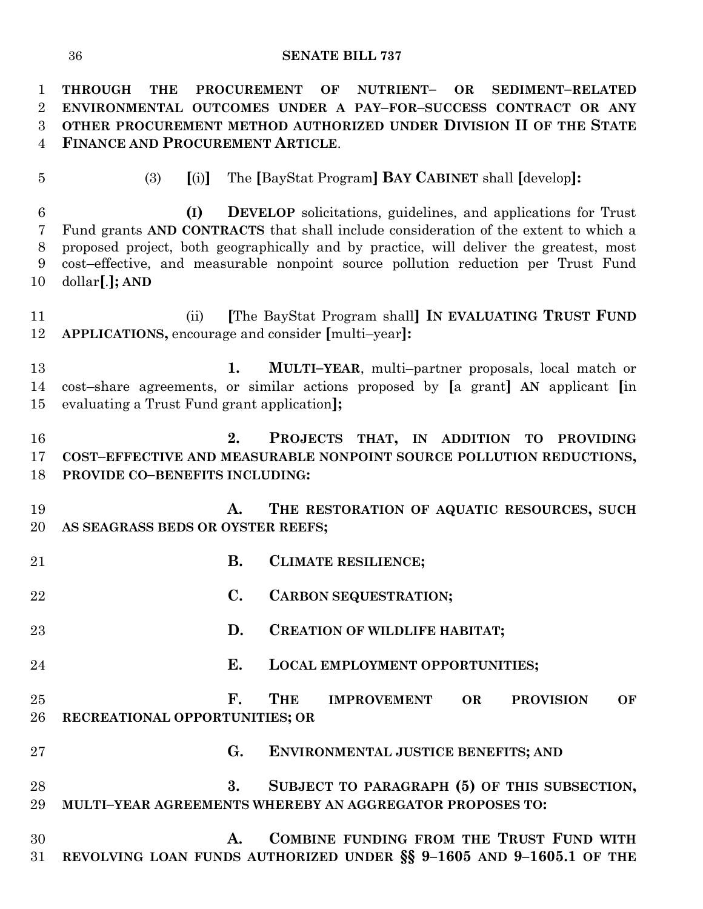**THROUGH THE PROCUREMENT OF NUTRIENT– OR SEDIMENT–RELATED ENVIRONMENTAL OUTCOMES UNDER A PAY–FOR–SUCCESS CONTRACT OR ANY OTHER PROCUREMENT METHOD AUTHORIZED UNDER DIVISION II OF THE STATE FINANCE AND PROCUREMENT ARTICLE**. (3) **[**(i)**]** The **[**BayStat Program**] BAY CABINET** shall **[**develop**]: (I) DEVELOP** solicitations, guidelines, and applications for Trust Fund grants **AND CONTRACTS** that shall include consideration of the extent to which a proposed project, both geographically and by practice, will deliver the greatest, most cost–effective, and measurable nonpoint source pollution reduction per Trust Fund dollar**[**.**]; AND** (ii) **[**The BayStat Program shall**] IN EVALUATING TRUST FUND APPLICATIONS,** encourage and consider **[**multi–year**]: 1. MULTI–YEAR**, multi–partner proposals, local match or cost–share agreements, or similar actions proposed by **[**a grant**] AN** applicant **[**in evaluating a Trust Fund grant application**]; 2. PROJECTS THAT, IN ADDITION TO PROVIDING COST–EFFECTIVE AND MEASURABLE NONPOINT SOURCE POLLUTION REDUCTIONS, PROVIDE CO–BENEFITS INCLUDING: A. THE RESTORATION OF AQUATIC RESOURCES, SUCH AS SEAGRASS BEDS OR OYSTER REEFS; B. CLIMATE RESILIENCE; C. CARBON SEQUESTRATION; D. CREATION OF WILDLIFE HABITAT; E. LOCAL EMPLOYMENT OPPORTUNITIES; F. THE IMPROVEMENT OR PROVISION OF RECREATIONAL OPPORTUNITIES; OR G. ENVIRONMENTAL JUSTICE BENEFITS; AND 3. SUBJECT TO PARAGRAPH (5) OF THIS SUBSECTION, MULTI–YEAR AGREEMENTS WHEREBY AN AGGREGATOR PROPOSES TO: A. COMBINE FUNDING FROM THE TRUST FUND WITH REVOLVING LOAN FUNDS AUTHORIZED UNDER §§ 9–1605 AND 9–1605.1 OF THE**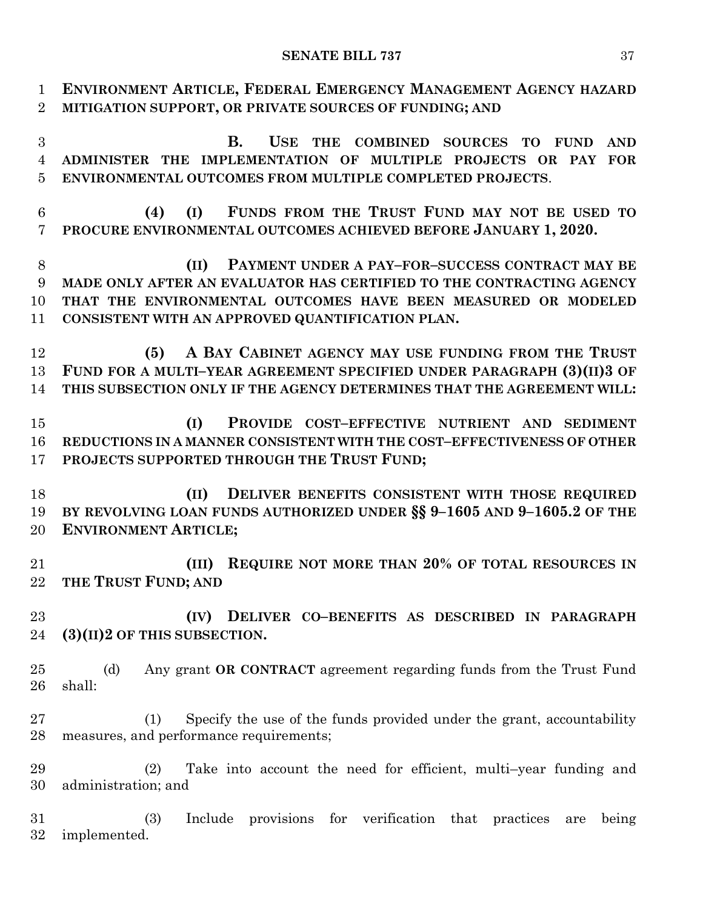| $\mathbf{1}$<br>$\overline{2}$ | ENVIRONMENT ARTICLE, FEDERAL EMERGENCY MANAGEMENT AGENCY HAZARD<br>MITIGATION SUPPORT, OR PRIVATE SOURCES OF FUNDING; AND |
|--------------------------------|---------------------------------------------------------------------------------------------------------------------------|
| 3                              | <b>B.</b><br><b>USE</b><br>THE COMBINED SOURCES<br><b>TO</b><br><b>AND</b><br><b>FUND</b>                                 |
|                                |                                                                                                                           |
| $\overline{4}$                 | ADMINISTER THE IMPLEMENTATION OF MULTIPLE PROJECTS OR PAY FOR                                                             |
| $\overline{5}$                 | ENVIRONMENTAL OUTCOMES FROM MULTIPLE COMPLETED PROJECTS.                                                                  |
| 6                              | FUNDS FROM THE TRUST FUND MAY NOT BE USED TO<br>(I)<br>(4)                                                                |
| 7                              | PROCURE ENVIRONMENTAL OUTCOMES ACHIEVED BEFORE JANUARY 1, 2020.                                                           |
| 8                              | PAYMENT UNDER A PAY-FOR-SUCCESS CONTRACT MAY BE<br>(II)                                                                   |
| 9                              | MADE ONLY AFTER AN EVALUATOR HAS CERTIFIED TO THE CONTRACTING AGENCY                                                      |
| 10                             | THAT THE ENVIRONMENTAL OUTCOMES HAVE BEEN MEASURED OR MODELED                                                             |
| 11                             | CONSISTENT WITH AN APPROVED QUANTIFICATION PLAN.                                                                          |
| 12                             | A BAY CABINET AGENCY MAY USE FUNDING FROM THE TRUST<br>(5)                                                                |
| 13                             | FUND FOR A MULTI-YEAR AGREEMENT SPECIFIED UNDER PARAGRAPH (3)(II)3 OF                                                     |
| 14                             | THIS SUBSECTION ONLY IF THE AGENCY DETERMINES THAT THE AGREEMENT WILL:                                                    |
| 15                             | PROVIDE COST-EFFECTIVE NUTRIENT AND SEDIMENT<br>(I)                                                                       |
| 16                             | REDUCTIONS IN A MANNER CONSISTENT WITH THE COST-EFFECTIVENESS OF OTHER                                                    |
| 17                             | PROJECTS SUPPORTED THROUGH THE TRUST FUND;                                                                                |
| 18                             | DELIVER BENEFITS CONSISTENT WITH THOSE REQUIRED<br>(II)                                                                   |
| 19                             | BY REVOLVING LOAN FUNDS AUTHORIZED UNDER §§ 9-1605 AND 9-1605.2 OF THE                                                    |
| 20                             | <b>ENVIRONMENT ARTICLE;</b>                                                                                               |
| 21                             | REQUIRE NOT MORE THAN 20% OF TOTAL RESOURCES IN<br>(III)                                                                  |
| 22                             | THE TRUST FUND; AND                                                                                                       |
| 23                             | DELIVER CO-BENEFITS AS DESCRIBED IN PARAGRAPH<br>(IV)                                                                     |
| 24                             | $(3)(II)2$ OF THIS SUBSECTION.                                                                                            |
| 25                             | (d)<br>Any grant OR CONTRACT agreement regarding funds from the Trust Fund                                                |
| 26                             | shall:                                                                                                                    |
| 27                             | Specify the use of the funds provided under the grant, accountability<br>(1)                                              |
| 28                             | measures, and performance requirements;                                                                                   |
| 29                             | Take into account the need for efficient, multi-year funding and<br>(2)                                                   |
| 30                             | administration; and                                                                                                       |
| 31                             | provisions for verification that practices<br>(3)<br>Include<br>being<br>are                                              |
| 32                             | implemented.                                                                                                              |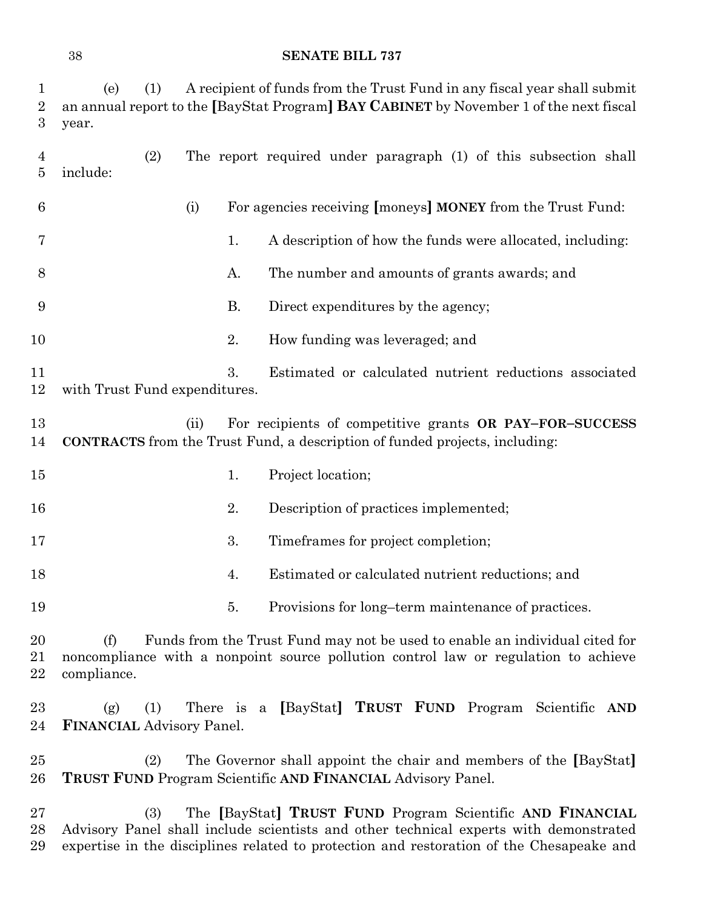| $\mathbf{1}$<br>$\overline{2}$<br>$\boldsymbol{3}$ | A recipient of funds from the Trust Fund in any fiscal year shall submit<br>(e)<br>(1)<br>an annual report to the [BayStat Program] BAY CABINET by November 1 of the next fiscal<br>year.                                                             |
|----------------------------------------------------|-------------------------------------------------------------------------------------------------------------------------------------------------------------------------------------------------------------------------------------------------------|
| $\overline{4}$<br>5                                | (2)<br>The report required under paragraph (1) of this subsection shall<br>include:                                                                                                                                                                   |
| 6                                                  | For agencies receiving [moneys] MONEY from the Trust Fund:<br>(i)                                                                                                                                                                                     |
| 7                                                  | A description of how the funds were allocated, including:<br>1.                                                                                                                                                                                       |
| 8                                                  | A.<br>The number and amounts of grants awards; and                                                                                                                                                                                                    |
| 9                                                  | <b>B.</b><br>Direct expenditures by the agency;                                                                                                                                                                                                       |
| 10                                                 | 2.<br>How funding was leveraged; and                                                                                                                                                                                                                  |
| 11<br>12                                           | 3.<br>Estimated or calculated nutrient reductions associated<br>with Trust Fund expenditures.                                                                                                                                                         |
| 13<br>14                                           | (ii)<br>For recipients of competitive grants OR PAY-FOR-SUCCESS<br>CONTRACTS from the Trust Fund, a description of funded projects, including:                                                                                                        |
| $15\,$                                             | Project location;<br>1.                                                                                                                                                                                                                               |
| 16                                                 | 2.<br>Description of practices implemented;                                                                                                                                                                                                           |
| 17                                                 | 3.<br>Timeframes for project completion;                                                                                                                                                                                                              |
| 18                                                 | Estimated or calculated nutrient reductions; and<br>4.                                                                                                                                                                                                |
| 19                                                 | Provisions for long-term maintenance of practices.<br>5.                                                                                                                                                                                              |
| 20<br>21<br>22                                     | Funds from the Trust Fund may not be used to enable an individual cited for<br>(f)<br>noncompliance with a nonpoint source pollution control law or regulation to achieve<br>compliance.                                                              |
| $23\,$<br>24                                       | [BayStat] TRUST FUND Program<br>(1)<br>There is a<br>Scientific<br>(g)<br>AND<br><b>FINANCIAL Advisory Panel.</b>                                                                                                                                     |
| $25\,$<br>$26\,$                                   | The Governor shall appoint the chair and members of the [BayStat]<br>(2)<br><b>TRUST FUND</b> Program Scientific AND FINANCIAL Advisory Panel.                                                                                                        |
| $27\,$<br>28<br>29                                 | The [BayStat] TRUST FUND Program Scientific AND FINANCIAL<br>(3)<br>Advisory Panel shall include scientists and other technical experts with demonstrated<br>expertise in the disciplines related to protection and restoration of the Chesapeake and |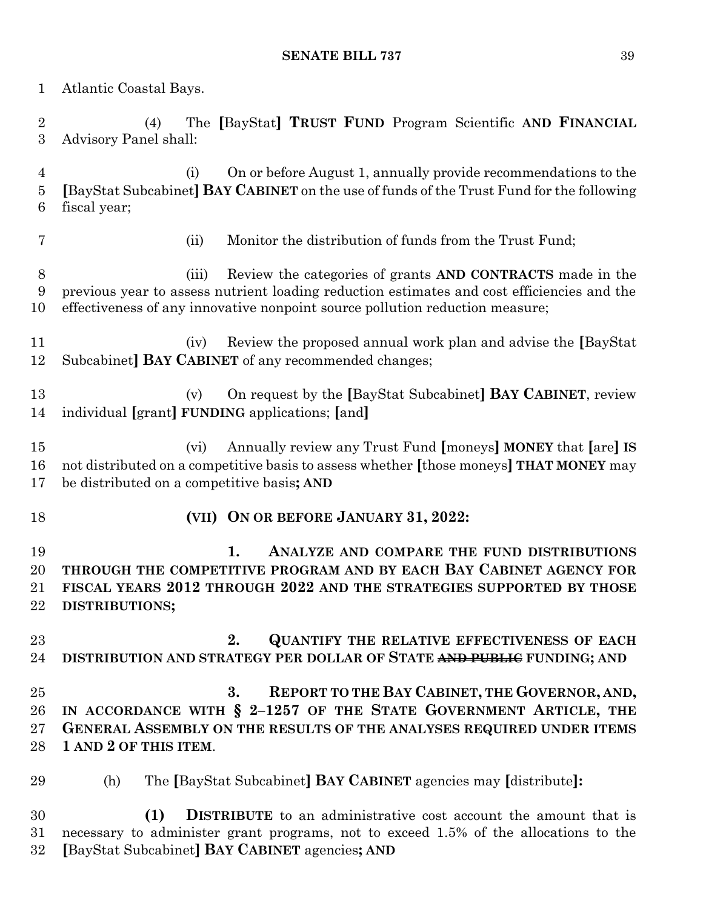Atlantic Coastal Bays. (4) The **[**BayStat**] TRUST FUND** Program Scientific **AND FINANCIAL** Advisory Panel shall: (i) On or before August 1, annually provide recommendations to the **[**BayStat Subcabinet**] BAY CABINET** on the use of funds of the Trust Fund for the following fiscal year; (ii) Monitor the distribution of funds from the Trust Fund; (iii) Review the categories of grants **AND CONTRACTS** made in the previous year to assess nutrient loading reduction estimates and cost efficiencies and the effectiveness of any innovative nonpoint source pollution reduction measure; (iv) Review the proposed annual work plan and advise the **[**BayStat Subcabinet**] BAY CABINET** of any recommended changes; (v) On request by the **[**BayStat Subcabinet**] BAY CABINET**, review individual **[**grant**] FUNDING** applications; **[**and**]** (vi) Annually review any Trust Fund **[**moneys**] MONEY** that **[**are**] IS** not distributed on a competitive basis to assess whether **[**those moneys**] THAT MONEY** may be distributed on a competitive basis**; AND (VII) ON OR BEFORE JANUARY 31, 2022: 1. ANALYZE AND COMPARE THE FUND DISTRIBUTIONS THROUGH THE COMPETITIVE PROGRAM AND BY EACH BAY CABINET AGENCY FOR FISCAL YEARS 2012 THROUGH 2022 AND THE STRATEGIES SUPPORTED BY THOSE DISTRIBUTIONS; 2. QUANTIFY THE RELATIVE EFFECTIVENESS OF EACH DISTRIBUTION AND STRATEGY PER DOLLAR OF STATE AND PUBLIC FUNDING; AND 3. REPORT TO THE BAY CABINET, THE GOVERNOR, AND, IN ACCORDANCE WITH § 2–1257 OF THE STATE GOVERNMENT ARTICLE, THE GENERAL ASSEMBLY ON THE RESULTS OF THE ANALYSES REQUIRED UNDER ITEMS 1 AND 2 OF THIS ITEM**. (h) The **[**BayStat Subcabinet**] BAY CABINET** agencies may **[**distribute**]: (1) DISTRIBUTE** to an administrative cost account the amount that is necessary to administer grant programs, not to exceed 1.5% of the allocations to the **[**BayStat Subcabinet**] BAY CABINET** agencies**; AND**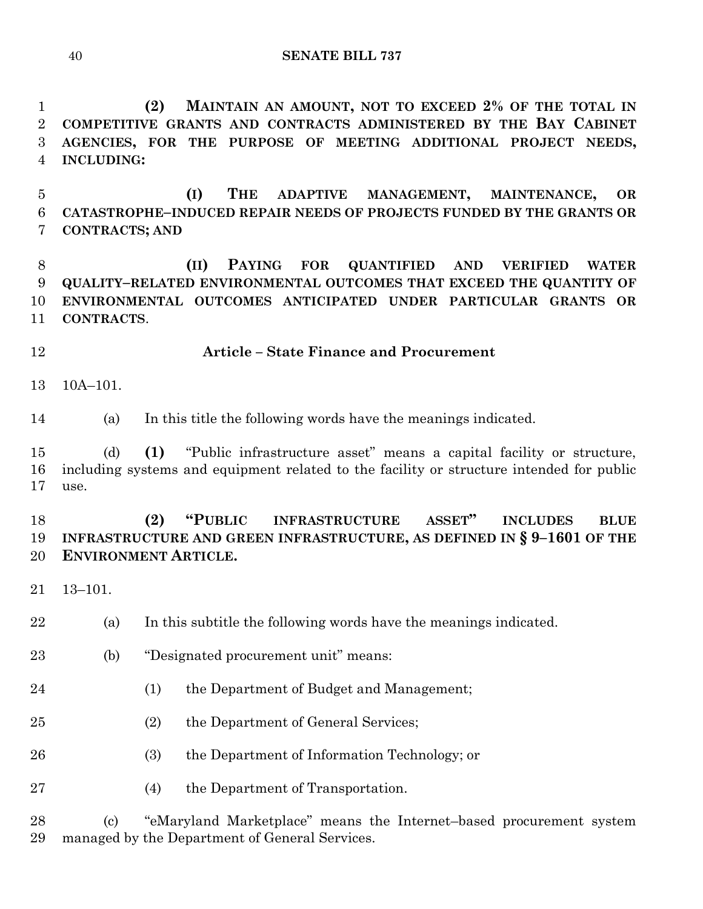**(2) MAINTAIN AN AMOUNT, NOT TO EXCEED 2% OF THE TOTAL IN COMPETITIVE GRANTS AND CONTRACTS ADMINISTERED BY THE BAY CABINET AGENCIES, FOR THE PURPOSE OF MEETING ADDITIONAL PROJECT NEEDS, INCLUDING:**

 **(I) THE ADAPTIVE MANAGEMENT, MAINTENANCE, OR CATASTROPHE–INDUCED REPAIR NEEDS OF PROJECTS FUNDED BY THE GRANTS OR CONTRACTS; AND**

 **(II) PAYING FOR QUANTIFIED AND VERIFIED WATER QUALITY–RELATED ENVIRONMENTAL OUTCOMES THAT EXCEED THE QUANTITY OF ENVIRONMENTAL OUTCOMES ANTICIPATED UNDER PARTICULAR GRANTS OR CONTRACTS**.

**Article – State Finance and Procurement**

10A–101.

(a) In this title the following words have the meanings indicated.

 (d) **(1)** "Public infrastructure asset" means a capital facility or structure, including systems and equipment related to the facility or structure intended for public use.

 **(2) "PUBLIC INFRASTRUCTURE ASSET" INCLUDES BLUE INFRASTRUCTURE AND GREEN INFRASTRUCTURE, AS DEFINED IN § 9–1601 OF THE ENVIRONMENT ARTICLE.**

13–101.

(a) In this subtitle the following words have the meanings indicated.

- (b) "Designated procurement unit" means:
- (1) the Department of Budget and Management;
- (2) the Department of General Services;
- (3) the Department of Information Technology; or
- (4) the Department of Transportation.

 (c) "eMaryland Marketplace" means the Internet–based procurement system managed by the Department of General Services.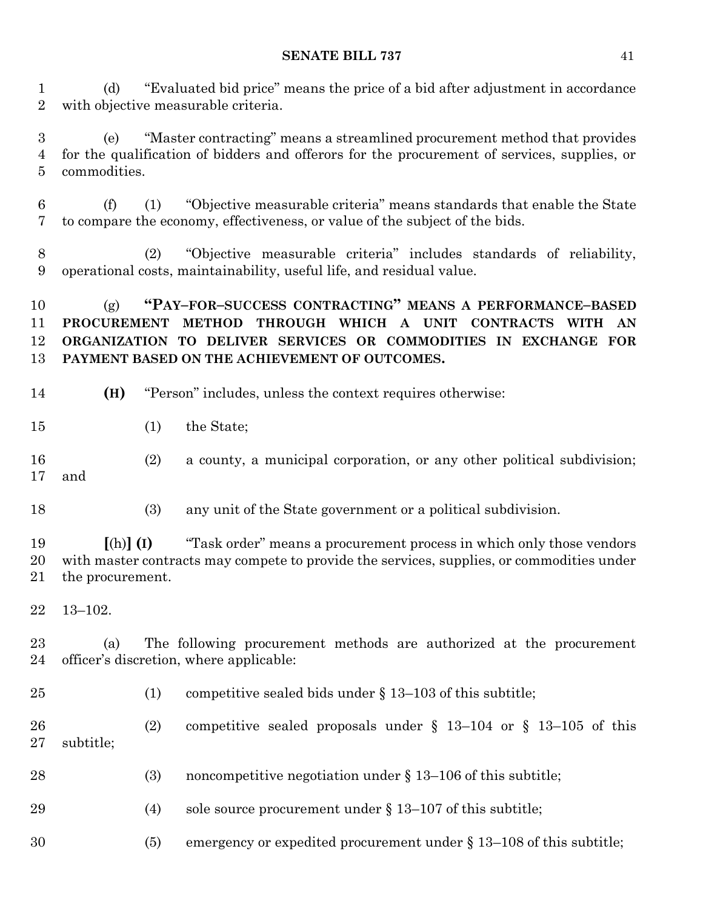(d) "Evaluated bid price" means the price of a bid after adjustment in accordance with objective measurable criteria.

 (e) "Master contracting" means a streamlined procurement method that provides for the qualification of bidders and offerors for the procurement of services, supplies, or commodities.

 (f) (1) "Objective measurable criteria" means standards that enable the State to compare the economy, effectiveness, or value of the subject of the bids.

 (2) "Objective measurable criteria" includes standards of reliability, operational costs, maintainability, useful life, and residual value.

 (g) **"PAY–FOR–SUCCESS CONTRACTING" MEANS A PERFORMANCE–BASED PROCUREMENT METHOD THROUGH WHICH A UNIT CONTRACTS WITH AN ORGANIZATION TO DELIVER SERVICES OR COMMODITIES IN EXCHANGE FOR PAYMENT BASED ON THE ACHIEVEMENT OF OUTCOMES.**

- **(H)** "Person" includes, unless the context requires otherwise:
- (1) the State;
- (2) a county, a municipal corporation, or any other political subdivision; and
- (3) any unit of the State government or a political subdivision.

 **[**(h)**] (I)** "Task order" means a procurement process in which only those vendors with master contracts may compete to provide the services, supplies, or commodities under the procurement.

13–102.

 (a) The following procurement methods are authorized at the procurement officer's discretion, where applicable:

(1) competitive sealed bids under § 13–103 of this subtitle;

 (2) competitive sealed proposals under § 13–104 or § 13–105 of this subtitle;

- 28 (3) noncompetitive negotiation under § 13–106 of this subtitle;
- 29 (4) sole source procurement under § 13–107 of this subtitle;
- (5) emergency or expedited procurement under § 13–108 of this subtitle;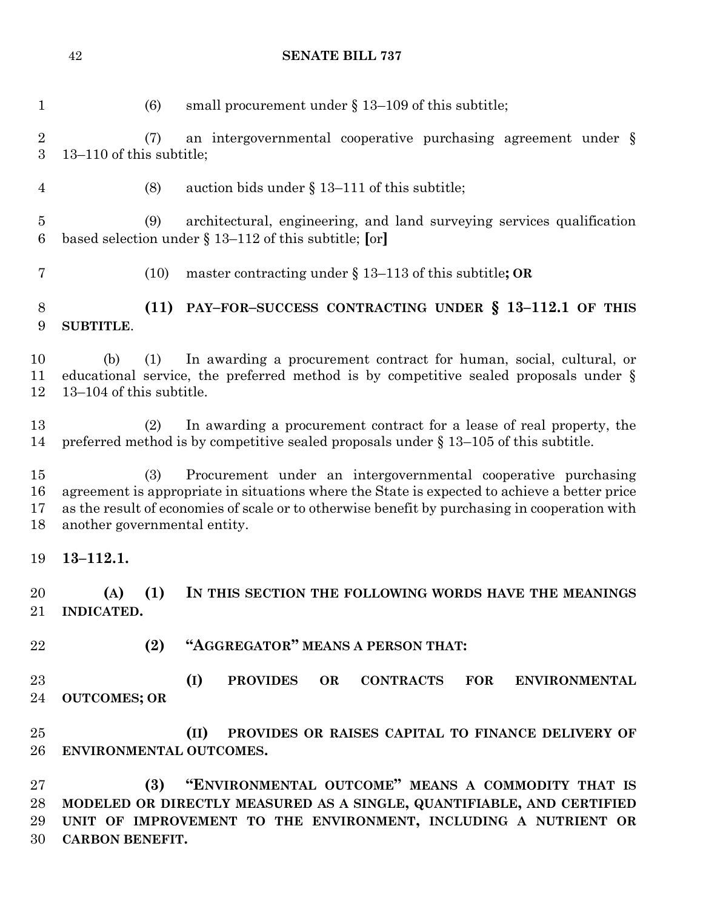| $\mathbf{1}$             | (6)                                    | small procurement under $\S 13-109$ of this subtitle;                                                                                                                                                                                                                                          |
|--------------------------|----------------------------------------|------------------------------------------------------------------------------------------------------------------------------------------------------------------------------------------------------------------------------------------------------------------------------------------------|
| $\sqrt{2}$<br>3          | (7)<br>13-110 of this subtitle;        | an intergovernmental cooperative purchasing agreement under $\S$                                                                                                                                                                                                                               |
| 4                        | (8)                                    | auction bids under $\S 13-111$ of this subtitle;                                                                                                                                                                                                                                               |
| $\overline{5}$<br>6      | (9)                                    | architectural, engineering, and land surveying services qualification<br>based selection under $\S 13-112$ of this subtitle; [or]                                                                                                                                                              |
| 7                        |                                        | master contracting under $\S 13-113$ of this subtitle; OR<br>(10)                                                                                                                                                                                                                              |
| 8<br>9                   | <b>SUBTITLE.</b>                       | PAY-FOR-SUCCESS CONTRACTING UNDER § 13-112.1 OF THIS<br>(11)                                                                                                                                                                                                                                   |
| 10<br>11<br>12           | (1)<br>(b)<br>13–104 of this subtitle. | In awarding a procurement contract for human, social, cultural, or<br>educational service, the preferred method is by competitive sealed proposals under $\S$                                                                                                                                  |
| 13<br>14                 |                                        | In awarding a procurement contract for a lease of real property, the<br>(2)<br>preferred method is by competitive sealed proposals under $\S 13-105$ of this subtitle.                                                                                                                         |
| 15<br>16<br>17<br>18     | (3)                                    | Procurement under an intergovernmental cooperative purchasing<br>agreement is appropriate in situations where the State is expected to achieve a better price<br>as the result of economies of scale or to otherwise benefit by purchasing in cooperation with<br>another governmental entity. |
| 19                       | $13 - 112.1.$                          |                                                                                                                                                                                                                                                                                                |
| 20<br>21                 | (A)<br><b>INDICATED.</b>               | (1)<br>IN THIS SECTION THE FOLLOWING WORDS HAVE THE MEANINGS                                                                                                                                                                                                                                   |
| 22                       |                                        | "AGGREGATOR" MEANS A PERSON THAT:<br>(2)                                                                                                                                                                                                                                                       |
| 23<br>24                 | <b>OUTCOMES; OR</b>                    | (I)<br><b>PROVIDES</b><br><b>CONTRACTS</b><br><b>FOR</b><br><b>OR</b><br><b>ENVIRONMENTAL</b>                                                                                                                                                                                                  |
| 25<br>26                 |                                        | PROVIDES OR RAISES CAPITAL TO FINANCE DELIVERY OF<br>(II)<br>ENVIRONMENTAL OUTCOMES.                                                                                                                                                                                                           |
| $27\,$<br>28<br>29<br>30 | <b>CARBON BENEFIT.</b>                 | "ENVIRONMENTAL OUTCOME" MEANS A COMMODITY THAT IS<br>(3)<br>MODELED OR DIRECTLY MEASURED AS A SINGLE, QUANTIFIABLE, AND CERTIFIED<br>UNIT OF IMPROVEMENT TO THE ENVIRONMENT, INCLUDING A NUTRIENT OR                                                                                           |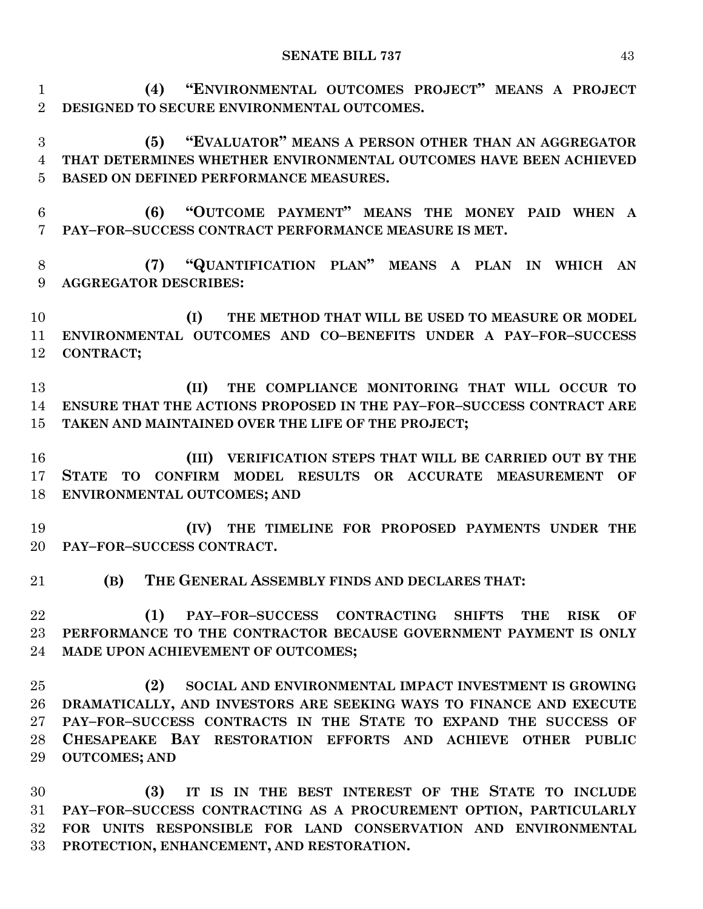**(4) "ENVIRONMENTAL OUTCOMES PROJECT" MEANS A PROJECT DESIGNED TO SECURE ENVIRONMENTAL OUTCOMES.**

 **(5) "EVALUATOR" MEANS A PERSON OTHER THAN AN AGGREGATOR THAT DETERMINES WHETHER ENVIRONMENTAL OUTCOMES HAVE BEEN ACHIEVED BASED ON DEFINED PERFORMANCE MEASURES.**

 **(6) "OUTCOME PAYMENT" MEANS THE MONEY PAID WHEN A PAY–FOR–SUCCESS CONTRACT PERFORMANCE MEASURE IS MET.**

 **(7) "QUANTIFICATION PLAN" MEANS A PLAN IN WHICH AN AGGREGATOR DESCRIBES:**

 **(I) THE METHOD THAT WILL BE USED TO MEASURE OR MODEL ENVIRONMENTAL OUTCOMES AND CO–BENEFITS UNDER A PAY–FOR–SUCCESS CONTRACT;**

 **(II) THE COMPLIANCE MONITORING THAT WILL OCCUR TO ENSURE THAT THE ACTIONS PROPOSED IN THE PAY–FOR–SUCCESS CONTRACT ARE TAKEN AND MAINTAINED OVER THE LIFE OF THE PROJECT;**

 **(III) VERIFICATION STEPS THAT WILL BE CARRIED OUT BY THE STATE TO CONFIRM MODEL RESULTS OR ACCURATE MEASUREMENT OF ENVIRONMENTAL OUTCOMES; AND** 

 **(IV) THE TIMELINE FOR PROPOSED PAYMENTS UNDER THE PAY–FOR–SUCCESS CONTRACT.**

**(B) THE GENERAL ASSEMBLY FINDS AND DECLARES THAT:**

 **(1) PAY–FOR–SUCCESS CONTRACTING SHIFTS THE RISK OF PERFORMANCE TO THE CONTRACTOR BECAUSE GOVERNMENT PAYMENT IS ONLY MADE UPON ACHIEVEMENT OF OUTCOMES;**

 **(2) SOCIAL AND ENVIRONMENTAL IMPACT INVESTMENT IS GROWING DRAMATICALLY, AND INVESTORS ARE SEEKING WAYS TO FINANCE AND EXECUTE PAY–FOR–SUCCESS CONTRACTS IN THE STATE TO EXPAND THE SUCCESS OF CHESAPEAKE BAY RESTORATION EFFORTS AND ACHIEVE OTHER PUBLIC OUTCOMES; AND**

 **(3) IT IS IN THE BEST INTEREST OF THE STATE TO INCLUDE PAY–FOR–SUCCESS CONTRACTING AS A PROCUREMENT OPTION, PARTICULARLY FOR UNITS RESPONSIBLE FOR LAND CONSERVATION AND ENVIRONMENTAL PROTECTION, ENHANCEMENT, AND RESTORATION.**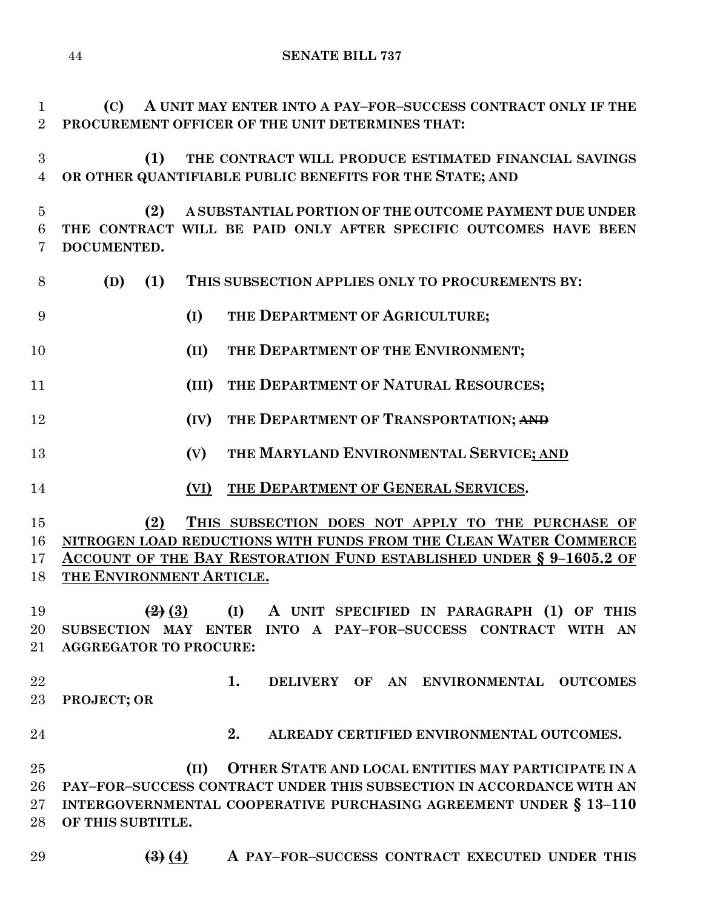**(C) A UNIT MAY ENTER INTO A PAY–FOR–SUCCESS CONTRACT ONLY IF THE PROCUREMENT OFFICER OF THE UNIT DETERMINES THAT: (1) THE CONTRACT WILL PRODUCE ESTIMATED FINANCIAL SAVINGS OR OTHER QUANTIFIABLE PUBLIC BENEFITS FOR THE STATE; AND (2) A SUBSTANTIAL PORTION OF THE OUTCOME PAYMENT DUE UNDER THE CONTRACT WILL BE PAID ONLY AFTER SPECIFIC OUTCOMES HAVE BEEN DOCUMENTED. (D) (1) THIS SUBSECTION APPLIES ONLY TO PROCUREMENTS BY: (I) THE DEPARTMENT OF AGRICULTURE; (II) THE DEPARTMENT OF THE ENVIRONMENT; (III) THE DEPARTMENT OF NATURAL RESOURCES; (IV) THE DEPARTMENT OF TRANSPORTATION; AND (V) THE MARYLAND ENVIRONMENTAL SERVICE; AND (VI) THE DEPARTMENT OF GENERAL SERVICES. (2) THIS SUBSECTION DOES NOT APPLY TO THE PURCHASE OF NITROGEN LOAD REDUCTIONS WITH FUNDS FROM THE CLEAN WATER COMMERCE ACCOUNT OF THE BAY RESTORATION FUND ESTABLISHED UNDER § 9–1605.2 OF THE ENVIRONMENT ARTICLE. (2) (3) (I) A UNIT SPECIFIED IN PARAGRAPH (1) OF THIS SUBSECTION MAY ENTER INTO A PAY–FOR–SUCCESS CONTRACT WITH AN AGGREGATOR TO PROCURE: 1. DELIVERY OF AN ENVIRONMENTAL OUTCOMES PROJECT; OR 2. ALREADY CERTIFIED ENVIRONMENTAL OUTCOMES. (II) OTHER STATE AND LOCAL ENTITIES MAY PARTICIPATE IN A PAY–FOR–SUCCESS CONTRACT UNDER THIS SUBSECTION IN ACCORDANCE WITH AN INTERGOVERNMENTAL COOPERATIVE PURCHASING AGREEMENT UNDER § 13–110 OF THIS SUBTITLE.**

**SENATE BILL 737**

**(3) (4) A PAY–FOR–SUCCESS CONTRACT EXECUTED UNDER THIS**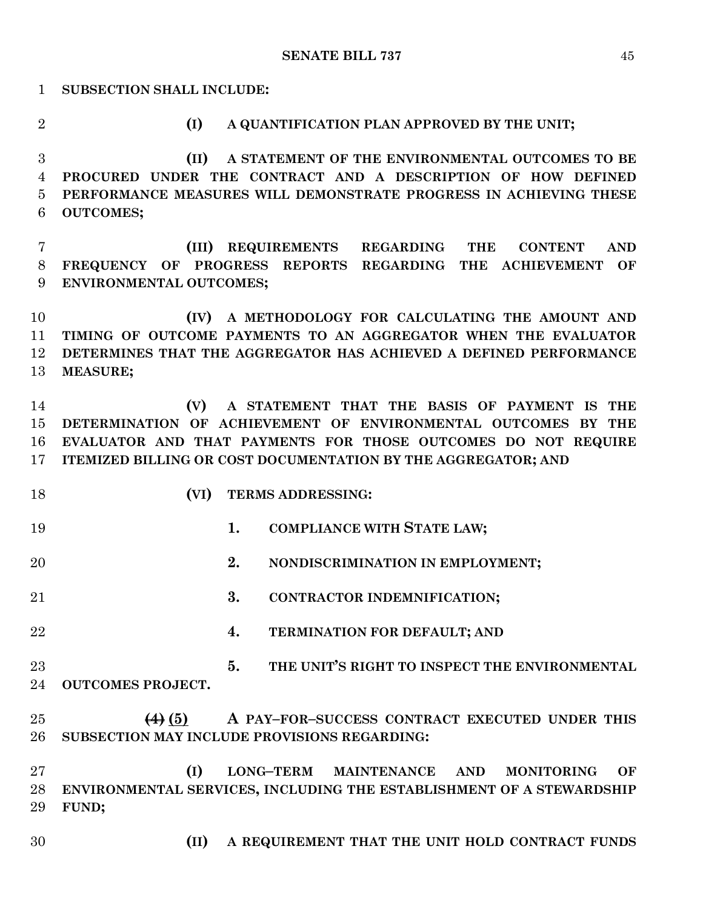**SUBSECTION SHALL INCLUDE: (I) A QUANTIFICATION PLAN APPROVED BY THE UNIT; (II) A STATEMENT OF THE ENVIRONMENTAL OUTCOMES TO BE PROCURED UNDER THE CONTRACT AND A DESCRIPTION OF HOW DEFINED PERFORMANCE MEASURES WILL DEMONSTRATE PROGRESS IN ACHIEVING THESE OUTCOMES; (III) REQUIREMENTS REGARDING THE CONTENT AND FREQUENCY OF PROGRESS REPORTS REGARDING THE ACHIEVEMENT OF ENVIRONMENTAL OUTCOMES; (IV) A METHODOLOGY FOR CALCULATING THE AMOUNT AND TIMING OF OUTCOME PAYMENTS TO AN AGGREGATOR WHEN THE EVALUATOR DETERMINES THAT THE AGGREGATOR HAS ACHIEVED A DEFINED PERFORMANCE MEASURE; (V) A STATEMENT THAT THE BASIS OF PAYMENT IS THE DETERMINATION OF ACHIEVEMENT OF ENVIRONMENTAL OUTCOMES BY THE EVALUATOR AND THAT PAYMENTS FOR THOSE OUTCOMES DO NOT REQUIRE ITEMIZED BILLING OR COST DOCUMENTATION BY THE AGGREGATOR; AND (VI) TERMS ADDRESSING: 1. COMPLIANCE WITH STATE LAW; 2. NONDISCRIMINATION IN EMPLOYMENT; 3. CONTRACTOR INDEMNIFICATION; 4. TERMINATION FOR DEFAULT; AND 5. THE UNIT'S RIGHT TO INSPECT THE ENVIRONMENTAL OUTCOMES PROJECT. (4) (5) A PAY–FOR–SUCCESS CONTRACT EXECUTED UNDER THIS SUBSECTION MAY INCLUDE PROVISIONS REGARDING: (I) LONG–TERM MAINTENANCE AND MONITORING OF ENVIRONMENTAL SERVICES, INCLUDING THE ESTABLISHMENT OF A STEWARDSHIP FUND; (II) A REQUIREMENT THAT THE UNIT HOLD CONTRACT FUNDS**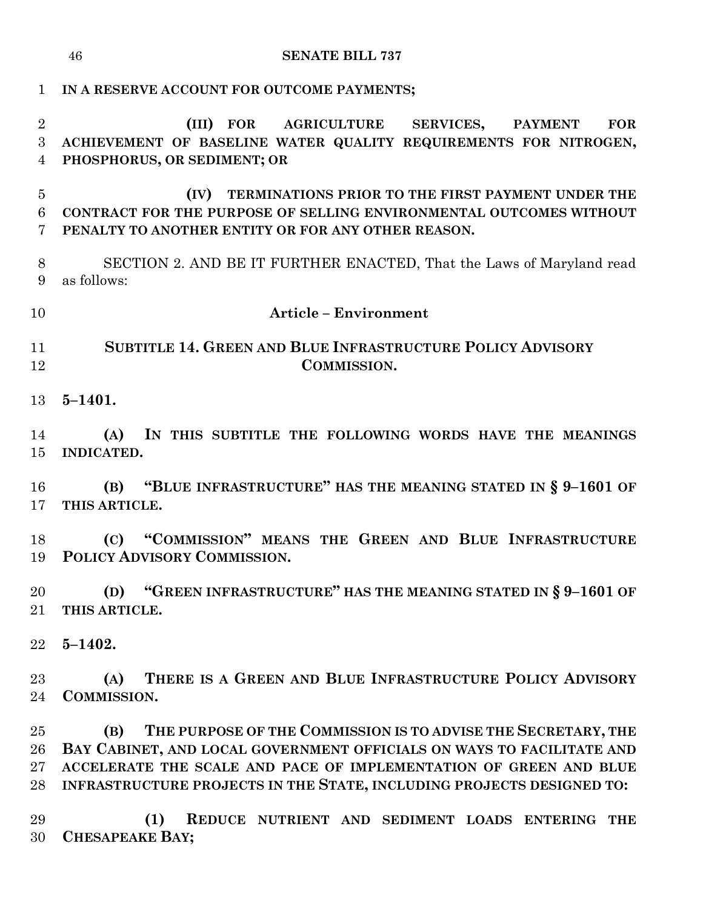| $\mathbf{1}$                          | IN A RESERVE ACCOUNT FOR OUTCOME PAYMENTS;                                                                                                                                                                                                                                                                                                            |  |  |
|---------------------------------------|-------------------------------------------------------------------------------------------------------------------------------------------------------------------------------------------------------------------------------------------------------------------------------------------------------------------------------------------------------|--|--|
| $\overline{2}$<br>3<br>$\overline{4}$ | AGRICULTURE SERVICES,<br>(III)<br>$\bf FOR$<br><b>FOR</b><br><b>PAYMENT</b><br>ACHIEVEMENT OF BASELINE WATER QUALITY REQUIREMENTS FOR NITROGEN,<br>PHOSPHORUS, OR SEDIMENT; OR                                                                                                                                                                        |  |  |
| $\overline{5}$<br>6<br>7              | TERMINATIONS PRIOR TO THE FIRST PAYMENT UNDER THE<br>(IV)<br>CONTRACT FOR THE PURPOSE OF SELLING ENVIRONMENTAL OUTCOMES WITHOUT<br>PENALTY TO ANOTHER ENTITY OR FOR ANY OTHER REASON.                                                                                                                                                                 |  |  |
| 8<br>9                                | SECTION 2. AND BE IT FURTHER ENACTED, That the Laws of Maryland read<br>as follows:                                                                                                                                                                                                                                                                   |  |  |
| 10                                    | <b>Article - Environment</b>                                                                                                                                                                                                                                                                                                                          |  |  |
| 11<br>12                              | <b>SUBTITLE 14. GREEN AND BLUE INFRASTRUCTURE POLICY ADVISORY</b><br>COMMISSION.                                                                                                                                                                                                                                                                      |  |  |
| 13                                    | $5 - 1401.$                                                                                                                                                                                                                                                                                                                                           |  |  |
| 14<br>15                              | (A)<br>IN THIS SUBTITLE THE FOLLOWING WORDS HAVE THE MEANINGS<br><b>INDICATED.</b>                                                                                                                                                                                                                                                                    |  |  |
| 16<br>17                              | (B) "BLUE INFRASTRUCTURE" HAS THE MEANING STATED IN § 9-1601 OF<br>THIS ARTICLE.                                                                                                                                                                                                                                                                      |  |  |
| 18<br>19                              | (C) "COMMISSION" MEANS THE GREEN AND BLUE INFRASTRUCTURE<br>POLICY ADVISORY COMMISSION.                                                                                                                                                                                                                                                               |  |  |
| 20<br>21                              | (D) "GREEN INFRASTRUCTURE" HAS THE MEANING STATED IN § 9-1601 OF<br>THIS ARTICLE.                                                                                                                                                                                                                                                                     |  |  |
| 22                                    | $5 - 1402.$                                                                                                                                                                                                                                                                                                                                           |  |  |
| 23<br>24                              | THERE IS A GREEN AND BLUE INFRASTRUCTURE POLICY ADVISORY<br>(A)<br><b>COMMISSION.</b>                                                                                                                                                                                                                                                                 |  |  |
| 25<br>26<br>$27\,$<br>28<br>29        | THE PURPOSE OF THE COMMISSION IS TO ADVISE THE SECRETARY, THE<br>(B)<br>BAY CABINET, AND LOCAL GOVERNMENT OFFICIALS ON WAYS TO FACILITATE AND<br>ACCELERATE THE SCALE AND PACE OF IMPLEMENTATION OF GREEN AND BLUE<br>INFRASTRUCTURE PROJECTS IN THE STATE, INCLUDING PROJECTS DESIGNED TO:<br>(1)<br>REDUCE NUTRIENT AND SEDIMENT LOADS ENTERING THE |  |  |
| 30                                    | <b>CHESAPEAKE BAY;</b>                                                                                                                                                                                                                                                                                                                                |  |  |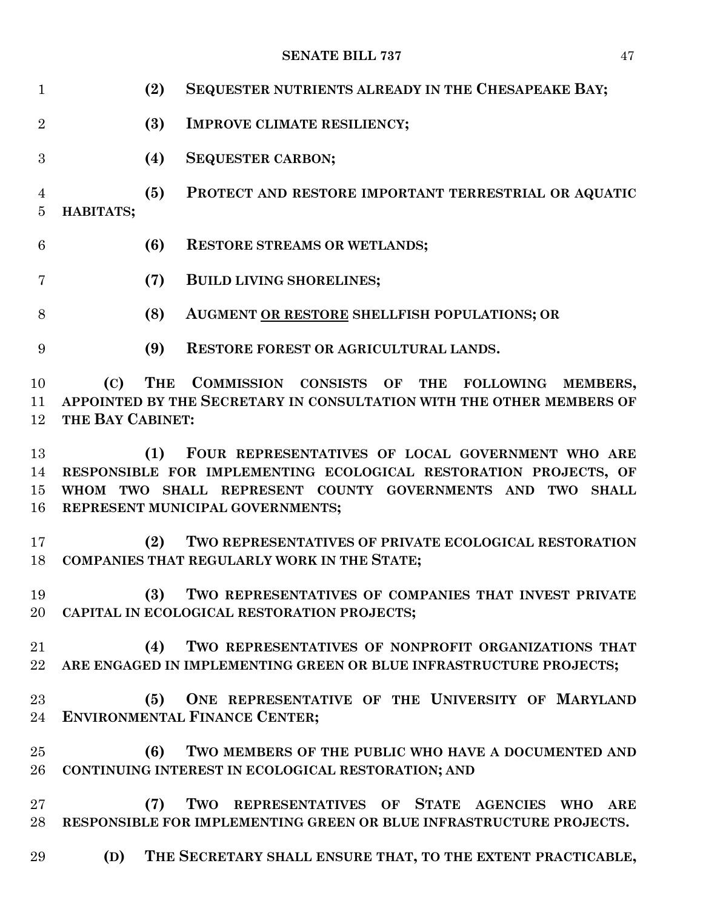| $\mathbf{1}$                     | (2)                                                                                                                                                                                                                          | SEQUESTER NUTRIENTS ALREADY IN THE CHESAPEAKE BAY;                                                                                 |  |
|----------------------------------|------------------------------------------------------------------------------------------------------------------------------------------------------------------------------------------------------------------------------|------------------------------------------------------------------------------------------------------------------------------------|--|
| $\overline{2}$                   | (3)                                                                                                                                                                                                                          | <b>IMPROVE CLIMATE RESILIENCY;</b>                                                                                                 |  |
| 3                                | (4)                                                                                                                                                                                                                          | <b>SEQUESTER CARBON;</b>                                                                                                           |  |
| $\overline{4}$<br>$\overline{5}$ | (5)<br>HABITATS;                                                                                                                                                                                                             | PROTECT AND RESTORE IMPORTANT TERRESTRIAL OR AQUATIC                                                                               |  |
| 6                                | (6)                                                                                                                                                                                                                          | <b>RESTORE STREAMS OR WETLANDS;</b>                                                                                                |  |
| 7                                | (7)                                                                                                                                                                                                                          | <b>BUILD LIVING SHORELINES;</b>                                                                                                    |  |
| 8                                | (8)                                                                                                                                                                                                                          | AUGMENT OR RESTORE SHELLFISH POPULATIONS; OR                                                                                       |  |
| 9                                | (9)                                                                                                                                                                                                                          | <b>RESTORE FOREST OR AGRICULTURAL LANDS.</b>                                                                                       |  |
| 10<br>11<br>12                   | <b>THE</b><br>(C)<br>THE BAY CABINET:                                                                                                                                                                                        | COMMISSION CONSISTS OF THE<br><b>FOLLOWING</b><br>MEMBERS,<br>APPOINTED BY THE SECRETARY IN CONSULTATION WITH THE OTHER MEMBERS OF |  |
| 13<br>14<br>15<br>16             | FOUR REPRESENTATIVES OF LOCAL GOVERNMENT WHO ARE<br>(1)<br>RESPONSIBLE FOR IMPLEMENTING ECOLOGICAL RESTORATION PROJECTS, OF<br>WHOM TWO SHALL REPRESENT COUNTY GOVERNMENTS AND TWO SHALL<br>REPRESENT MUNICIPAL GOVERNMENTS; |                                                                                                                                    |  |
| 17<br>18                         | (2)                                                                                                                                                                                                                          | TWO REPRESENTATIVES OF PRIVATE ECOLOGICAL RESTORATION<br>COMPANIES THAT REGULARLY WORK IN THE STATE;                               |  |
| 19<br>20                         |                                                                                                                                                                                                                              | (3) TWO REPRESENTATIVES OF COMPANIES THAT INVEST PRIVATE<br>CAPITAL IN ECOLOGICAL RESTORATION PROJECTS;                            |  |
| 21<br>$22\,$                     | (4)                                                                                                                                                                                                                          | TWO REPRESENTATIVES OF NONPROFIT ORGANIZATIONS THAT<br>ARE ENGAGED IN IMPLEMENTING GREEN OR BLUE INFRASTRUCTURE PROJECTS;          |  |
| 23<br>24                         | (5)                                                                                                                                                                                                                          | ONE REPRESENTATIVE OF THE UNIVERSITY OF MARYLAND<br><b>ENVIRONMENTAL FINANCE CENTER;</b>                                           |  |
| 25<br>26                         | (6)                                                                                                                                                                                                                          | TWO MEMBERS OF THE PUBLIC WHO HAVE A DOCUMENTED AND<br>CONTINUING INTEREST IN ECOLOGICAL RESTORATION; AND                          |  |
| $27\,$<br>$28\,$                 | (7)                                                                                                                                                                                                                          | TWO REPRESENTATIVES OF STATE AGENCIES WHO<br><b>ARE</b><br>RESPONSIBLE FOR IMPLEMENTING GREEN OR BLUE INFRASTRUCTURE PROJECTS.     |  |
| 29                               | (D)                                                                                                                                                                                                                          | THE SECRETARY SHALL ENSURE THAT, TO THE EXTENT PRACTICABLE,                                                                        |  |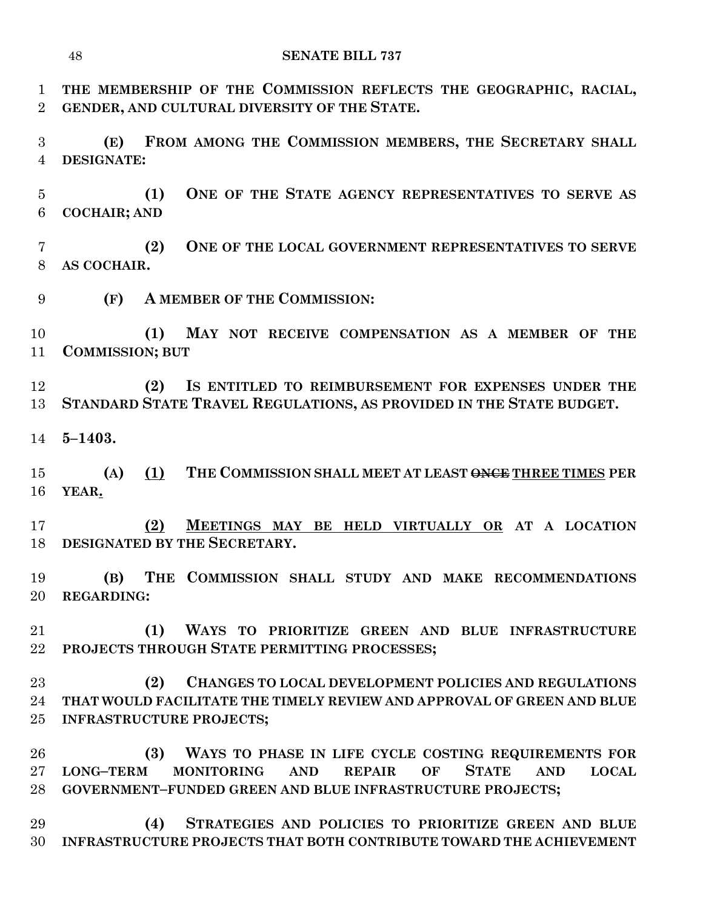**THE MEMBERSHIP OF THE COMMISSION REFLECTS THE GEOGRAPHIC, RACIAL, GENDER, AND CULTURAL DIVERSITY OF THE STATE.**

 **(E) FROM AMONG THE COMMISSION MEMBERS, THE SECRETARY SHALL DESIGNATE:**

 **(1) ONE OF THE STATE AGENCY REPRESENTATIVES TO SERVE AS COCHAIR; AND** 

 **(2) ONE OF THE LOCAL GOVERNMENT REPRESENTATIVES TO SERVE AS COCHAIR.**

**(F) A MEMBER OF THE COMMISSION:**

 **(1) MAY NOT RECEIVE COMPENSATION AS A MEMBER OF THE COMMISSION; BUT**

 **(2) IS ENTITLED TO REIMBURSEMENT FOR EXPENSES UNDER THE STANDARD STATE TRAVEL REGULATIONS, AS PROVIDED IN THE STATE BUDGET.**

**5–1403.**

 **(A) (1) THE COMMISSION SHALL MEET AT LEAST ONCE THREE TIMES PER YEAR.**

 **(2) MEETINGS MAY BE HELD VIRTUALLY OR AT A LOCATION DESIGNATED BY THE SECRETARY.**

 **(B) THE COMMISSION SHALL STUDY AND MAKE RECOMMENDATIONS REGARDING:**

 **(1) WAYS TO PRIORITIZE GREEN AND BLUE INFRASTRUCTURE PROJECTS THROUGH STATE PERMITTING PROCESSES;**

 **(2) CHANGES TO LOCAL DEVELOPMENT POLICIES AND REGULATIONS THAT WOULD FACILITATE THE TIMELY REVIEW AND APPROVAL OF GREEN AND BLUE INFRASTRUCTURE PROJECTS;**

 **(3) WAYS TO PHASE IN LIFE CYCLE COSTING REQUIREMENTS FOR LONG–TERM MONITORING AND REPAIR OF STATE AND LOCAL GOVERNMENT–FUNDED GREEN AND BLUE INFRASTRUCTURE PROJECTS;**

 **(4) STRATEGIES AND POLICIES TO PRIORITIZE GREEN AND BLUE INFRASTRUCTURE PROJECTS THAT BOTH CONTRIBUTE TOWARD THE ACHIEVEMENT**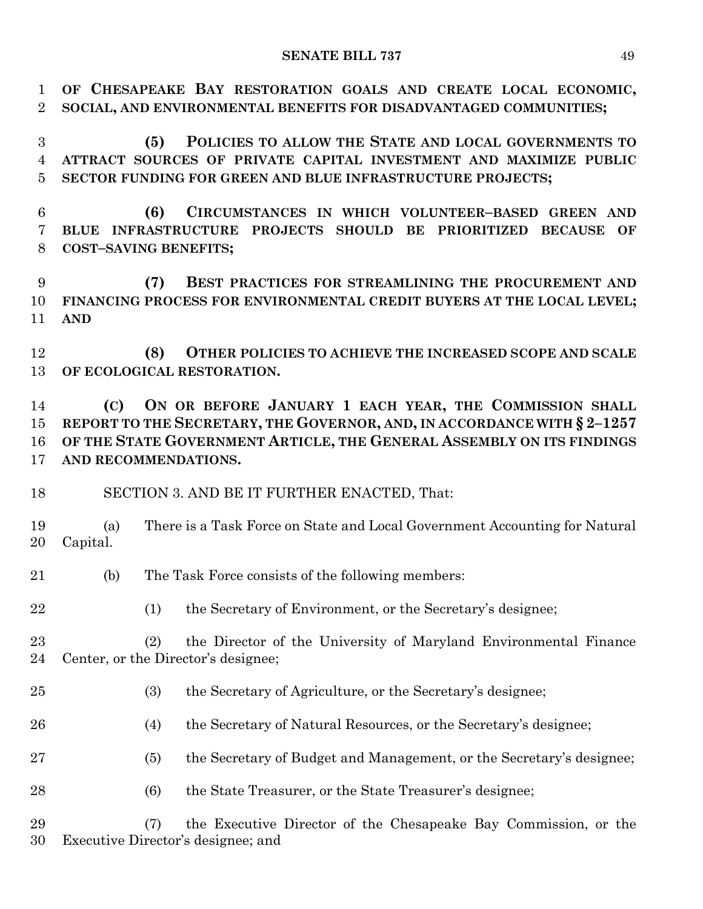**OF CHESAPEAKE BAY RESTORATION GOALS AND CREATE LOCAL ECONOMIC, SOCIAL, AND ENVIRONMENTAL BENEFITS FOR DISADVANTAGED COMMUNITIES;**

 **(5) POLICIES TO ALLOW THE STATE AND LOCAL GOVERNMENTS TO ATTRACT SOURCES OF PRIVATE CAPITAL INVESTMENT AND MAXIMIZE PUBLIC SECTOR FUNDING FOR GREEN AND BLUE INFRASTRUCTURE PROJECTS;**

 **(6) CIRCUMSTANCES IN WHICH VOLUNTEER–BASED GREEN AND BLUE INFRASTRUCTURE PROJECTS SHOULD BE PRIORITIZED BECAUSE OF COST–SAVING BENEFITS;**

 **(7) BEST PRACTICES FOR STREAMLINING THE PROCUREMENT AND FINANCING PROCESS FOR ENVIRONMENTAL CREDIT BUYERS AT THE LOCAL LEVEL; AND**

 **(8) OTHER POLICIES TO ACHIEVE THE INCREASED SCOPE AND SCALE OF ECOLOGICAL RESTORATION.**

 **(C) ON OR BEFORE JANUARY 1 EACH YEAR, THE COMMISSION SHALL REPORT TO THE SECRETARY, THE GOVERNOR, AND, IN ACCORDANCE WITH § 2–1257 OF THE STATE GOVERNMENT ARTICLE, THE GENERAL ASSEMBLY ON ITS FINDINGS AND RECOMMENDATIONS.**

SECTION 3. AND BE IT FURTHER ENACTED, That:

 (a) There is a Task Force on State and Local Government Accounting for Natural Capital.

(b) The Task Force consists of the following members:

(1) the Secretary of Environment, or the Secretary's designee;

 (2) the Director of the University of Maryland Environmental Finance Center, or the Director's designee;

- (3) the Secretary of Agriculture, or the Secretary's designee;
- (4) the Secretary of Natural Resources, or the Secretary's designee;
- (5) the Secretary of Budget and Management, or the Secretary's designee;
- (6) the State Treasurer, or the State Treasurer's designee;

 (7) the Executive Director of the Chesapeake Bay Commission, or the Executive Director's designee; and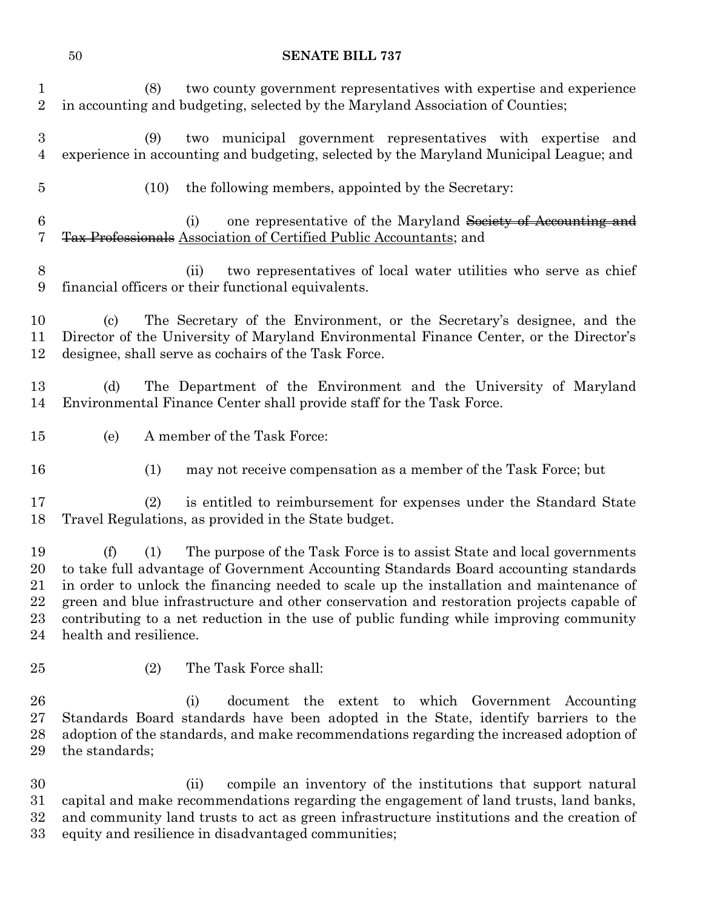(8) two county government representatives with expertise and experience

 in accounting and budgeting, selected by the Maryland Association of Counties; (9) two municipal government representatives with expertise and experience in accounting and budgeting, selected by the Maryland Municipal League; and (10) the following members, appointed by the Secretary: (i) one representative of the Maryland Society of Accounting and Tax Professionals Association of Certified Public Accountants; and (ii) two representatives of local water utilities who serve as chief financial officers or their functional equivalents. (c) The Secretary of the Environment, or the Secretary's designee, and the Director of the University of Maryland Environmental Finance Center, or the Director's designee, shall serve as cochairs of the Task Force. (d) The Department of the Environment and the University of Maryland Environmental Finance Center shall provide staff for the Task Force. (e) A member of the Task Force: (1) may not receive compensation as a member of the Task Force; but (2) is entitled to reimbursement for expenses under the Standard State Travel Regulations, as provided in the State budget. (f) (1) The purpose of the Task Force is to assist State and local governments to take full advantage of Government Accounting Standards Board accounting standards in order to unlock the financing needed to scale up the installation and maintenance of green and blue infrastructure and other conservation and restoration projects capable of contributing to a net reduction in the use of public funding while improving community health and resilience. (2) The Task Force shall: (i) document the extent to which Government Accounting Standards Board standards have been adopted in the State, identify barriers to the adoption of the standards, and make recommendations regarding the increased adoption of the standards; (ii) compile an inventory of the institutions that support natural

 capital and make recommendations regarding the engagement of land trusts, land banks, and community land trusts to act as green infrastructure institutions and the creation of equity and resilience in disadvantaged communities;